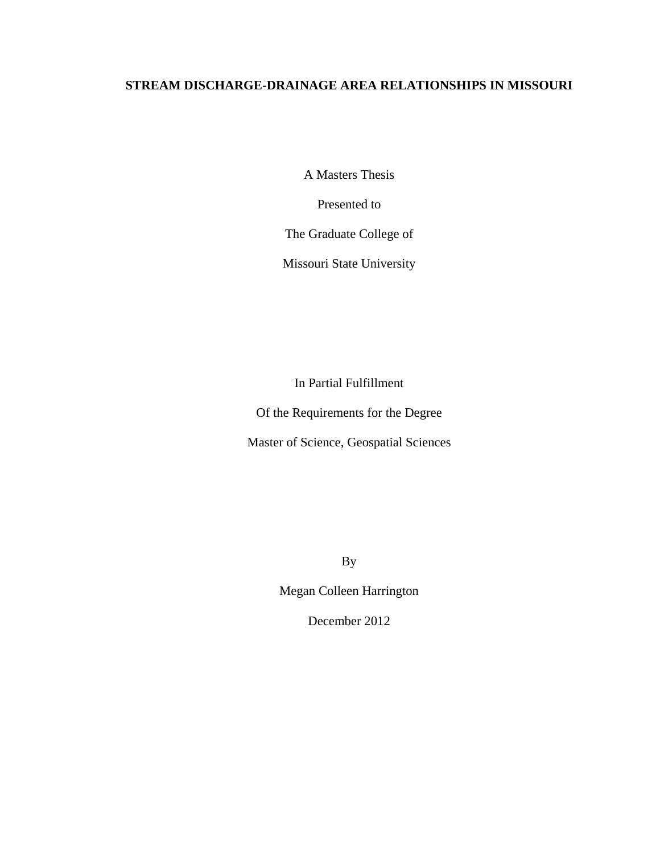## **STREAM DISCHARGE-DRAINAGE AREA RELATIONSHIPS IN MISSOURI**

A Masters Thesis

Presented to

The Graduate College of

Missouri State University

In Partial Fulfillment

Of the Requirements for the Degree

Master of Science, Geospatial Sciences

By

Megan Colleen Harrington

December 2012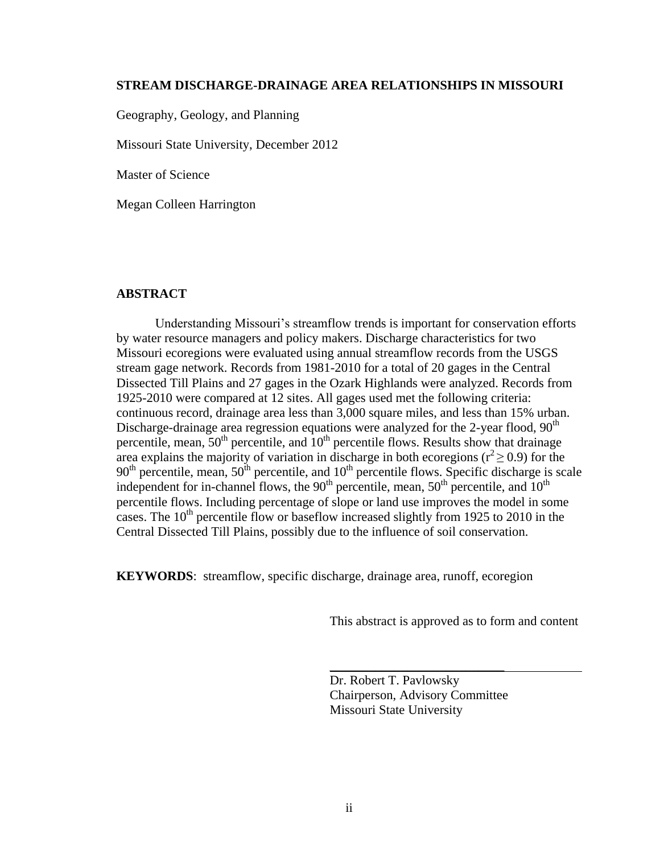#### **STREAM DISCHARGE-DRAINAGE AREA RELATIONSHIPS IN MISSOURI**

Geography, Geology, and Planning

Missouri State University, December 2012

Master of Science

Megan Colleen Harrington

#### **ABSTRACT**

Understanding Missouri's streamflow trends is important for conservation efforts by water resource managers and policy makers. Discharge characteristics for two Missouri ecoregions were evaluated using annual streamflow records from the USGS stream gage network. Records from 1981-2010 for a total of 20 gages in the Central Dissected Till Plains and 27 gages in the Ozark Highlands were analyzed. Records from 1925-2010 were compared at 12 sites. All gages used met the following criteria: continuous record, drainage area less than 3,000 square miles, and less than 15% urban. Discharge-drainage area regression equations were analyzed for the 2-year flood,  $90<sup>th</sup>$ percentile, mean,  $50<sup>th</sup>$  percentile, and  $10<sup>th</sup>$  percentile flows. Results show that drainage area explains the majority of variation in discharge in both ecoregions ( $r^2 \ge 0.9$ ) for the  $90<sup>th</sup>$  percentile, mean,  $50<sup>th</sup>$  percentile, and  $10<sup>th</sup>$  percentile flows. Specific discharge is scale independent for in-channel flows, the  $90<sup>th</sup>$  percentile, mean,  $50<sup>th</sup>$  percentile, and  $10<sup>th</sup>$ percentile flows. Including percentage of slope or land use improves the model in some cases. The  $10<sup>th</sup>$  percentile flow or baseflow increased slightly from 1925 to 2010 in the Central Dissected Till Plains, possibly due to the influence of soil conservation.

**KEYWORDS**: streamflow, specific discharge, drainage area, runoff, ecoregion

This abstract is approved as to form and content

Dr. Robert T. Pavlowsky Chairperson, Advisory Committee Missouri State University

\_\_\_\_\_\_\_\_\_\_\_\_\_\_\_\_\_\_\_\_\_\_\_\_\_\_\_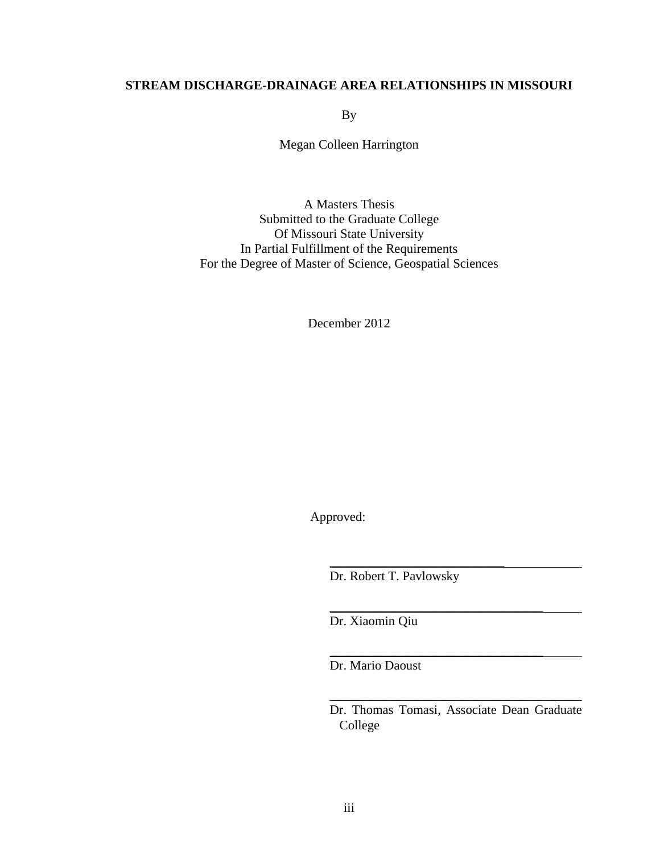### **STREAM DISCHARGE-DRAINAGE AREA RELATIONSHIPS IN MISSOURI**

By

Megan Colleen Harrington

A Masters Thesis Submitted to the Graduate College Of Missouri State University In Partial Fulfillment of the Requirements For the Degree of Master of Science, Geospatial Sciences

December 2012

Approved:

Dr. Robert T. Pavlowsky

\_\_\_\_\_\_\_\_\_\_\_\_\_\_\_\_\_\_\_\_\_\_\_\_\_\_\_

\_\_\_\_\_\_\_\_\_\_\_\_\_\_\_\_\_\_\_\_\_\_\_\_\_\_\_\_\_\_\_\_\_

Dr. Xiaomin Qiu

Dr. Mario Daoust

Dr. Thomas Tomasi, Associate Dean Graduate College

\_\_\_\_\_\_\_\_\_\_\_\_\_\_\_\_\_\_\_\_\_\_\_\_\_\_\_\_\_\_\_\_\_\_\_\_\_\_\_

\_\_\_\_\_\_\_\_\_\_\_\_\_\_\_\_\_\_\_\_\_\_\_\_\_\_\_\_\_\_\_\_\_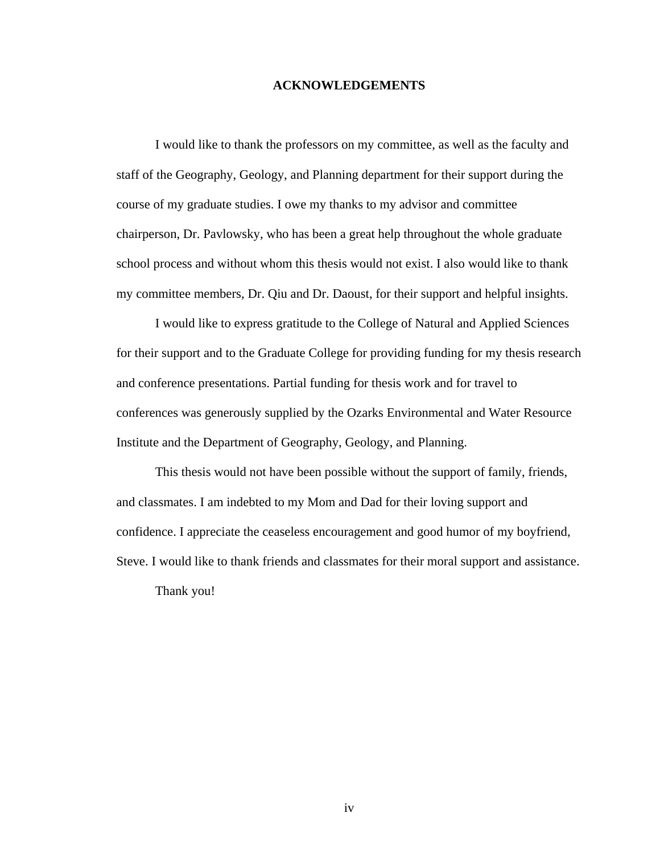#### **ACKNOWLEDGEMENTS**

I would like to thank the professors on my committee, as well as the faculty and staff of the Geography, Geology, and Planning department for their support during the course of my graduate studies. I owe my thanks to my advisor and committee chairperson, Dr. Pavlowsky, who has been a great help throughout the whole graduate school process and without whom this thesis would not exist. I also would like to thank my committee members, Dr. Qiu and Dr. Daoust, for their support and helpful insights.

I would like to express gratitude to the College of Natural and Applied Sciences for their support and to the Graduate College for providing funding for my thesis research and conference presentations. Partial funding for thesis work and for travel to conferences was generously supplied by the Ozarks Environmental and Water Resource Institute and the Department of Geography, Geology, and Planning.

This thesis would not have been possible without the support of family, friends, and classmates. I am indebted to my Mom and Dad for their loving support and confidence. I appreciate the ceaseless encouragement and good humor of my boyfriend, Steve. I would like to thank friends and classmates for their moral support and assistance.

Thank you!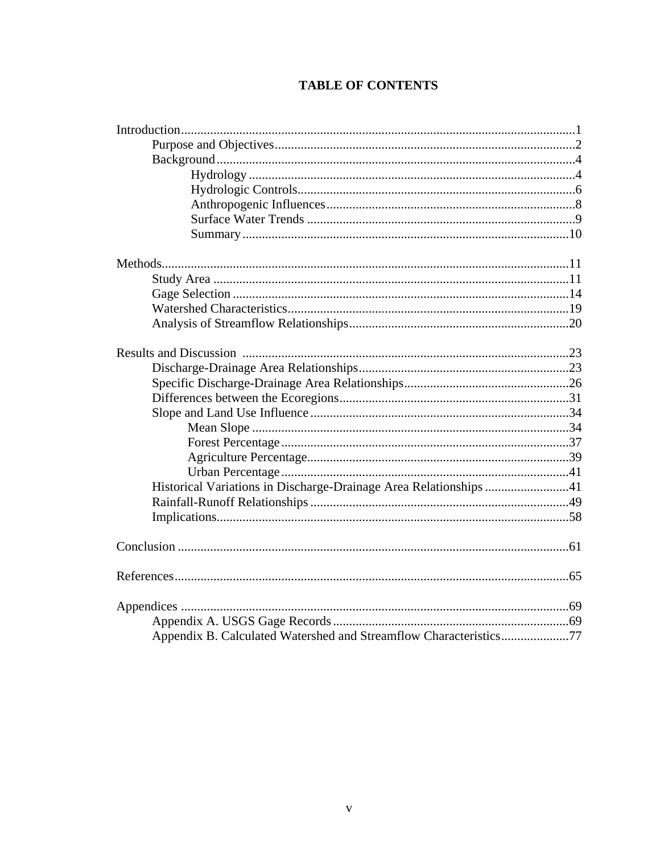# **TABLE OF CONTENTS**

| Historical Variations in Discharge-Drainage Area Relationships 41 |  |
|-------------------------------------------------------------------|--|
|                                                                   |  |
|                                                                   |  |
|                                                                   |  |
|                                                                   |  |
|                                                                   |  |
|                                                                   |  |
| Appendix B. Calculated Watershed and Streamflow Characteristics77 |  |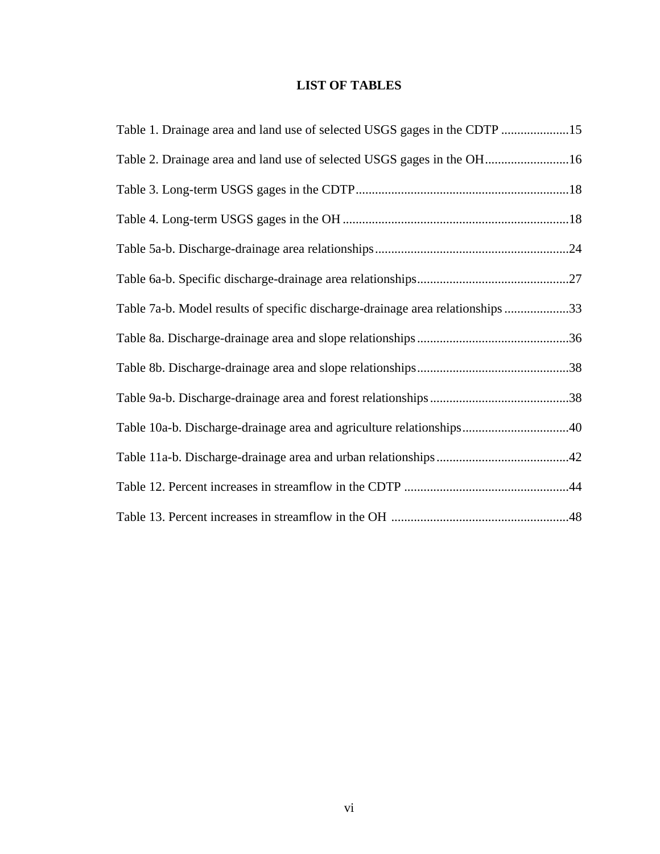### **LIST OF TABLES**

| Table 1. Drainage area and land use of selected USGS gages in the CDTP 15      |  |
|--------------------------------------------------------------------------------|--|
| Table 2. Drainage area and land use of selected USGS gages in the OH16         |  |
|                                                                                |  |
|                                                                                |  |
|                                                                                |  |
|                                                                                |  |
| Table 7a-b. Model results of specific discharge-drainage area relationships 33 |  |
|                                                                                |  |
|                                                                                |  |
|                                                                                |  |
| Table 10a-b. Discharge-drainage area and agriculture relationships40           |  |
|                                                                                |  |
|                                                                                |  |
|                                                                                |  |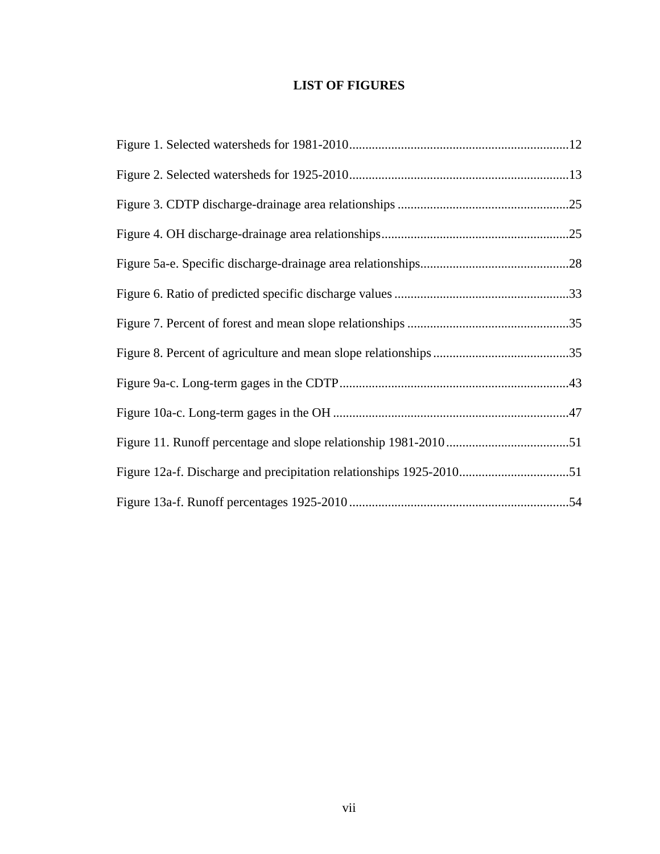## **LIST OF FIGURES**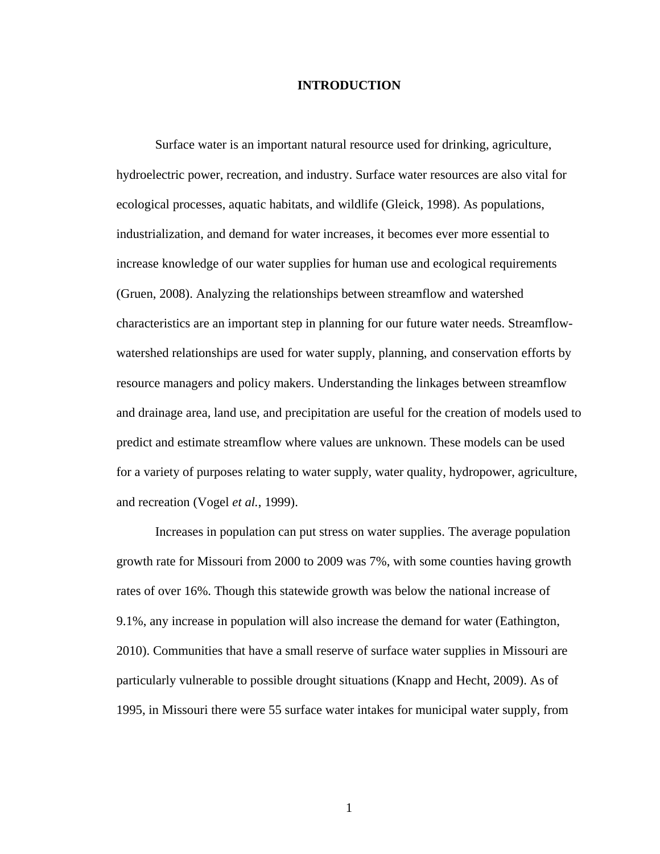#### **INTRODUCTION**

Surface water is an important natural resource used for drinking, agriculture, hydroelectric power, recreation, and industry. Surface water resources are also vital for ecological processes, aquatic habitats, and wildlife (Gleick, 1998). As populations, industrialization, and demand for water increases, it becomes ever more essential to increase knowledge of our water supplies for human use and ecological requirements (Gruen, 2008). Analyzing the relationships between streamflow and watershed characteristics are an important step in planning for our future water needs. Streamflowwatershed relationships are used for water supply, planning, and conservation efforts by resource managers and policy makers. Understanding the linkages between streamflow and drainage area, land use, and precipitation are useful for the creation of models used to predict and estimate streamflow where values are unknown. These models can be used for a variety of purposes relating to water supply, water quality, hydropower, agriculture, and recreation (Vogel *et al.*, 1999).

Increases in population can put stress on water supplies. The average population growth rate for Missouri from 2000 to 2009 was 7%, with some counties having growth rates of over 16%. Though this statewide growth was below the national increase of 9.1%, any increase in population will also increase the demand for water (Eathington, 2010). Communities that have a small reserve of surface water supplies in Missouri are particularly vulnerable to possible drought situations (Knapp and Hecht, 2009). As of 1995, in Missouri there were 55 surface water intakes for municipal water supply, from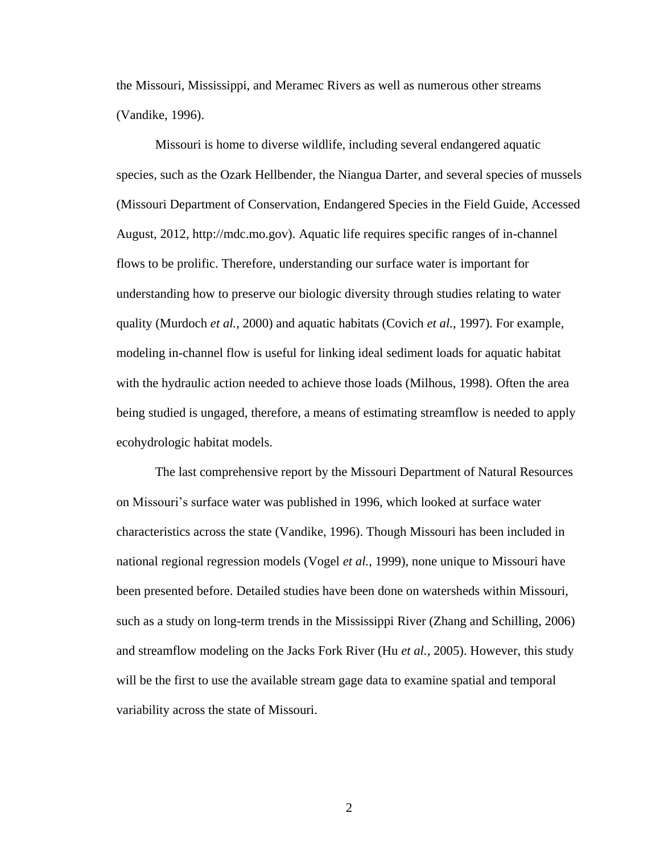the Missouri, Mississippi, and Meramec Rivers as well as numerous other streams (Vandike, 1996).

Missouri is home to diverse wildlife, including several endangered aquatic species, such as the Ozark Hellbender, the Niangua Darter, and several species of mussels (Missouri Department of Conservation, Endangered Species in the Field Guide, Accessed August, 2012, http://mdc.mo.gov). Aquatic life requires specific ranges of in-channel flows to be prolific. Therefore, understanding our surface water is important for understanding how to preserve our biologic diversity through studies relating to water quality (Murdoch *et al.*, 2000) and aquatic habitats (Covich *et al.*, 1997). For example, modeling in-channel flow is useful for linking ideal sediment loads for aquatic habitat with the hydraulic action needed to achieve those loads (Milhous, 1998). Often the area being studied is ungaged, therefore, a means of estimating streamflow is needed to apply ecohydrologic habitat models.

The last comprehensive report by the Missouri Department of Natural Resources on Missouri's surface water was published in 1996, which looked at surface water characteristics across the state (Vandike, 1996). Though Missouri has been included in national regional regression models (Vogel *et al.*, 1999), none unique to Missouri have been presented before. Detailed studies have been done on watersheds within Missouri, such as a study on long-term trends in the Mississippi River (Zhang and Schilling, 2006) and streamflow modeling on the Jacks Fork River (Hu *et al.*, 2005). However, this study will be the first to use the available stream gage data to examine spatial and temporal variability across the state of Missouri.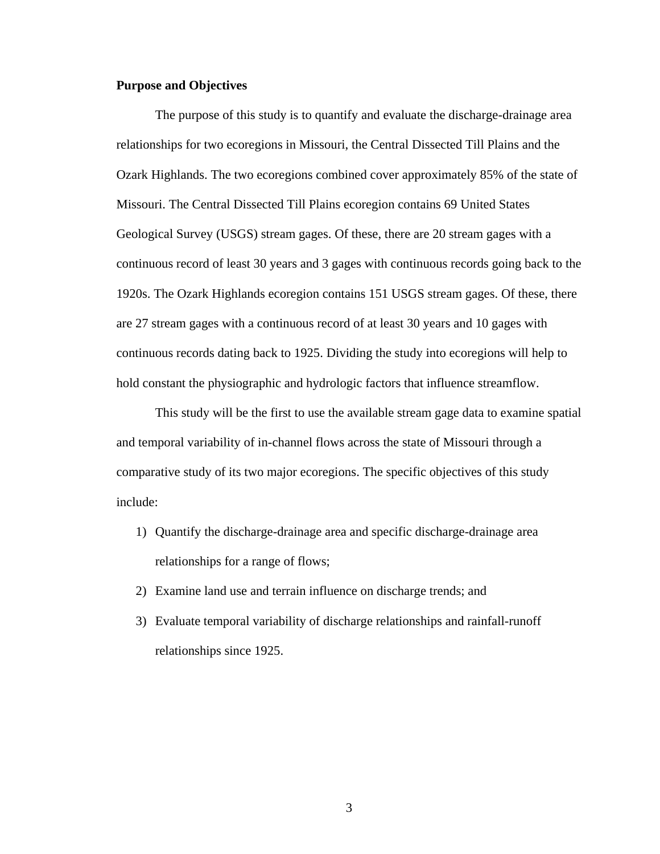#### **Purpose and Objectives**

The purpose of this study is to quantify and evaluate the discharge-drainage area relationships for two ecoregions in Missouri, the Central Dissected Till Plains and the Ozark Highlands. The two ecoregions combined cover approximately 85% of the state of Missouri. The Central Dissected Till Plains ecoregion contains 69 United States Geological Survey (USGS) stream gages. Of these, there are 20 stream gages with a continuous record of least 30 years and 3 gages with continuous records going back to the 1920s. The Ozark Highlands ecoregion contains 151 USGS stream gages. Of these, there are 27 stream gages with a continuous record of at least 30 years and 10 gages with continuous records dating back to 1925. Dividing the study into ecoregions will help to hold constant the physiographic and hydrologic factors that influence streamflow.

This study will be the first to use the available stream gage data to examine spatial and temporal variability of in-channel flows across the state of Missouri through a comparative study of its two major ecoregions. The specific objectives of this study include:

- 1) Quantify the discharge-drainage area and specific discharge-drainage area relationships for a range of flows;
- 2) Examine land use and terrain influence on discharge trends; and
- 3) Evaluate temporal variability of discharge relationships and rainfall-runoff relationships since 1925.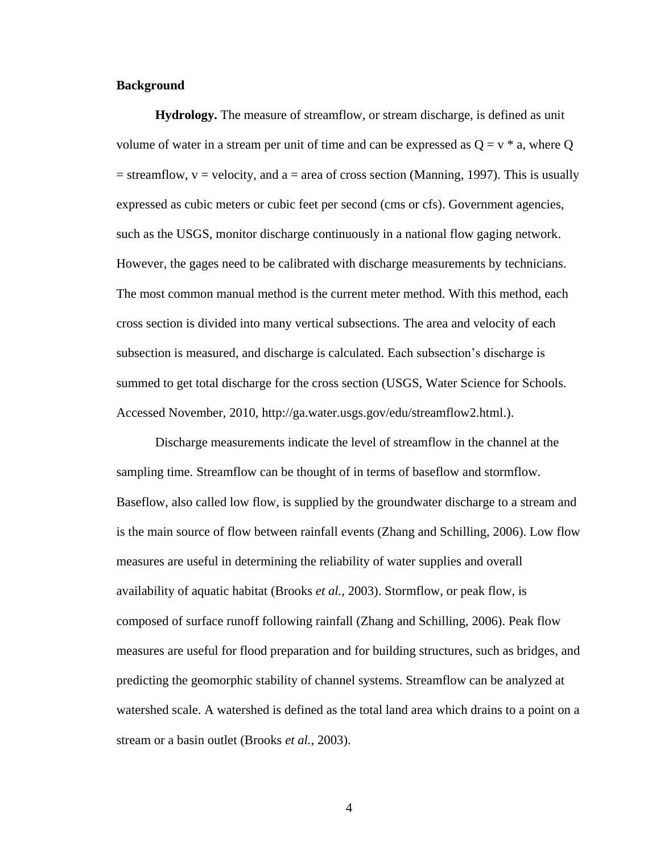#### **Background**

**Hydrology.** The measure of streamflow, or stream discharge, is defined as unit volume of water in a stream per unit of time and can be expressed as  $Q = v * a$ , where Q  $=$  streamflow,  $v =$  velocity, and a  $=$  area of cross section (Manning, 1997). This is usually expressed as cubic meters or cubic feet per second (cms or cfs). Government agencies, such as the USGS, monitor discharge continuously in a national flow gaging network. However, the gages need to be calibrated with discharge measurements by technicians. The most common manual method is the current meter method. With this method, each cross section is divided into many vertical subsections. The area and velocity of each subsection is measured, and discharge is calculated. Each subsection's discharge is summed to get total discharge for the cross section (USGS, Water Science for Schools. Accessed November, 2010, http://ga.water.usgs.gov/edu/streamflow2.html.).

Discharge measurements indicate the level of streamflow in the channel at the sampling time. Streamflow can be thought of in terms of baseflow and stormflow. Baseflow, also called low flow, is supplied by the groundwater discharge to a stream and is the main source of flow between rainfall events (Zhang and Schilling, 2006). Low flow measures are useful in determining the reliability of water supplies and overall availability of aquatic habitat (Brooks *et al.*, 2003). Stormflow, or peak flow, is composed of surface runoff following rainfall (Zhang and Schilling, 2006). Peak flow measures are useful for flood preparation and for building structures, such as bridges, and predicting the geomorphic stability of channel systems. Streamflow can be analyzed at watershed scale. A watershed is defined as the total land area which drains to a point on a stream or a basin outlet (Brooks *et al.*, 2003).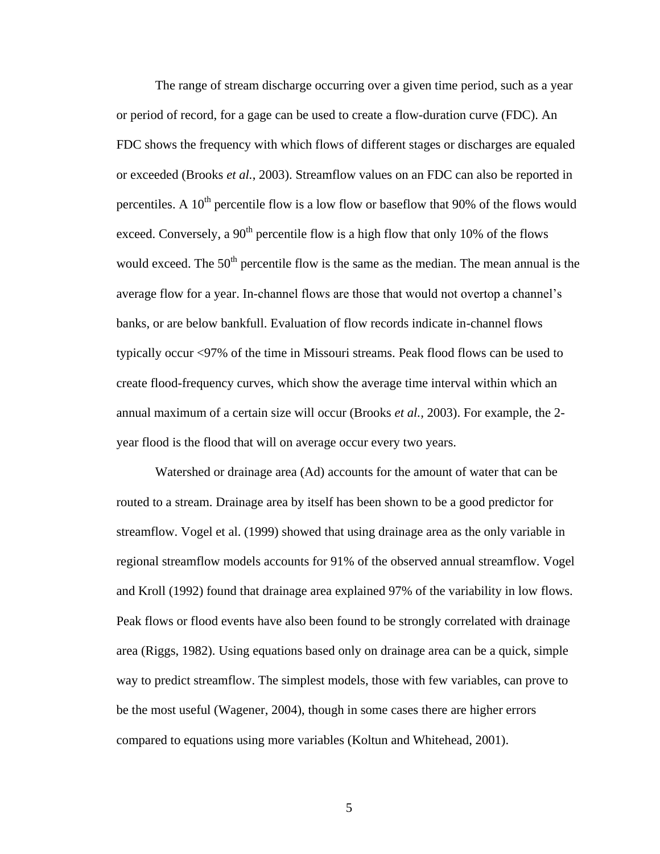The range of stream discharge occurring over a given time period, such as a year or period of record, for a gage can be used to create a flow-duration curve (FDC). An FDC shows the frequency with which flows of different stages or discharges are equaled or exceeded (Brooks *et al.*, 2003). Streamflow values on an FDC can also be reported in percentiles. A  $10^{th}$  percentile flow is a low flow or baseflow that 90% of the flows would exceed. Conversely, a  $90<sup>th</sup>$  percentile flow is a high flow that only 10% of the flows would exceed. The  $50<sup>th</sup>$  percentile flow is the same as the median. The mean annual is the average flow for a year. In-channel flows are those that would not overtop a channel's banks, or are below bankfull. Evaluation of flow records indicate in-channel flows typically occur <97% of the time in Missouri streams. Peak flood flows can be used to create flood-frequency curves, which show the average time interval within which an annual maximum of a certain size will occur (Brooks *et al.,* 2003). For example, the 2 year flood is the flood that will on average occur every two years.

Watershed or drainage area (Ad) accounts for the amount of water that can be routed to a stream. Drainage area by itself has been shown to be a good predictor for streamflow. Vogel et al. (1999) showed that using drainage area as the only variable in regional streamflow models accounts for 91% of the observed annual streamflow. Vogel and Kroll (1992) found that drainage area explained 97% of the variability in low flows. Peak flows or flood events have also been found to be strongly correlated with drainage area (Riggs, 1982). Using equations based only on drainage area can be a quick, simple way to predict streamflow. The simplest models, those with few variables, can prove to be the most useful (Wagener, 2004), though in some cases there are higher errors compared to equations using more variables (Koltun and Whitehead, 2001).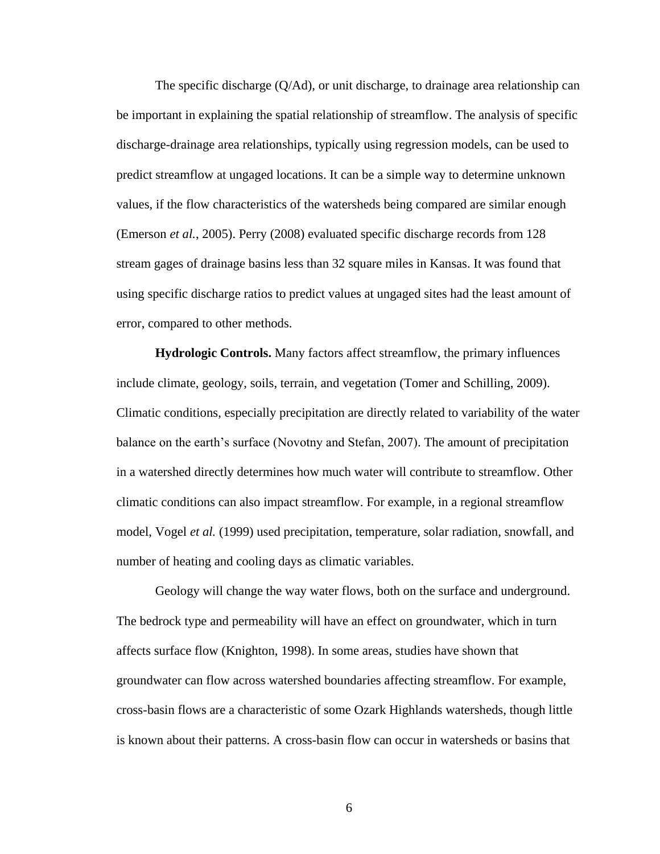The specific discharge  $(Q/Ad)$ , or unit discharge, to drainage area relationship can be important in explaining the spatial relationship of streamflow. The analysis of specific discharge-drainage area relationships, typically using regression models, can be used to predict streamflow at ungaged locations. It can be a simple way to determine unknown values, if the flow characteristics of the watersheds being compared are similar enough (Emerson *et al.*, 2005). Perry (2008) evaluated specific discharge records from 128 stream gages of drainage basins less than 32 square miles in Kansas. It was found that using specific discharge ratios to predict values at ungaged sites had the least amount of error, compared to other methods.

**Hydrologic Controls.** Many factors affect streamflow, the primary influences include climate, geology, soils, terrain, and vegetation (Tomer and Schilling, 2009). Climatic conditions, especially precipitation are directly related to variability of the water balance on the earth's surface (Novotny and Stefan, 2007). The amount of precipitation in a watershed directly determines how much water will contribute to streamflow. Other climatic conditions can also impact streamflow. For example, in a regional streamflow model, Vogel *et al.* (1999) used precipitation, temperature, solar radiation, snowfall, and number of heating and cooling days as climatic variables.

Geology will change the way water flows, both on the surface and underground. The bedrock type and permeability will have an effect on groundwater, which in turn affects surface flow (Knighton, 1998). In some areas, studies have shown that groundwater can flow across watershed boundaries affecting streamflow. For example, cross-basin flows are a characteristic of some Ozark Highlands watersheds, though little is known about their patterns. A cross-basin flow can occur in watersheds or basins that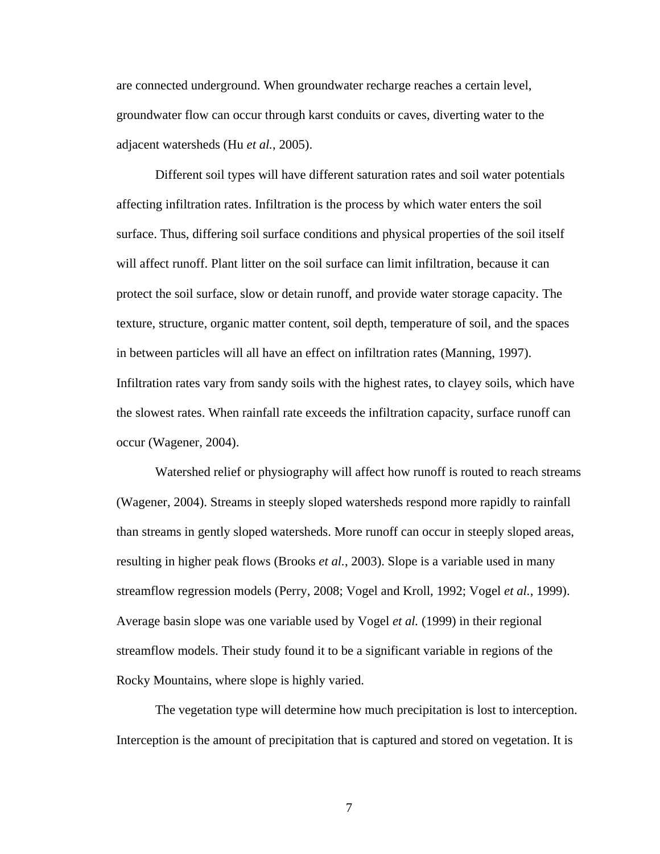are connected underground. When groundwater recharge reaches a certain level, groundwater flow can occur through karst conduits or caves, diverting water to the adjacent watersheds (Hu *et al.*, 2005).

Different soil types will have different saturation rates and soil water potentials affecting infiltration rates. Infiltration is the process by which water enters the soil surface. Thus, differing soil surface conditions and physical properties of the soil itself will affect runoff. Plant litter on the soil surface can limit infiltration, because it can protect the soil surface, slow or detain runoff, and provide water storage capacity. The texture, structure, organic matter content, soil depth, temperature of soil, and the spaces in between particles will all have an effect on infiltration rates (Manning, 1997). Infiltration rates vary from sandy soils with the highest rates, to clayey soils, which have the slowest rates. When rainfall rate exceeds the infiltration capacity, surface runoff can occur (Wagener, 2004).

Watershed relief or physiography will affect how runoff is routed to reach streams (Wagener, 2004). Streams in steeply sloped watersheds respond more rapidly to rainfall than streams in gently sloped watersheds. More runoff can occur in steeply sloped areas, resulting in higher peak flows (Brooks *et al.*, 2003). Slope is a variable used in many streamflow regression models (Perry, 2008; Vogel and Kroll, 1992; Vogel *et al.*, 1999). Average basin slope was one variable used by Vogel *et al.* (1999) in their regional streamflow models. Their study found it to be a significant variable in regions of the Rocky Mountains, where slope is highly varied.

The vegetation type will determine how much precipitation is lost to interception. Interception is the amount of precipitation that is captured and stored on vegetation. It is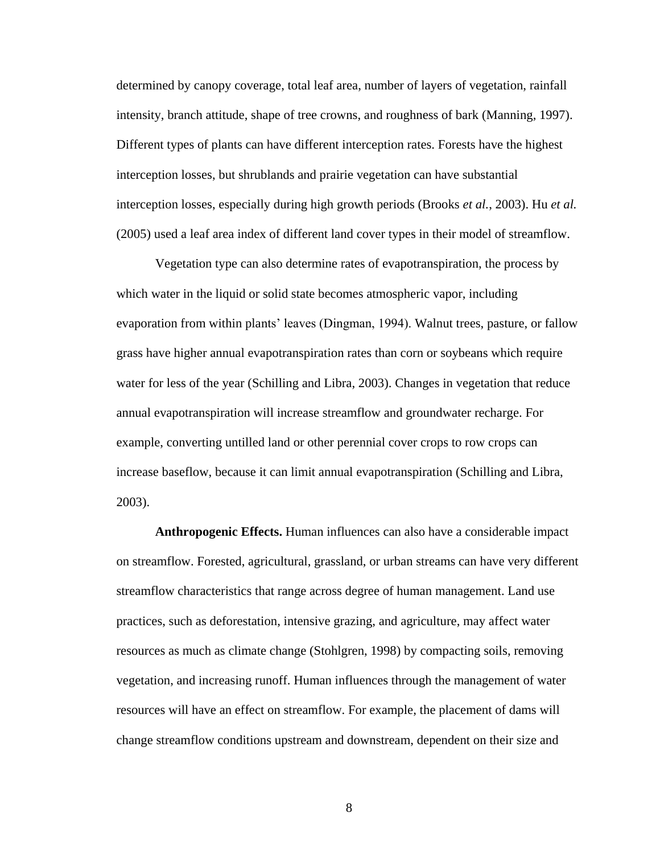determined by canopy coverage, total leaf area, number of layers of vegetation, rainfall intensity, branch attitude, shape of tree crowns, and roughness of bark (Manning, 1997). Different types of plants can have different interception rates. Forests have the highest interception losses, but shrublands and prairie vegetation can have substantial interception losses, especially during high growth periods (Brooks *et al.*, 2003). Hu *et al.* (2005) used a leaf area index of different land cover types in their model of streamflow.

Vegetation type can also determine rates of evapotranspiration, the process by which water in the liquid or solid state becomes atmospheric vapor, including evaporation from within plants' leaves (Dingman, 1994). Walnut trees, pasture, or fallow grass have higher annual evapotranspiration rates than corn or soybeans which require water for less of the year (Schilling and Libra, 2003). Changes in vegetation that reduce annual evapotranspiration will increase streamflow and groundwater recharge. For example, converting untilled land or other perennial cover crops to row crops can increase baseflow, because it can limit annual evapotranspiration (Schilling and Libra, 2003).

**Anthropogenic Effects.** Human influences can also have a considerable impact on streamflow. Forested, agricultural, grassland, or urban streams can have very different streamflow characteristics that range across degree of human management. Land use practices, such as deforestation, intensive grazing, and agriculture, may affect water resources as much as climate change (Stohlgren, 1998) by compacting soils, removing vegetation, and increasing runoff. Human influences through the management of water resources will have an effect on streamflow. For example, the placement of dams will change streamflow conditions upstream and downstream, dependent on their size and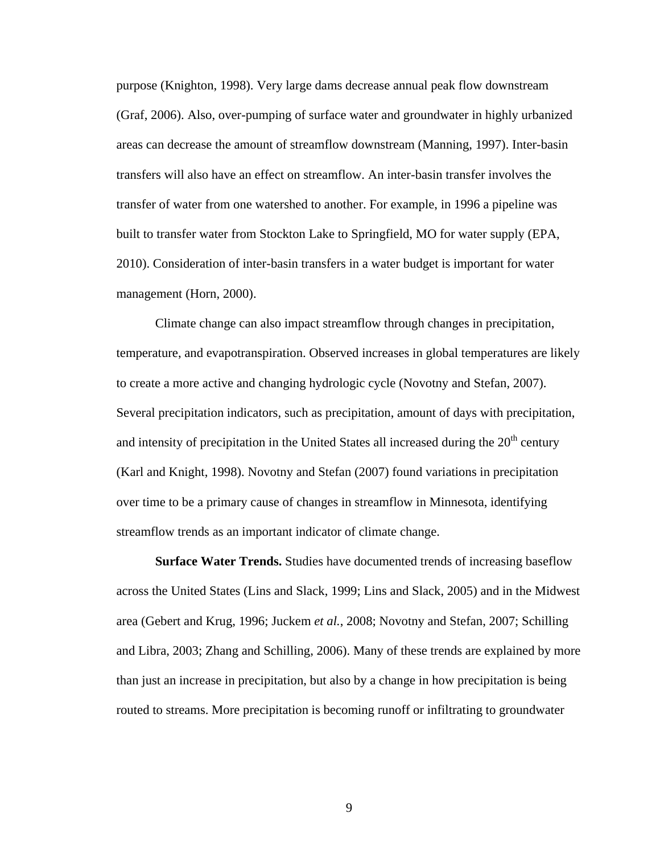purpose (Knighton, 1998). Very large dams decrease annual peak flow downstream (Graf, 2006). Also, over-pumping of surface water and groundwater in highly urbanized areas can decrease the amount of streamflow downstream (Manning, 1997). Inter-basin transfers will also have an effect on streamflow. An inter-basin transfer involves the transfer of water from one watershed to another. For example, in 1996 a pipeline was built to transfer water from Stockton Lake to Springfield, MO for water supply (EPA, 2010). Consideration of inter-basin transfers in a water budget is important for water management (Horn, 2000).

Climate change can also impact streamflow through changes in precipitation, temperature, and evapotranspiration. Observed increases in global temperatures are likely to create a more active and changing hydrologic cycle (Novotny and Stefan, 2007). Several precipitation indicators, such as precipitation, amount of days with precipitation, and intensity of precipitation in the United States all increased during the  $20<sup>th</sup>$  century (Karl and Knight, 1998). Novotny and Stefan (2007) found variations in precipitation over time to be a primary cause of changes in streamflow in Minnesota, identifying streamflow trends as an important indicator of climate change.

**Surface Water Trends.** Studies have documented trends of increasing baseflow across the United States (Lins and Slack, 1999; Lins and Slack, 2005) and in the Midwest area (Gebert and Krug, 1996; Juckem *et al.*, 2008; Novotny and Stefan, 2007; Schilling and Libra, 2003; Zhang and Schilling, 2006). Many of these trends are explained by more than just an increase in precipitation, but also by a change in how precipitation is being routed to streams. More precipitation is becoming runoff or infiltrating to groundwater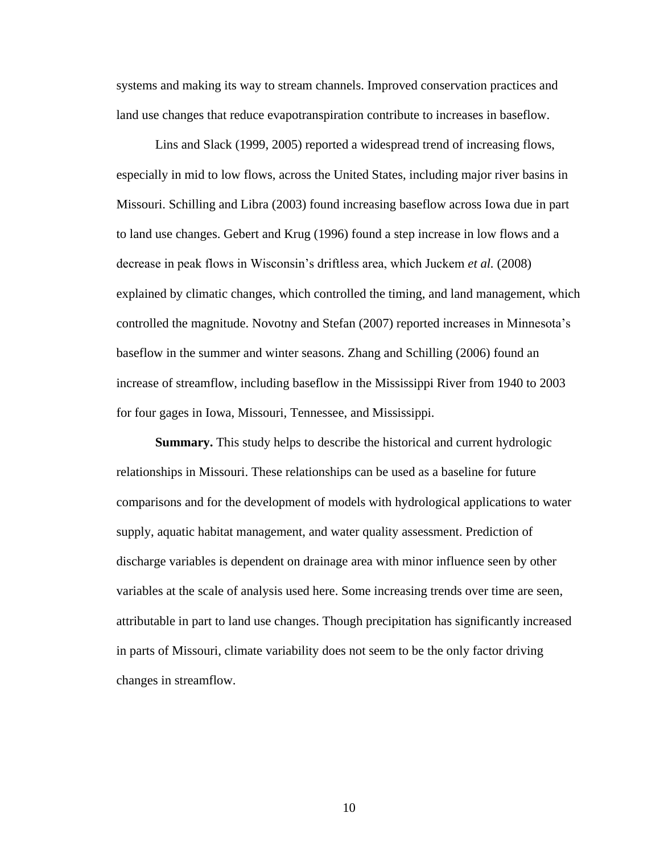systems and making its way to stream channels. Improved conservation practices and land use changes that reduce evapotranspiration contribute to increases in baseflow.

Lins and Slack (1999, 2005) reported a widespread trend of increasing flows, especially in mid to low flows, across the United States, including major river basins in Missouri. Schilling and Libra (2003) found increasing baseflow across Iowa due in part to land use changes. Gebert and Krug (1996) found a step increase in low flows and a decrease in peak flows in Wisconsin's driftless area, which Juckem *et al.* (2008) explained by climatic changes, which controlled the timing, and land management, which controlled the magnitude. Novotny and Stefan (2007) reported increases in Minnesota's baseflow in the summer and winter seasons. Zhang and Schilling (2006) found an increase of streamflow, including baseflow in the Mississippi River from 1940 to 2003 for four gages in Iowa, Missouri, Tennessee, and Mississippi.

**Summary.** This study helps to describe the historical and current hydrologic relationships in Missouri. These relationships can be used as a baseline for future comparisons and for the development of models with hydrological applications to water supply, aquatic habitat management, and water quality assessment. Prediction of discharge variables is dependent on drainage area with minor influence seen by other variables at the scale of analysis used here. Some increasing trends over time are seen, attributable in part to land use changes. Though precipitation has significantly increased in parts of Missouri, climate variability does not seem to be the only factor driving changes in streamflow.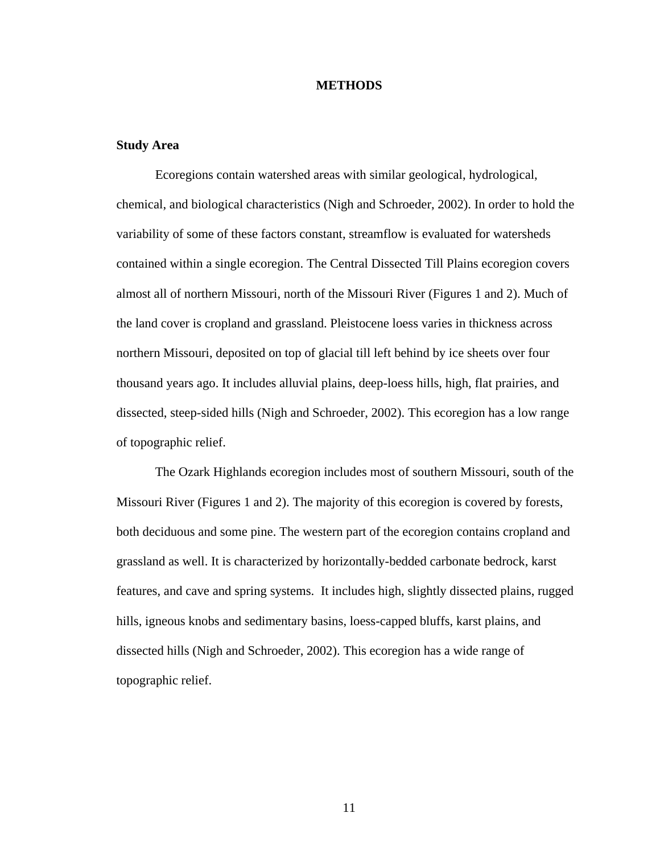#### **METHODS**

#### **Study Area**

Ecoregions contain watershed areas with similar geological, hydrological, chemical, and biological characteristics (Nigh and Schroeder, 2002). In order to hold the variability of some of these factors constant, streamflow is evaluated for watersheds contained within a single ecoregion. The Central Dissected Till Plains ecoregion covers almost all of northern Missouri, north of the Missouri River (Figures 1 and 2). Much of the land cover is cropland and grassland. Pleistocene loess varies in thickness across northern Missouri, deposited on top of glacial till left behind by ice sheets over four thousand years ago. It includes alluvial plains, deep-loess hills, high, flat prairies, and dissected, steep-sided hills (Nigh and Schroeder, 2002). This ecoregion has a low range of topographic relief.

The Ozark Highlands ecoregion includes most of southern Missouri, south of the Missouri River (Figures 1 and 2). The majority of this ecoregion is covered by forests, both deciduous and some pine. The western part of the ecoregion contains cropland and grassland as well. It is characterized by horizontally-bedded carbonate bedrock, karst features, and cave and spring systems. It includes high, slightly dissected plains, rugged hills, igneous knobs and sedimentary basins, loess-capped bluffs, karst plains, and dissected hills (Nigh and Schroeder, 2002). This ecoregion has a wide range of topographic relief.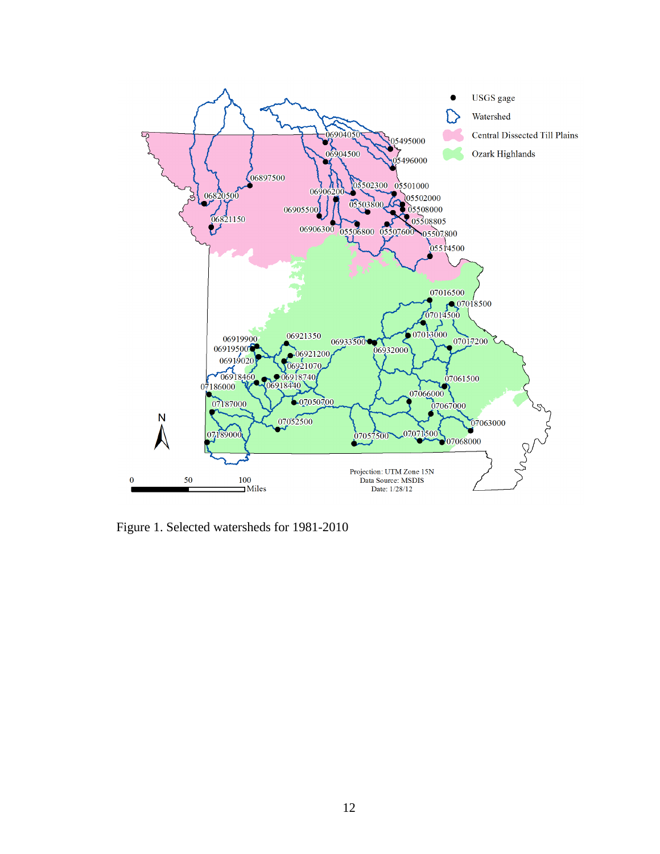

Figure 1. Selected watersheds for 1981-2010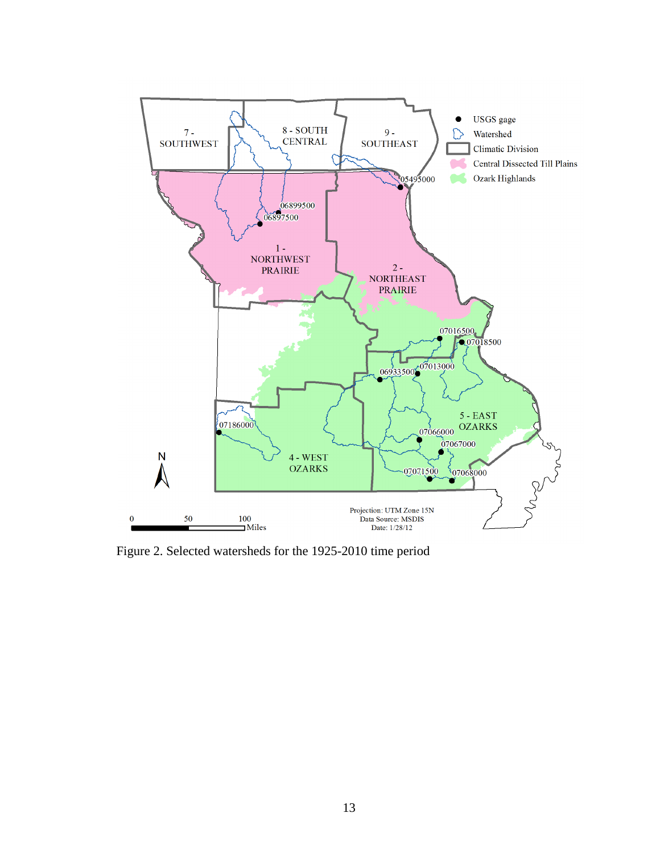

Figure 2. Selected watersheds for the 1925-2010 time period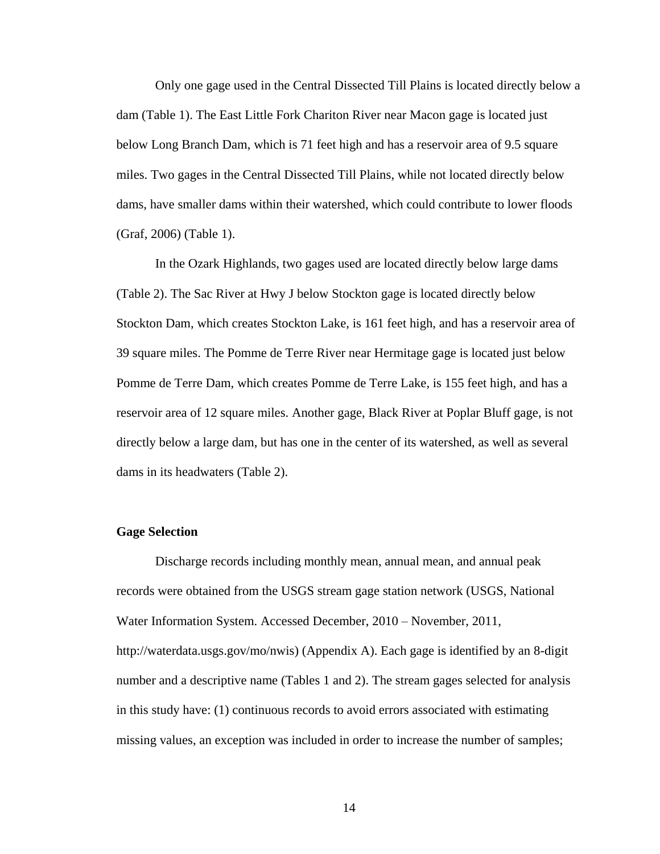Only one gage used in the Central Dissected Till Plains is located directly below a dam (Table 1). The East Little Fork Chariton River near Macon gage is located just below Long Branch Dam, which is 71 feet high and has a reservoir area of 9.5 square miles. Two gages in the Central Dissected Till Plains, while not located directly below dams, have smaller dams within their watershed, which could contribute to lower floods (Graf, 2006) (Table 1).

In the Ozark Highlands, two gages used are located directly below large dams (Table 2). The Sac River at Hwy J below Stockton gage is located directly below Stockton Dam, which creates Stockton Lake, is 161 feet high, and has a reservoir area of 39 square miles. The Pomme de Terre River near Hermitage gage is located just below Pomme de Terre Dam, which creates Pomme de Terre Lake, is 155 feet high, and has a reservoir area of 12 square miles. Another gage, Black River at Poplar Bluff gage, is not directly below a large dam, but has one in the center of its watershed, as well as several dams in its headwaters (Table 2).

#### **Gage Selection**

Discharge records including monthly mean, annual mean, and annual peak records were obtained from the USGS stream gage station network (USGS, National Water Information System. Accessed December, 2010 – November, 2011, http://waterdata.usgs.gov/mo/nwis) (Appendix A). Each gage is identified by an 8-digit number and a descriptive name (Tables 1 and 2). The stream gages selected for analysis in this study have: (1) continuous records to avoid errors associated with estimating missing values, an exception was included in order to increase the number of samples;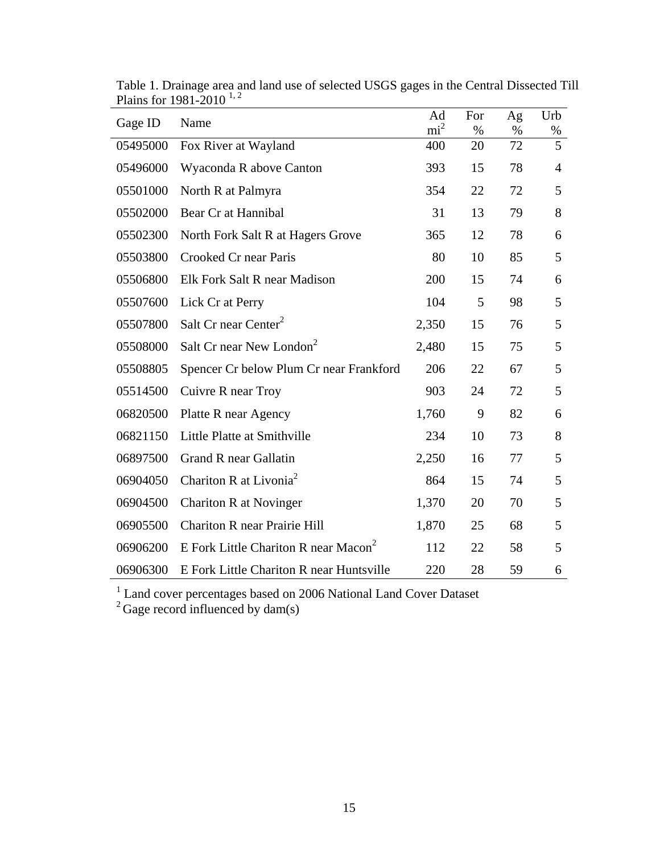| Gage ID  | Name                                             | Ad<br>$\text{mi}^2$ | For        | Ag         | Urb                 |
|----------|--------------------------------------------------|---------------------|------------|------------|---------------------|
| 05495000 | Fox River at Wayland                             | 400                 | $\%$<br>20 | $\%$<br>72 | %<br>$\overline{5}$ |
| 05496000 | Wyaconda R above Canton                          | 393                 | 15         | 78         | 4                   |
| 05501000 | North R at Palmyra                               | 354                 | 22         | 72         | 5                   |
| 05502000 | Bear Cr at Hannibal                              | 31                  | 13         | 79         | 8                   |
| 05502300 | North Fork Salt R at Hagers Grove                | 365                 | 12         | 78         | 6                   |
| 05503800 | Crooked Cr near Paris                            | 80                  | 10         | 85         | 5                   |
| 05506800 | Elk Fork Salt R near Madison                     | 200                 | 15         | 74         | 6                   |
| 05507600 | Lick Cr at Perry                                 | 104                 | 5          | 98         | 5                   |
| 05507800 | Salt Cr near Center <sup>2</sup>                 | 2,350               | 15         | 76         | 5                   |
| 05508000 | Salt Cr near New London <sup>2</sup>             | 2,480               | 15         | 75         | 5                   |
| 05508805 | Spencer Cr below Plum Cr near Frankford          | 206                 | 22         | 67         | 5                   |
| 05514500 | Cuivre R near Troy                               | 903                 | 24         | 72         | 5                   |
| 06820500 | Platte R near Agency                             | 1,760               | 9          | 82         | 6                   |
| 06821150 | Little Platte at Smithville                      | 234                 | 10         | 73         | 8                   |
| 06897500 | Grand R near Gallatin                            | 2,250               | 16         | 77         | 5                   |
| 06904050 | Chariton R at Livonia <sup>2</sup>               | 864                 | 15         | 74         | 5                   |
| 06904500 | Chariton R at Novinger                           | 1,370               | 20         | 70         | 5                   |
| 06905500 | Chariton R near Prairie Hill                     | 1,870               | 25         | 68         | 5                   |
| 06906200 | E Fork Little Chariton R near Macon <sup>2</sup> | 112                 | 22         | 58         | 5                   |
| 06906300 | E Fork Little Chariton R near Huntsville         | 220                 | 28         | 59         | 6                   |

Table 1. Drainage area and land use of selected USGS gages in the Central Dissected Till Plains for 1981-2010<sup>1,2</sup>

<sup>1</sup> Land cover percentages based on 2006 National Land Cover Dataset

 $2^2$  Gage record influenced by dam(s)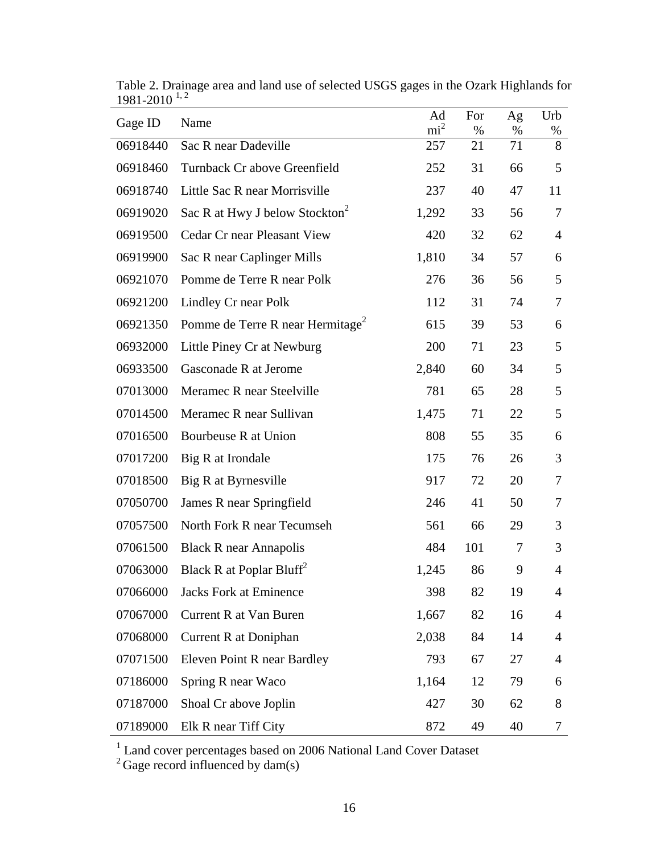| Gage ID  | Name                                         | Ad<br>$\text{mi}^2$ | For<br>% | Ag<br>%        | Urb            |
|----------|----------------------------------------------|---------------------|----------|----------------|----------------|
| 06918440 | Sac R near Dadeville                         | 257                 | 21       | 71             | %<br>8         |
| 06918460 | Turnback Cr above Greenfield                 | 252                 | 31       | 66             | 5              |
| 06918740 | Little Sac R near Morrisville                | 237                 | 40       | 47             | 11             |
| 06919020 | Sac R at Hwy J below Stockton <sup>2</sup>   | 1,292               | 33       | 56             | 7              |
| 06919500 | <b>Cedar Cr near Pleasant View</b>           | 420                 | 32       | 62             | $\overline{4}$ |
| 06919900 | Sac R near Caplinger Mills                   | 1,810               | 34       | 57             | 6              |
| 06921070 | Pomme de Terre R near Polk                   | 276                 | 36       | 56             | 5              |
| 06921200 | Lindley Cr near Polk                         | 112                 | 31       | 74             | 7              |
| 06921350 | Pomme de Terre R near Hermitage <sup>2</sup> | 615                 | 39       | 53             | 6              |
| 06932000 | Little Piney Cr at Newburg                   | 200                 | 71       | 23             | 5              |
| 06933500 | Gasconade R at Jerome                        | 2,840               | 60       | 34             | 5              |
| 07013000 | Meramec R near Steelville                    | 781                 | 65       | 28             | 5              |
| 07014500 | Meramec R near Sullivan                      | 1,475               | 71       | 22             | 5              |
| 07016500 | Bourbeuse R at Union                         | 808                 | 55       | 35             | 6              |
| 07017200 | Big R at Irondale                            | 175                 | 76       | 26             | 3              |
| 07018500 | Big R at Byrnesville                         | 917                 | 72       | 20             | 7              |
| 07050700 | James R near Springfield                     | 246                 | 41       | 50             | 7              |
| 07057500 | North Fork R near Tecumseh                   | 561                 | 66       | 29             | 3              |
| 07061500 | <b>Black R near Annapolis</b>                | 484                 | 101      | $\overline{7}$ | 3              |
| 07063000 | Black R at Poplar Bluff <sup>2</sup>         | 1,245               | 86       | 9              | 4              |
| 07066000 | <b>Jacks Fork at Eminence</b>                | 398                 | 82       | 19             | 4              |
| 07067000 | <b>Current R at Van Buren</b>                | 1,667               | 82       | 16             | $\overline{4}$ |
| 07068000 | Current R at Doniphan                        | 2,038               | 84       | 14             | 4              |
| 07071500 | Eleven Point R near Bardley                  | 793                 | 67       | 27             | $\overline{4}$ |
| 07186000 | Spring R near Waco                           | 1,164               | 12       | 79             | 6              |
| 07187000 | Shoal Cr above Joplin                        | 427                 | 30       | 62             | 8              |
| 07189000 | Elk R near Tiff City                         | 872                 | 49       | 40             | 7              |

Table 2. Drainage area and land use of selected USGS gages in the Ozark Highlands for 1981-2010 1, 2

<sup>1</sup> Land cover percentages based on 2006 National Land Cover Dataset

 $2^2$  Gage record influenced by dam(s)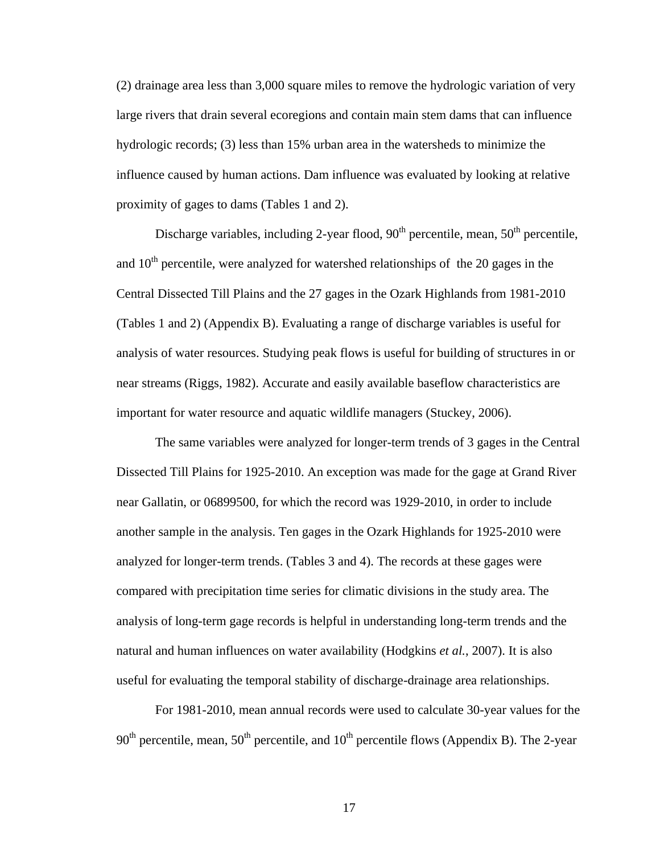(2) drainage area less than 3,000 square miles to remove the hydrologic variation of very large rivers that drain several ecoregions and contain main stem dams that can influence hydrologic records; (3) less than 15% urban area in the watersheds to minimize the influence caused by human actions. Dam influence was evaluated by looking at relative proximity of gages to dams (Tables 1 and 2).

Discharge variables, including 2-year flood,  $90<sup>th</sup>$  percentile, mean,  $50<sup>th</sup>$  percentile, and  $10<sup>th</sup>$  percentile, were analyzed for watershed relationships of the 20 gages in the Central Dissected Till Plains and the 27 gages in the Ozark Highlands from 1981-2010 (Tables 1 and 2) (Appendix B). Evaluating a range of discharge variables is useful for analysis of water resources. Studying peak flows is useful for building of structures in or near streams (Riggs, 1982). Accurate and easily available baseflow characteristics are important for water resource and aquatic wildlife managers (Stuckey, 2006).

The same variables were analyzed for longer-term trends of 3 gages in the Central Dissected Till Plains for 1925-2010. An exception was made for the gage at Grand River near Gallatin, or 06899500, for which the record was 1929-2010, in order to include another sample in the analysis. Ten gages in the Ozark Highlands for 1925-2010 were analyzed for longer-term trends. (Tables 3 and 4). The records at these gages were compared with precipitation time series for climatic divisions in the study area. The analysis of long-term gage records is helpful in understanding long-term trends and the natural and human influences on water availability (Hodgkins *et al.*, 2007). It is also useful for evaluating the temporal stability of discharge-drainage area relationships.

For 1981-2010, mean annual records were used to calculate 30-year values for the  $90<sup>th</sup>$  percentile, mean,  $50<sup>th</sup>$  percentile, and  $10<sup>th</sup>$  percentile flows (Appendix B). The 2-year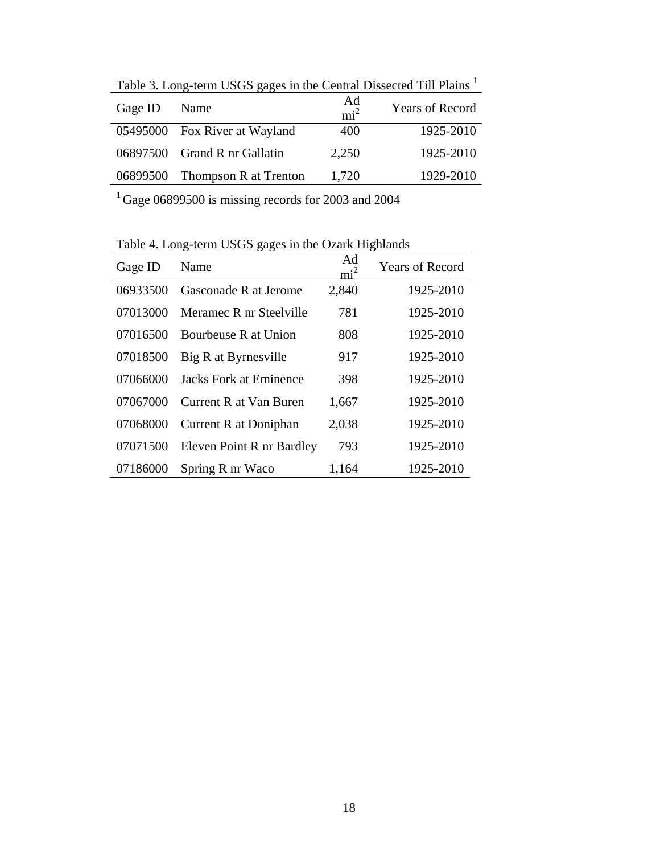| Table 3. Long-term USGS gages in the Central Dissected Till Plains 1 |                                |                       |                        |  |  |  |  |  |
|----------------------------------------------------------------------|--------------------------------|-----------------------|------------------------|--|--|--|--|--|
| Gage ID                                                              | Name                           | Ad<br>mi <sup>2</sup> | <b>Years of Record</b> |  |  |  |  |  |
|                                                                      | 05495000 Fox River at Wayland  | 400                   | 1925-2010              |  |  |  |  |  |
|                                                                      | 06897500 Grand R nr Gallatin   | 2,250                 | 1925-2010              |  |  |  |  |  |
|                                                                      | 06899500 Thompson R at Trenton | 1,720                 | 1929-2010              |  |  |  |  |  |

 $T$  11.  $\sigma$  term  $T$  . Long-term  $T$  in the Central Dissected Times in the  $T$ 

Gage 06899500 is missing records for 2003 and 2004

| Gage ID  | Name                          | Ad<br>mi <sup>2</sup> | <b>Years of Record</b> |
|----------|-------------------------------|-----------------------|------------------------|
| 06933500 | Gasconade R at Jerome         | 2,840                 | 1925-2010              |
| 07013000 | Meramec R nr Steelville       | 781                   | 1925-2010              |
| 07016500 | Bourbeuse R at Union          | 808                   | 1925-2010              |
| 07018500 | Big R at Byrnesville          | 917                   | 1925-2010              |
| 07066000 | <b>Jacks Fork at Eminence</b> | 398                   | 1925-2010              |
| 07067000 | Current R at Van Buren        | 1,667                 | 1925-2010              |
| 07068000 | Current R at Doniphan         | 2,038                 | 1925-2010              |
| 07071500 | Eleven Point R nr Bardley     | 793                   | 1925-2010              |
| 07186000 | Spring R nr Waco              | 1,164                 | 1925-2010              |

Table 4. Long-term USGS gages in the Ozark Highlands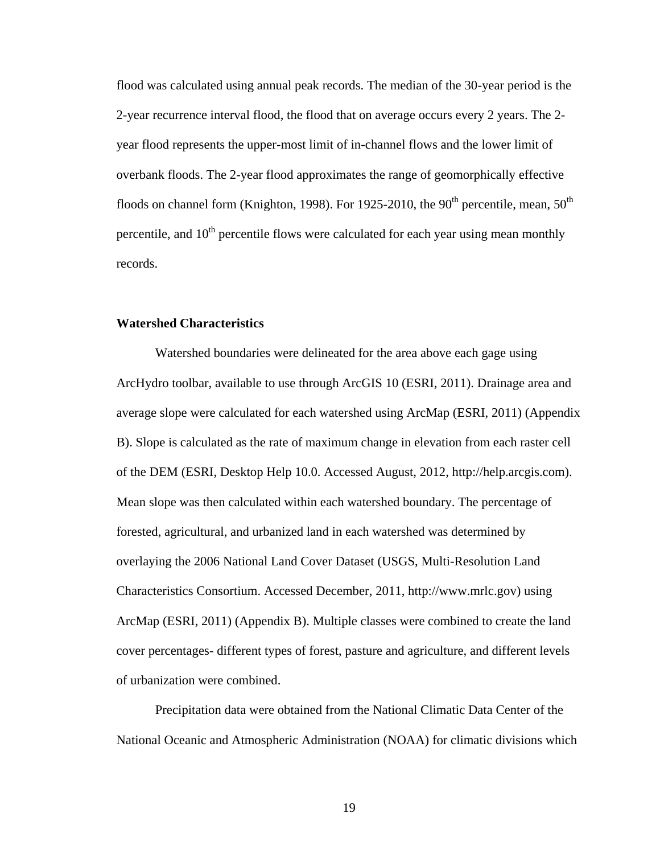flood was calculated using annual peak records. The median of the 30-year period is the 2-year recurrence interval flood, the flood that on average occurs every 2 years. The 2 year flood represents the upper-most limit of in-channel flows and the lower limit of overbank floods. The 2-year flood approximates the range of geomorphically effective floods on channel form (Knighton, 1998). For 1925-2010, the 90<sup>th</sup> percentile, mean, 50<sup>th</sup> percentile, and  $10<sup>th</sup>$  percentile flows were calculated for each year using mean monthly records.

#### **Watershed Characteristics**

Watershed boundaries were delineated for the area above each gage using ArcHydro toolbar, available to use through ArcGIS 10 (ESRI, 2011). Drainage area and average slope were calculated for each watershed using ArcMap (ESRI, 2011) (Appendix B). Slope is calculated as the rate of maximum change in elevation from each raster cell of the DEM (ESRI, Desktop Help 10.0. Accessed August, 2012, http://help.arcgis.com). Mean slope was then calculated within each watershed boundary. The percentage of forested, agricultural, and urbanized land in each watershed was determined by overlaying the 2006 National Land Cover Dataset (USGS, Multi-Resolution Land Characteristics Consortium. Accessed December, 2011, http://www.mrlc.gov) using ArcMap (ESRI, 2011) (Appendix B). Multiple classes were combined to create the land cover percentages- different types of forest, pasture and agriculture, and different levels of urbanization were combined.

Precipitation data were obtained from the National Climatic Data Center of the National Oceanic and Atmospheric Administration (NOAA) for climatic divisions which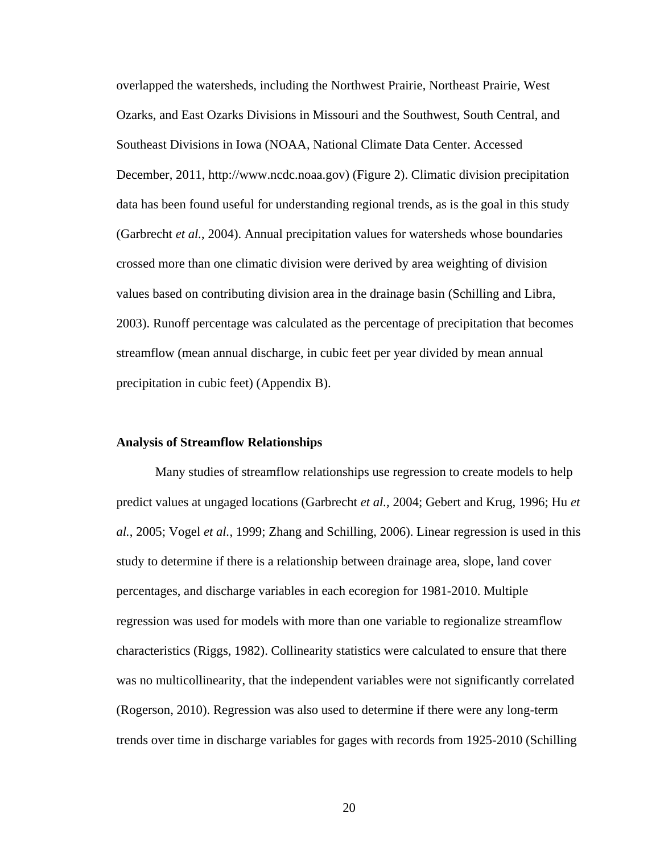overlapped the watersheds, including the Northwest Prairie, Northeast Prairie, West Ozarks, and East Ozarks Divisions in Missouri and the Southwest, South Central, and Southeast Divisions in Iowa (NOAA, National Climate Data Center. Accessed December, 2011, http://www.ncdc.noaa.gov) (Figure 2). Climatic division precipitation data has been found useful for understanding regional trends, as is the goal in this study (Garbrecht *et al.*, 2004). Annual precipitation values for watersheds whose boundaries crossed more than one climatic division were derived by area weighting of division values based on contributing division area in the drainage basin (Schilling and Libra, 2003). Runoff percentage was calculated as the percentage of precipitation that becomes streamflow (mean annual discharge, in cubic feet per year divided by mean annual precipitation in cubic feet) (Appendix B).

#### **Analysis of Streamflow Relationships**

Many studies of streamflow relationships use regression to create models to help predict values at ungaged locations (Garbrecht *et al.,* 2004; Gebert and Krug, 1996; Hu *et al.*, 2005; Vogel *et al.*, 1999; Zhang and Schilling, 2006). Linear regression is used in this study to determine if there is a relationship between drainage area, slope, land cover percentages, and discharge variables in each ecoregion for 1981-2010. Multiple regression was used for models with more than one variable to regionalize streamflow characteristics (Riggs, 1982). Collinearity statistics were calculated to ensure that there was no multicollinearity, that the independent variables were not significantly correlated (Rogerson, 2010). Regression was also used to determine if there were any long-term trends over time in discharge variables for gages with records from 1925-2010 (Schilling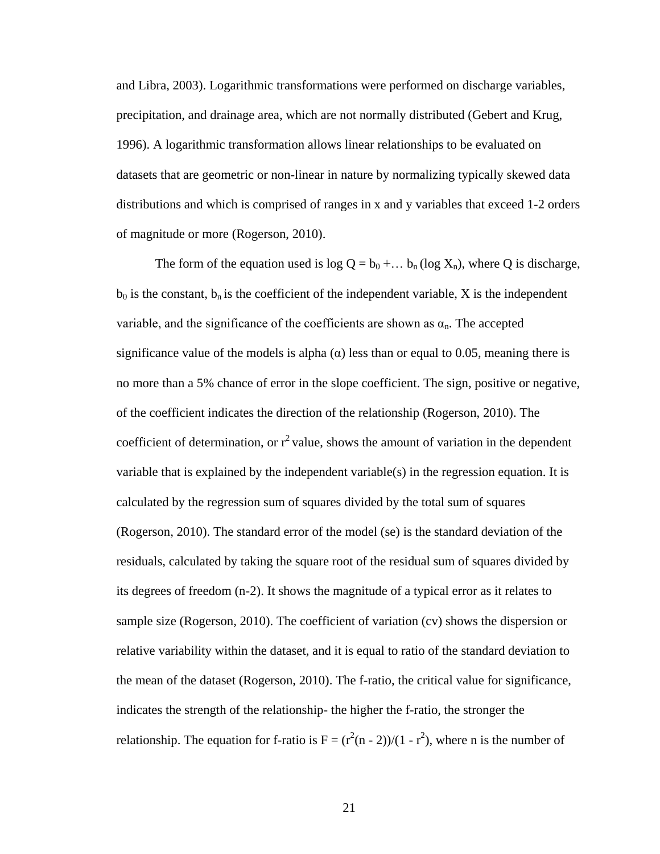and Libra, 2003). Logarithmic transformations were performed on discharge variables, precipitation, and drainage area, which are not normally distributed (Gebert and Krug, 1996). A logarithmic transformation allows linear relationships to be evaluated on datasets that are geometric or non-linear in nature by normalizing typically skewed data distributions and which is comprised of ranges in x and y variables that exceed 1-2 orders of magnitude or more (Rogerson, 2010).

The form of the equation used is  $log Q = b_0 + ... b_n (log X_n)$ , where Q is discharge,  $b_0$  is the constant,  $b_n$  is the coefficient of the independent variable, X is the independent variable, and the significance of the coefficients are shown as  $\alpha_n$ . The accepted significance value of the models is alpha  $\alpha$ ) less than or equal to 0.05, meaning there is no more than a 5% chance of error in the slope coefficient. The sign, positive or negative, of the coefficient indicates the direction of the relationship (Rogerson, 2010). The coefficient of determination, or  $r^2$  value, shows the amount of variation in the dependent variable that is explained by the independent variable(s) in the regression equation. It is calculated by the regression sum of squares divided by the total sum of squares (Rogerson, 2010). The standard error of the model (se) is the standard deviation of the residuals, calculated by taking the square root of the residual sum of squares divided by its degrees of freedom (n-2). It shows the magnitude of a typical error as it relates to sample size (Rogerson, 2010). The coefficient of variation (cv) shows the dispersion or relative variability within the dataset, and it is equal to ratio of the standard deviation to the mean of the dataset (Rogerson, 2010). The f-ratio, the critical value for significance, indicates the strength of the relationship- the higher the f-ratio, the stronger the relationship. The equation for f-ratio is  $F = (r^2(n-2))/(1 - r^2)$ , where n is the number of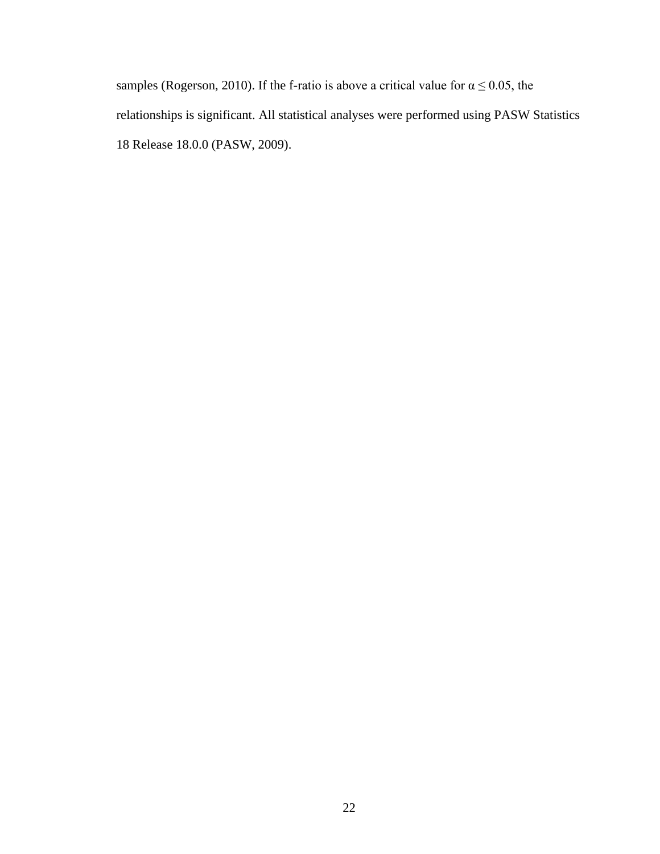samples (Rogerson, 2010). If the f-ratio is above a critical value for  $\alpha \le 0.05$ , the relationships is significant. All statistical analyses were performed using PASW Statistics 18 Release 18.0.0 (PASW, 2009).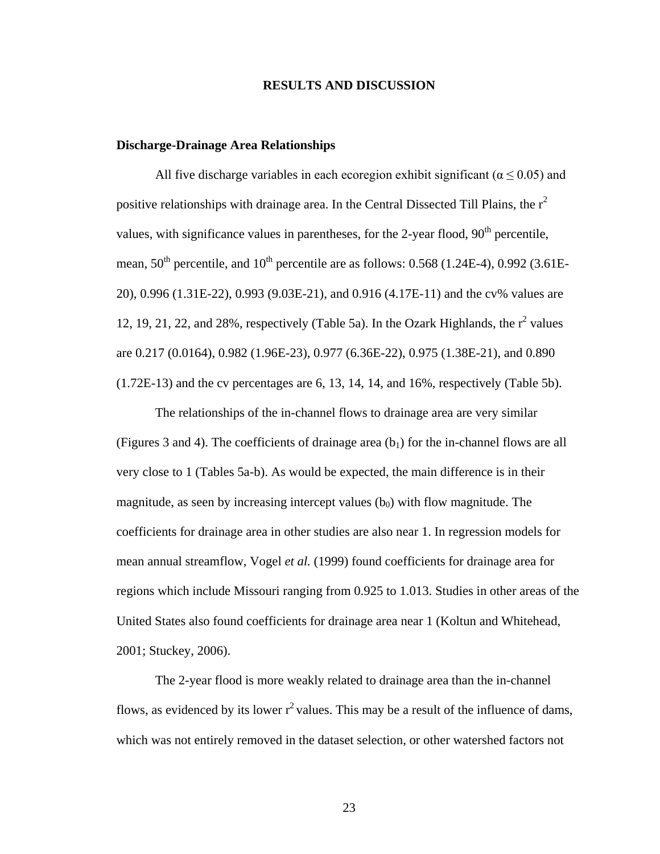#### **RESULTS AND DISCUSSION**

#### **Discharge-Drainage Area Relationships**

All five discharge variables in each ecoregion exhibit significant ( $\alpha \le 0.05$ ) and positive relationships with drainage area. In the Central Dissected Till Plains, the  $r^2$ values, with significance values in parentheses, for the 2-year flood,  $90<sup>th</sup>$  percentile, mean,  $50<sup>th</sup>$  percentile, and  $10<sup>th</sup>$  percentile are as follows: 0.568 (1.24E-4), 0.992 (3.61E-20), 0.996 (1.31E-22), 0.993 (9.03E-21), and 0.916 (4.17E-11) and the cv% values are 12, 19, 21, 22, and 28%, respectively (Table 5a). In the Ozark Highlands, the  $r^2$  values are 0.217 (0.0164), 0.982 (1.96E-23), 0.977 (6.36E-22), 0.975 (1.38E-21), and 0.890 (1.72E-13) and the cv percentages are 6, 13, 14, 14, and 16%, respectively (Table 5b).

The relationships of the in-channel flows to drainage area are very similar (Figures 3 and 4). The coefficients of drainage area  $(b<sub>1</sub>)$  for the in-channel flows are all very close to 1 (Tables 5a-b). As would be expected, the main difference is in their magnitude, as seen by increasing intercept values  $(b<sub>0</sub>)$  with flow magnitude. The coefficients for drainage area in other studies are also near 1. In regression models for mean annual streamflow, Vogel *et al.* (1999) found coefficients for drainage area for regions which include Missouri ranging from 0.925 to 1.013. Studies in other areas of the United States also found coefficients for drainage area near 1 (Koltun and Whitehead, 2001; Stuckey, 2006).

The 2-year flood is more weakly related to drainage area than the in-channel flows, as evidenced by its lower  $r^2$  values. This may be a result of the influence of dams, which was not entirely removed in the dataset selection, or other watershed factors not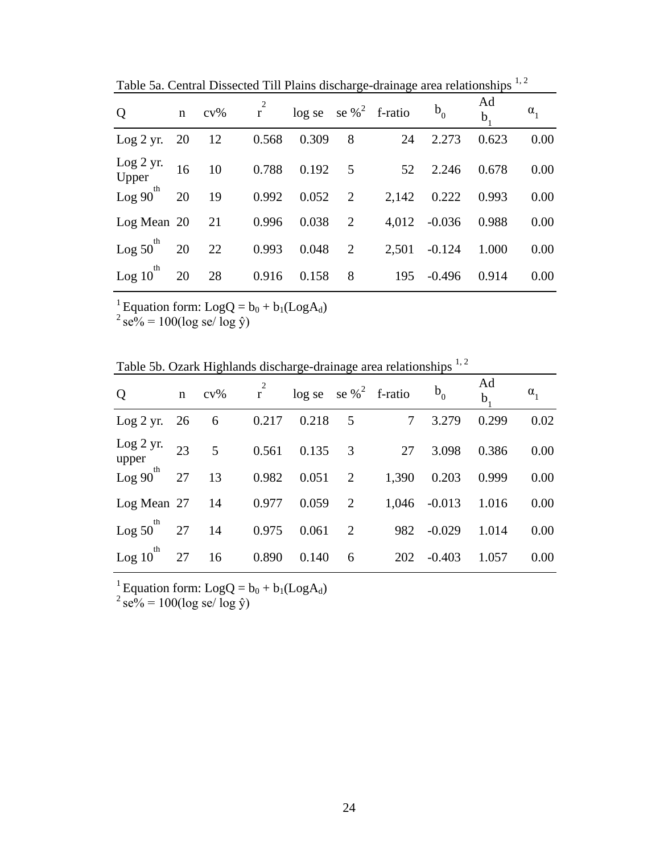| $\overline{Q}$                  | $\mathbf{n}$ | $cv\%$ |       |       |                 | $\vec{r}$ log se se % <sup>2</sup> f-ratio | $b_0$        | Ad<br>$b$ | $\alpha_{1}$ |
|---------------------------------|--------------|--------|-------|-------|-----------------|--------------------------------------------|--------------|-----------|--------------|
| Log 2 yr.                       | 20           | 12     | 0.568 | 0.309 | 8               | 24                                         | 2.273        | 0.623     | 0.00         |
| Log 2 yr.<br>Upper              | 16           | 10     | 0.788 | 0.192 | $5\overline{)}$ | 52                                         | 2.246        | 0.678     | 0.00         |
| $\text{Log } 90^{\text{th}}$ 20 |              | 19     | 0.992 | 0.052 | 2               | 2,142                                      | 0.222        | 0.993     | 0.00         |
| $Log Mean 20$ 21                |              |        | 0.996 | 0.038 | 2               |                                            | 4,012 -0.036 | 0.988     | 0.00         |
| th<br>$Log 50$ <sup>"</sup>     | 20           | 22     | 0.993 | 0.048 | 2               | 2,501                                      | $-0.124$     | 1.000     | 0.00         |
| th<br>$Log 10^{-7}$             | 20           | 28     | 0.916 | 0.158 | 8               | 195                                        | $-0.496$     | 0.914     | 0.00         |

Table 5a. Central Dissected Till Plains discharge-drainage area relationships <sup>1, 2</sup>

<sup>1</sup> Equation form:  $LogQ = b_0 + b_1 (LogA_d)$ 

 $^{2}$  se% = 100(log se/ log ŷ)

Table 5b. Ozark Highlands discharge-drainage area relationships  $^{1,2}$ 

| Q                          | n  | $cv\%$ | $\frac{2}{r}$ | $\log$ se se % <sup>2</sup> f-ratio |                         |       | $b_0$    | Ad<br>b | $\alpha_{1}$ |
|----------------------------|----|--------|---------------|-------------------------------------|-------------------------|-------|----------|---------|--------------|
| Log 2 yr.                  | 26 | 6      | 0.217         | 0.218                               | 5                       | 7     | 3.279    | 0.299   | 0.02         |
| Log 2 yr.<br>upper         | 23 | 5      | 0.561         | 0.135                               | $\overline{\mathbf{3}}$ | 27    | 3.098    | 0.386   | 0.00         |
| $\text{Log } 90^\text{th}$ | 27 | 13     | 0.982         | 0.051                               | 2                       | 1,390 | 0.203    | 0.999   | 0.00         |
| Log Mean 27                |    | -14    | 0.977         | 0.059                               | 2                       | 1,046 | $-0.013$ | 1.016   | 0.00         |
| th<br>Log 50               | 27 | 14     | 0.975         | 0.061                               | 2                       | 982   | $-0.029$ | 1.014   | 0.00         |
| th<br>Log 10               | 27 | 16     | 0.890         | 0.140                               | 6                       | 202   | $-0.403$ | 1.057   | 0.00         |

<sup>1</sup> Equation form:  $LogQ = b_0 + b_1 (LogA_d)$ 

 $^{2}$  se% = 100(log se/ log ŷ)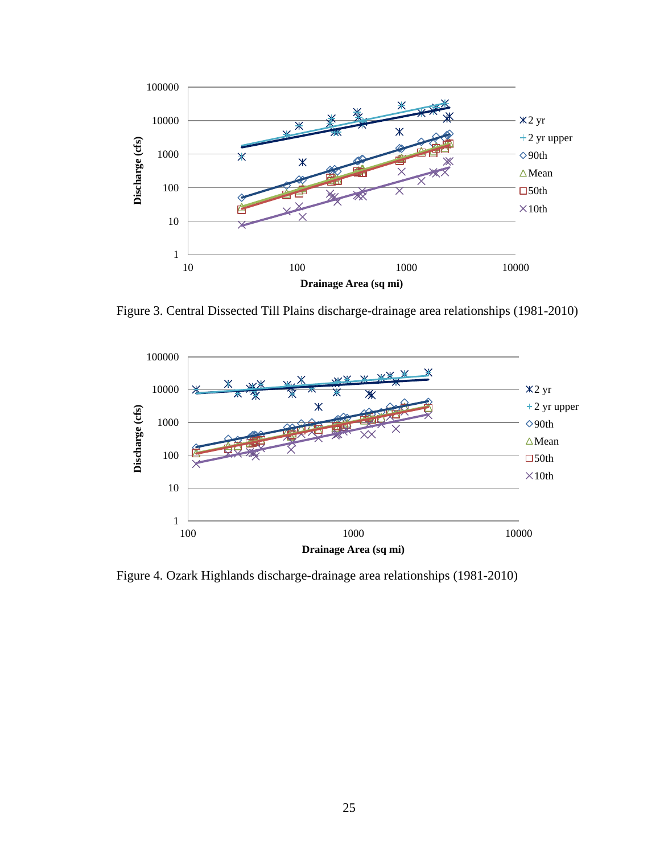

Figure 3. Central Dissected Till Plains discharge-drainage area relationships (1981-2010)



Figure 4. Ozark Highlands discharge-drainage area relationships (1981-2010)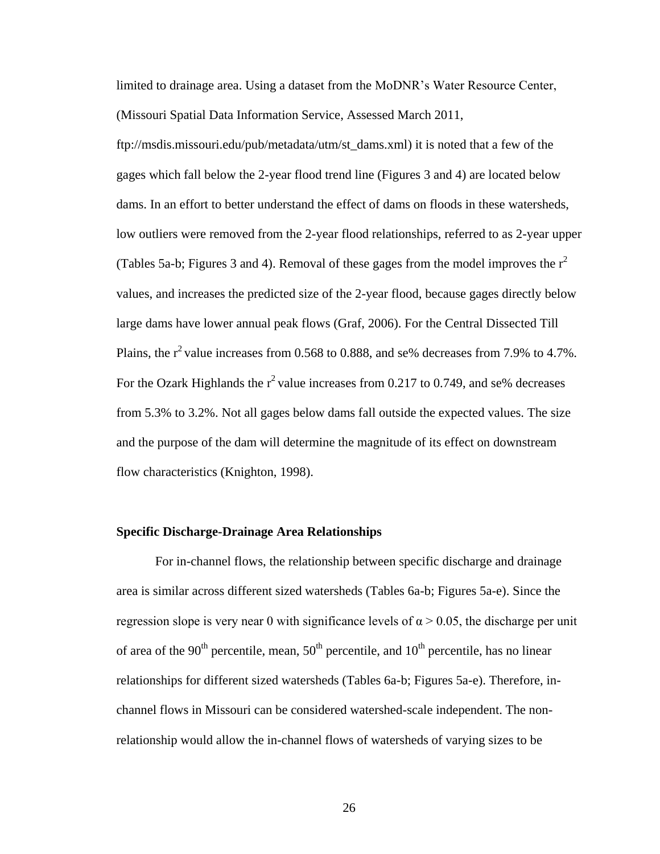limited to drainage area. Using a dataset from the MoDNR's Water Resource Center, (Missouri Spatial Data Information Service, Assessed March 2011,

ftp://msdis.missouri.edu/pub/metadata/utm/st\_dams.xml) it is noted that a few of the gages which fall below the 2-year flood trend line (Figures 3 and 4) are located below dams. In an effort to better understand the effect of dams on floods in these watersheds, low outliers were removed from the 2-year flood relationships, referred to as 2-year upper (Tables 5a-b; Figures 3 and 4). Removal of these gages from the model improves the  $r^2$ values, and increases the predicted size of the 2-year flood, because gages directly below large dams have lower annual peak flows (Graf, 2006). For the Central Dissected Till Plains, the  $r^2$  value increases from 0.568 to 0.888, and se% decreases from 7.9% to 4.7%. For the Ozark Highlands the  $r^2$  value increases from 0.217 to 0.749, and se% decreases from 5.3% to 3.2%. Not all gages below dams fall outside the expected values. The size and the purpose of the dam will determine the magnitude of its effect on downstream flow characteristics (Knighton, 1998).

#### **Specific Discharge-Drainage Area Relationships**

For in-channel flows, the relationship between specific discharge and drainage area is similar across different sized watersheds (Tables 6a-b; Figures 5a-e). Since the regression slope is very near 0 with significance levels of  $\alpha > 0.05$ , the discharge per unit of area of the  $90<sup>th</sup>$  percentile, mean,  $50<sup>th</sup>$  percentile, and  $10<sup>th</sup>$  percentile, has no linear relationships for different sized watersheds (Tables 6a-b; Figures 5a-e). Therefore, inchannel flows in Missouri can be considered watershed-scale independent. The nonrelationship would allow the in-channel flows of watersheds of varying sizes to be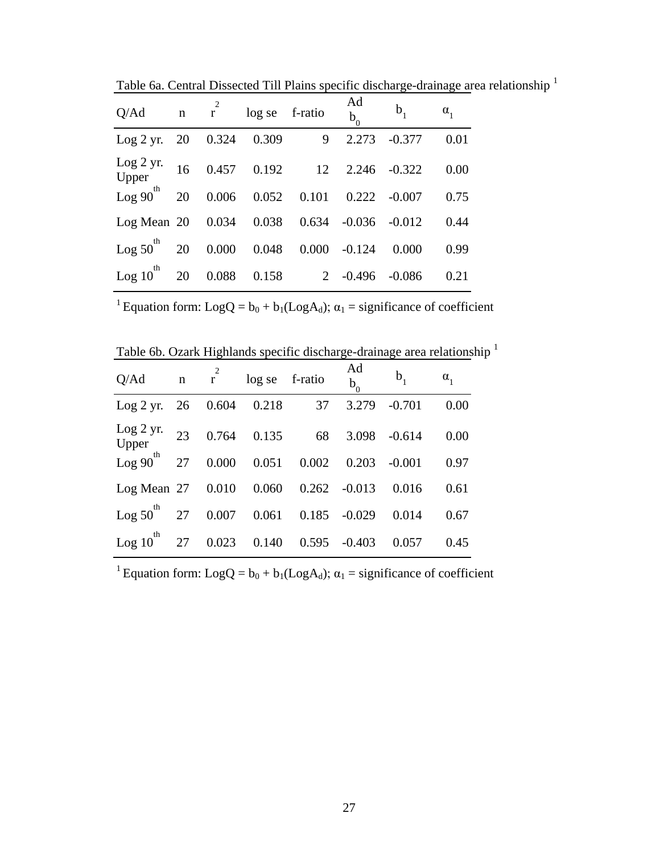| Q/Ad                    |    |          | n r <sup>1</sup> log se f-ratio |                      | Ad<br>$b_0$ | $b_{1}$         | $\alpha_{1}$ |
|-------------------------|----|----------|---------------------------------|----------------------|-------------|-----------------|--------------|
| Log 2 yr.               |    | 20 0.324 | 0.309                           | 9                    | 2.273       | $-0.377$        | 0.01         |
| Log 2 yr.<br>Upper      |    |          |                                 | 16  0.457  0.192  12 |             | $2.246 - 0.322$ | 0.00         |
| $Log 90^{th}$           | 20 |          | $0.006$ $0.052$ 0.101           |                      | 0.222       | $-0.007$        | 0.75         |
| Log Mean 20 0.034 0.038 |    |          |                                 | $0.634 - 0.036$      |             | $-0.012$        | 0.44         |
| $Log 50$ 20 0.000 0.048 |    |          |                                 | 0.000                | $-0.124$    | 0.000           | 0.99         |
| $\log 10^{10}$ 20 0.088 |    |          |                                 | $0.158$ 2 $-0.496$   |             | $-0.086$        | 0.21         |

Table 6a. Central Dissected Till Plains specific discharge-drainage area relationship <sup>1</sup>

<sup>1</sup> Equation form: LogQ =  $b_0 + b_1$ (LogA<sub>d</sub>);  $\alpha_1$  = significance of coefficient

| Table 6b. Ozark Highlands specific discharge-drainage area relationship <sup>1</sup> |  |  |  |
|--------------------------------------------------------------------------------------|--|--|--|

| Q/Ad                                 |  | $n \tbinom{2}{r} \tlog$ se f-ratio |                 | Ad<br>$b_0$ | $b_{1}$  | $\alpha_{1}$ |
|--------------------------------------|--|------------------------------------|-----------------|-------------|----------|--------------|
| $Log 2 yr.$ 26 0.604 0.218           |  |                                    | 37              | 3.279       | $-0.701$ | 0.00         |
| Log 2 yr.<br>Upper                   |  | 23 0.764 0.135 68                  |                 | 3.098       | $-0.614$ | 0.00         |
| $\log 90^{th}$ 27 0.000 0.051 0.002  |  |                                    |                 | 0.203       | $-0.001$ | 0.97         |
| Log Mean 27 0.010 0.060 0.262 -0.013 |  |                                    |                 |             | 0.016    | 0.61         |
| $\log 50$ 27 0.007 0.061 0.185       |  |                                    |                 | $-0.029$    | 0.014    | 0.67         |
| $\log 10^{10}$ 27                    |  | 0.023 0.140                        | $0.595 - 0.403$ |             | 0.057    | 0.45         |

<sup>1</sup> Equation form: LogQ =  $b_0 + b_1$ (LogA<sub>d</sub>);  $\alpha_1$  = significance of coefficient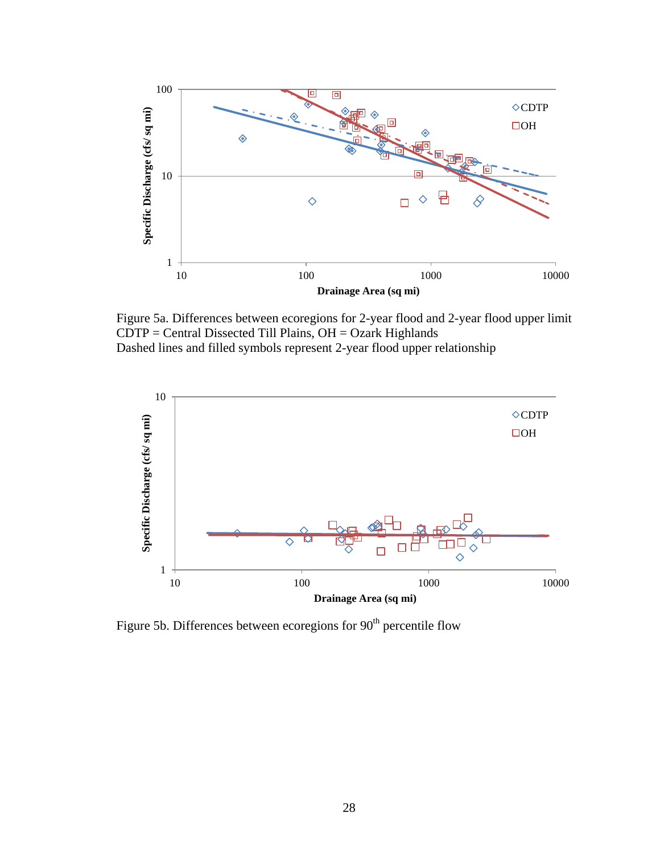

Figure 5a. Differences between ecoregions for 2-year flood and 2-year flood upper limit  $CDTP = Central Dissected Till Plains, OH = Ozark Highlands$ Dashed lines and filled symbols represent 2-year flood upper relationship



Figure 5b. Differences between ecoregions for 90<sup>th</sup> percentile flow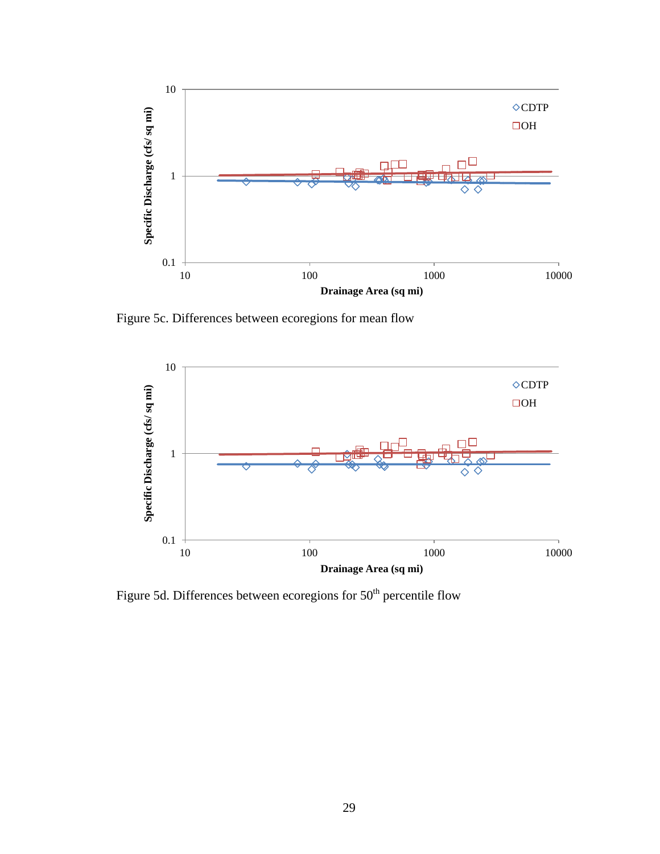

Figure 5c. Differences between ecoregions for mean flow



Figure 5d. Differences between ecoregions for 50<sup>th</sup> percentile flow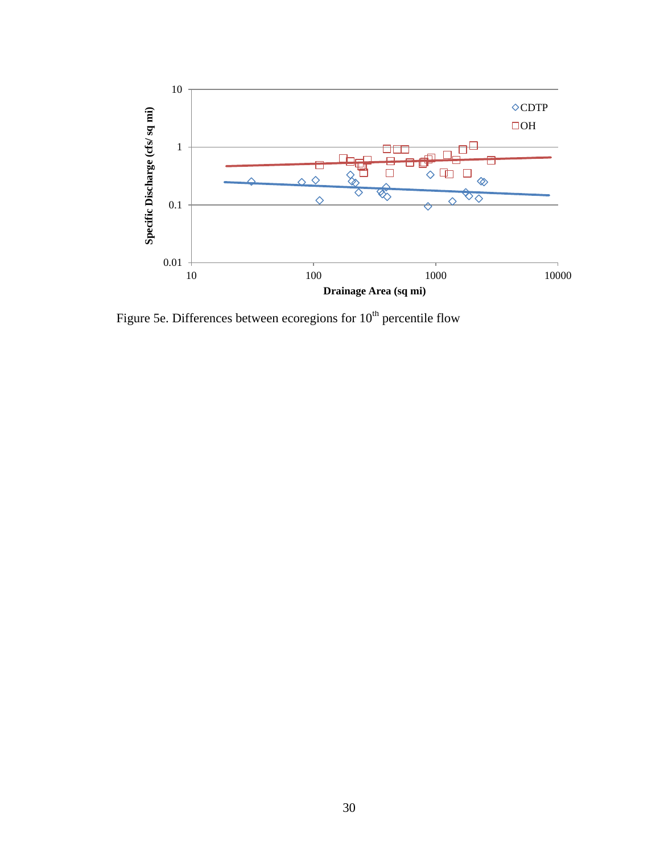

Figure 5e. Differences between ecoregions for  $10^{th}$  percentile flow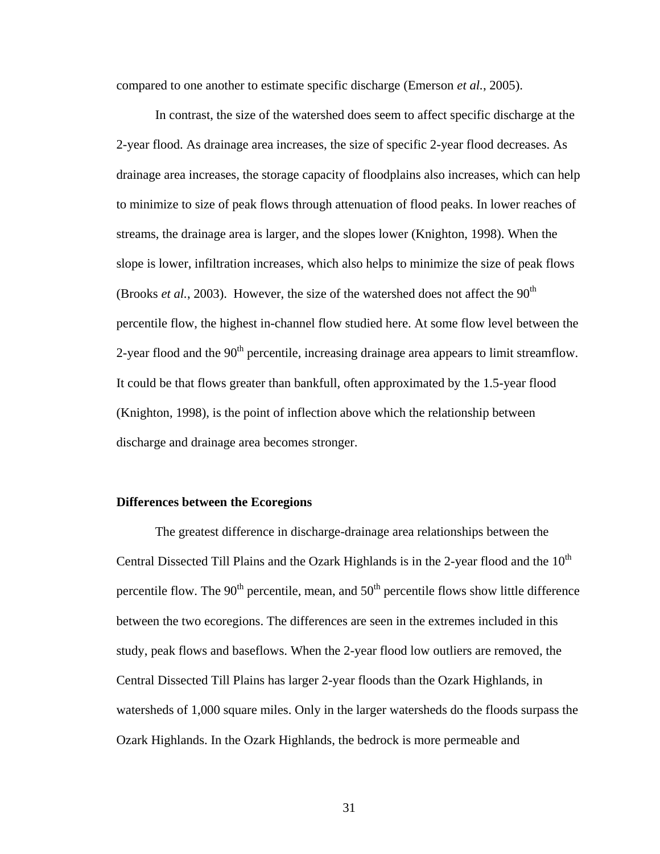compared to one another to estimate specific discharge (Emerson *et al.*, 2005).

In contrast, the size of the watershed does seem to affect specific discharge at the 2-year flood. As drainage area increases, the size of specific 2-year flood decreases. As drainage area increases, the storage capacity of floodplains also increases, which can help to minimize to size of peak flows through attenuation of flood peaks. In lower reaches of streams, the drainage area is larger, and the slopes lower (Knighton, 1998). When the slope is lower, infiltration increases, which also helps to minimize the size of peak flows (Brooks *et al.*, 2003). However, the size of the watershed does not affect the  $90<sup>th</sup>$ percentile flow, the highest in-channel flow studied here. At some flow level between the 2-year flood and the  $90<sup>th</sup>$  percentile, increasing drainage area appears to limit streamflow. It could be that flows greater than bankfull, often approximated by the 1.5-year flood (Knighton, 1998), is the point of inflection above which the relationship between discharge and drainage area becomes stronger.

# **Differences between the Ecoregions**

The greatest difference in discharge-drainage area relationships between the Central Dissected Till Plains and the Ozark Highlands is in the 2-year flood and the  $10<sup>th</sup>$ percentile flow. The  $90<sup>th</sup>$  percentile, mean, and  $50<sup>th</sup>$  percentile flows show little difference between the two ecoregions. The differences are seen in the extremes included in this study, peak flows and baseflows. When the 2-year flood low outliers are removed, the Central Dissected Till Plains has larger 2-year floods than the Ozark Highlands, in watersheds of 1,000 square miles. Only in the larger watersheds do the floods surpass the Ozark Highlands. In the Ozark Highlands, the bedrock is more permeable and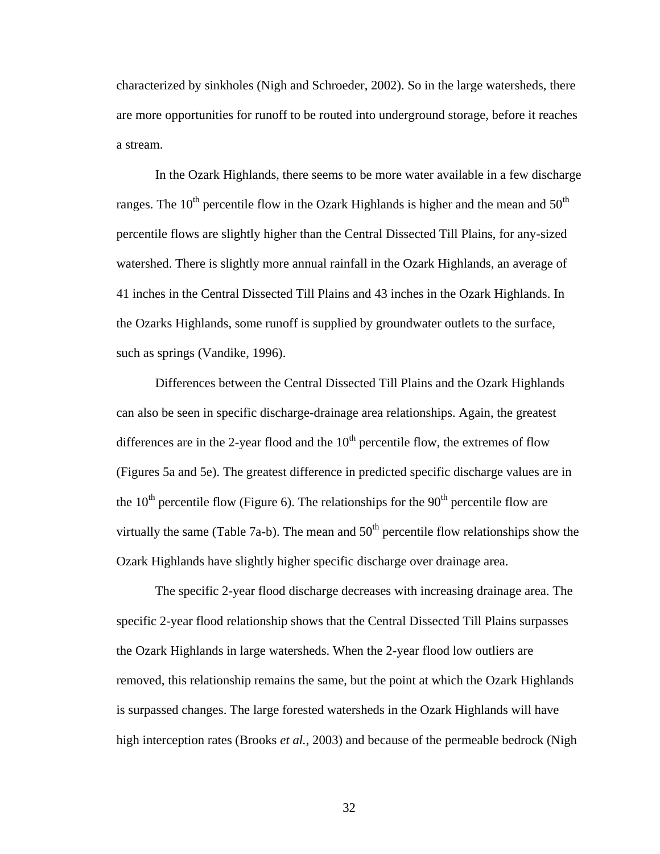characterized by sinkholes (Nigh and Schroeder, 2002). So in the large watersheds, there are more opportunities for runoff to be routed into underground storage, before it reaches a stream.

In the Ozark Highlands, there seems to be more water available in a few discharge ranges. The  $10<sup>th</sup>$  percentile flow in the Ozark Highlands is higher and the mean and  $50<sup>th</sup>$ percentile flows are slightly higher than the Central Dissected Till Plains, for any-sized watershed. There is slightly more annual rainfall in the Ozark Highlands, an average of 41 inches in the Central Dissected Till Plains and 43 inches in the Ozark Highlands. In the Ozarks Highlands, some runoff is supplied by groundwater outlets to the surface, such as springs (Vandike, 1996).

Differences between the Central Dissected Till Plains and the Ozark Highlands can also be seen in specific discharge-drainage area relationships. Again, the greatest differences are in the 2-year flood and the  $10<sup>th</sup>$  percentile flow, the extremes of flow (Figures 5a and 5e). The greatest difference in predicted specific discharge values are in the  $10<sup>th</sup>$  percentile flow (Figure 6). The relationships for the  $90<sup>th</sup>$  percentile flow are virtually the same (Table 7a-b). The mean and  $50<sup>th</sup>$  percentile flow relationships show the Ozark Highlands have slightly higher specific discharge over drainage area.

The specific 2-year flood discharge decreases with increasing drainage area. The specific 2-year flood relationship shows that the Central Dissected Till Plains surpasses the Ozark Highlands in large watersheds. When the 2-year flood low outliers are removed, this relationship remains the same, but the point at which the Ozark Highlands is surpassed changes. The large forested watersheds in the Ozark Highlands will have high interception rates (Brooks *et al.*, 2003) and because of the permeable bedrock (Nigh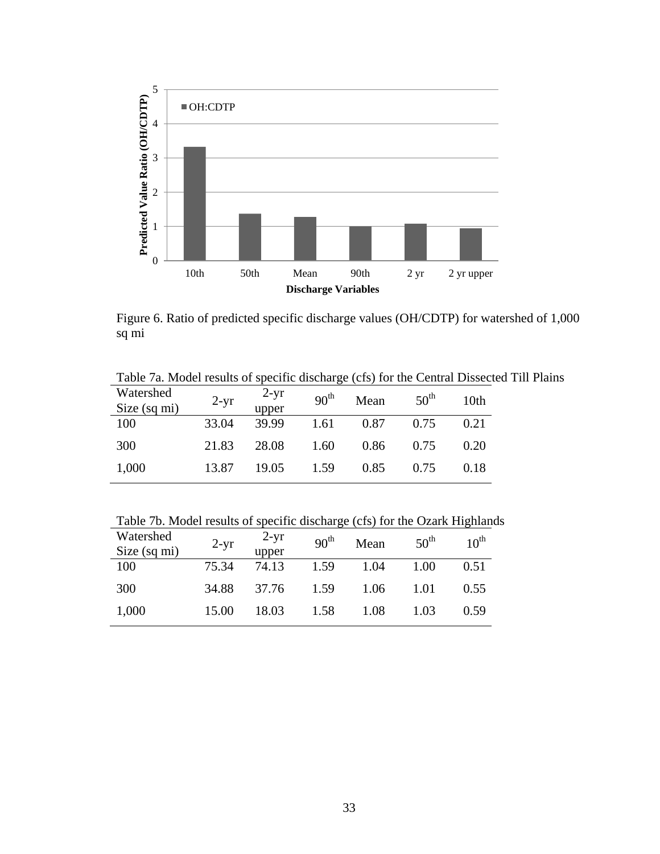

Figure 6. Ratio of predicted specific discharge values (OH/CDTP) for watershed of 1,000 sq mi

| Watershed<br>Size (sq mi) | $2-yr$ | $2-yr$<br>upper | 90 <sup>th</sup> | Mean | 50 <sup>th</sup> | 10th |
|---------------------------|--------|-----------------|------------------|------|------------------|------|
| 100                       | 33.04  | 39.99           | 1.61             | 0.87 | 0.75             | 0.21 |
| 300                       | 21.83  | 28.08           | 1.60             | 0.86 | 0.75             | 0.20 |
| 1,000                     | 13.87  | 19.05           | 1.59             | 0.85 | 0.75             | 0.18 |

Table 7b. Model results of specific discharge (cfs) for the Ozark Highlands

| Watershed<br>Size (sq mi) | $2-yr$ | $2-yr$<br>upper | 90 <sup>th</sup> | Mean | $50^{\text{th}}$ | $10^{\text{th}}$ |
|---------------------------|--------|-----------------|------------------|------|------------------|------------------|
| 100                       | 75.34  | 74.13           | 1.59             | 1.04 | 1.00             | 0.51             |
| 300                       | 34.88  | 37.76           | 1.59             | 1.06 | 1.01             | 0.55             |
| 1,000                     | 15.00  | 18.03           | 1.58             | 1.08 | 1.03             | 0.59             |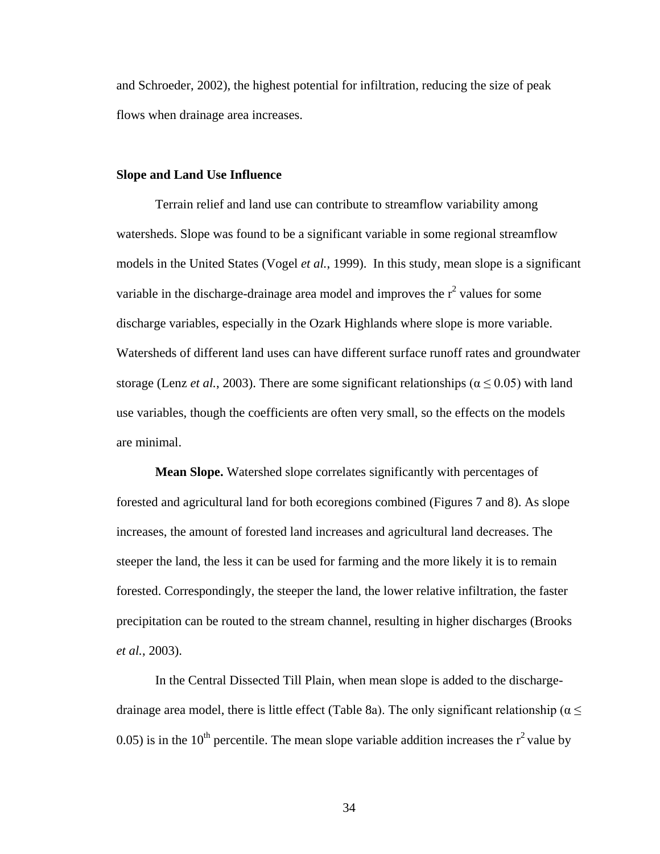and Schroeder, 2002), the highest potential for infiltration, reducing the size of peak flows when drainage area increases.

# **Slope and Land Use Influence**

Terrain relief and land use can contribute to streamflow variability among watersheds. Slope was found to be a significant variable in some regional streamflow models in the United States (Vogel *et al.*, 1999). In this study, mean slope is a significant variable in the discharge-drainage area model and improves the  $r^2$  values for some discharge variables, especially in the Ozark Highlands where slope is more variable. Watersheds of different land uses can have different surface runoff rates and groundwater storage (Lenz *et al.*, 2003). There are some significant relationships ( $\alpha \le 0.05$ ) with land use variables, though the coefficients are often very small, so the effects on the models are minimal.

**Mean Slope.** Watershed slope correlates significantly with percentages of forested and agricultural land for both ecoregions combined (Figures 7 and 8). As slope increases, the amount of forested land increases and agricultural land decreases. The steeper the land, the less it can be used for farming and the more likely it is to remain forested. Correspondingly, the steeper the land, the lower relative infiltration, the faster precipitation can be routed to the stream channel, resulting in higher discharges (Brooks *et al.*, 2003).

In the Central Dissected Till Plain, when mean slope is added to the dischargedrainage area model, there is little effect (Table 8a). The only significant relationship ( $\alpha \leq$ 0.05) is in the 10<sup>th</sup> percentile. The mean slope variable addition increases the  $r^2$  value by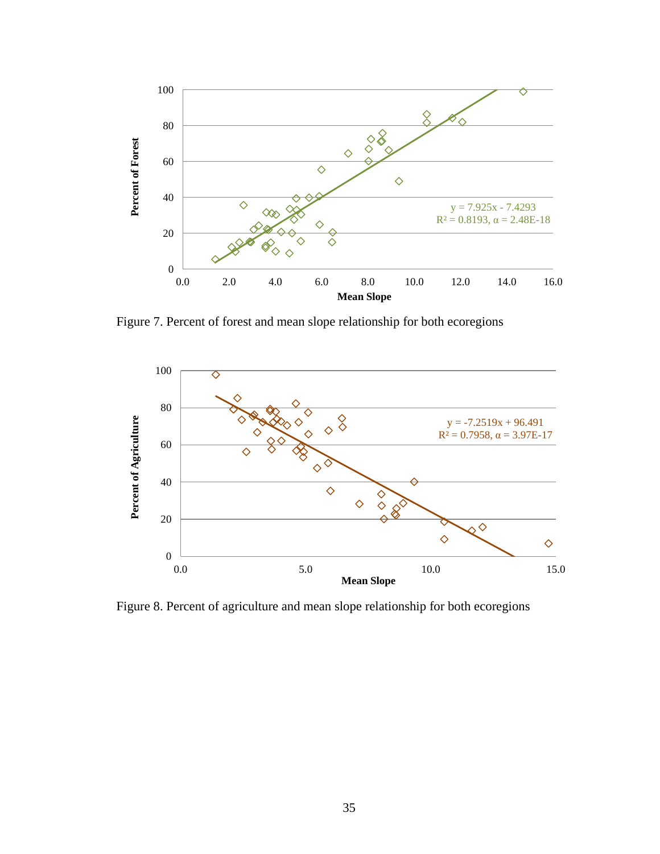

Figure 7. Percent of forest and mean slope relationship for both ecoregions



Figure 8. Percent of agriculture and mean slope relationship for both ecoregions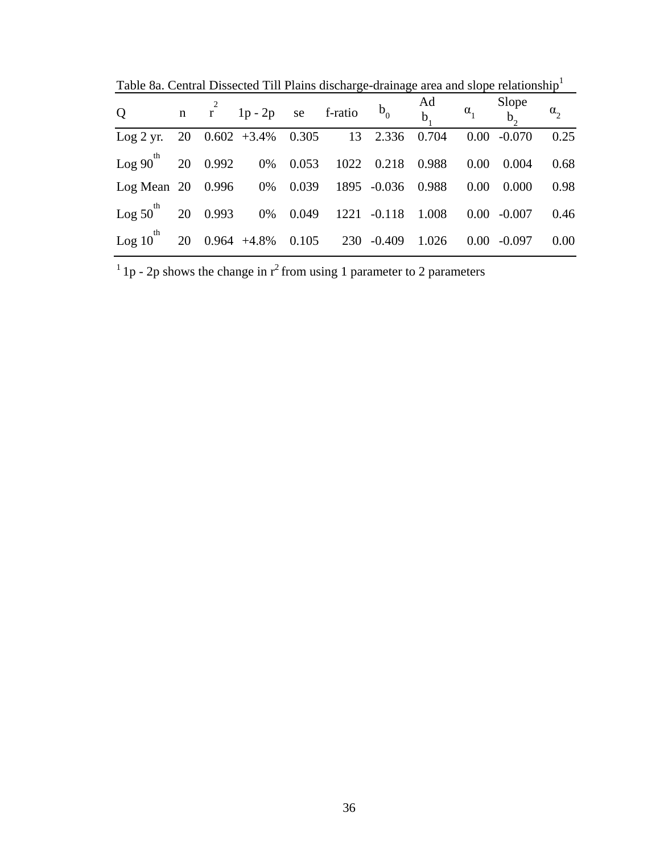|  | Table 8a. Central Dissected Till Plains discharge-drainage area and slope relationship <sup>1</sup> |  |  |  |
|--|-----------------------------------------------------------------------------------------------------|--|--|--|
|  |                                                                                                     |  |  |  |
|  |                                                                                                     |  |  |  |
|  |                                                                                                     |  |  |  |

| $Q \qquad \qquad$                                                            |  | n $r^2$ 1p-2p se f-ratio $b_0$ Ad $\alpha_1$ Slope $\alpha_2$ |  |  |                |      |
|------------------------------------------------------------------------------|--|---------------------------------------------------------------|--|--|----------------|------|
| Log 2 yr. 20 $0.602 +3.4\%$ $0.305$ 13 2.336 0.704 0.00 -0.070               |  |                                                               |  |  |                | 0.25 |
| $\log 90$ <sup>th</sup> 20 0.992 0% 0.053 1022 0.218 0.988 0.00              |  |                                                               |  |  | 0.004          | 0.68 |
| Log Mean 20 0.996 0% 0.039 1895 -0.036 0.988 0.00                            |  |                                                               |  |  | 0.000          | 0.98 |
| $\text{Log } 50^{\text{th}}$ 20 0.993 0% 0.049 1221 -0.118 1.008 0.00 -0.007 |  |                                                               |  |  |                | 0.46 |
| Log 10 <sup>th</sup> 20 0.964 +4.8% 0.105 230 -0.409 1.026                   |  |                                                               |  |  | $0.00 - 0.097$ | 0.00 |

 $1$ <sub>1</sub> p - 2p shows the change in  $r^2$  from using 1 parameter to 2 parameters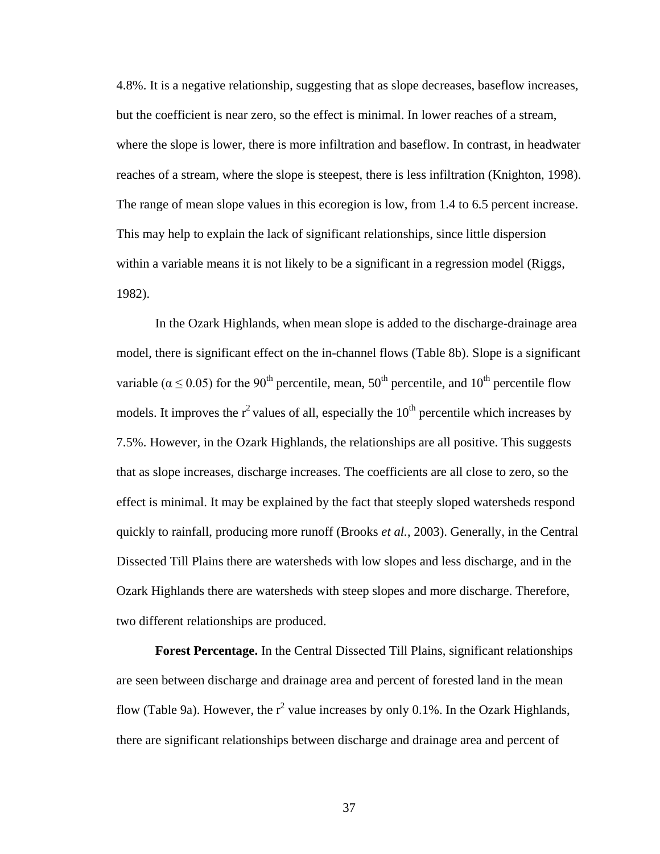4.8%. It is a negative relationship, suggesting that as slope decreases, baseflow increases, but the coefficient is near zero, so the effect is minimal. In lower reaches of a stream, where the slope is lower, there is more infiltration and baseflow. In contrast, in headwater reaches of a stream, where the slope is steepest, there is less infiltration (Knighton, 1998). The range of mean slope values in this ecoregion is low, from 1.4 to 6.5 percent increase. This may help to explain the lack of significant relationships, since little dispersion within a variable means it is not likely to be a significant in a regression model (Riggs, 1982).

In the Ozark Highlands, when mean slope is added to the discharge-drainage area model, there is significant effect on the in-channel flows (Table 8b). Slope is a significant variable ( $\alpha \le 0.05$ ) for the 90<sup>th</sup> percentile, mean, 50<sup>th</sup> percentile, and 10<sup>th</sup> percentile flow models. It improves the  $r^2$  values of all, especially the  $10<sup>th</sup>$  percentile which increases by 7.5%. However, in the Ozark Highlands, the relationships are all positive. This suggests that as slope increases, discharge increases. The coefficients are all close to zero, so the effect is minimal. It may be explained by the fact that steeply sloped watersheds respond quickly to rainfall, producing more runoff (Brooks *et al.*, 2003). Generally, in the Central Dissected Till Plains there are watersheds with low slopes and less discharge, and in the Ozark Highlands there are watersheds with steep slopes and more discharge. Therefore, two different relationships are produced.

**Forest Percentage.** In the Central Dissected Till Plains, significant relationships are seen between discharge and drainage area and percent of forested land in the mean flow (Table 9a). However, the  $r^2$  value increases by only 0.1%. In the Ozark Highlands, there are significant relationships between discharge and drainage area and percent of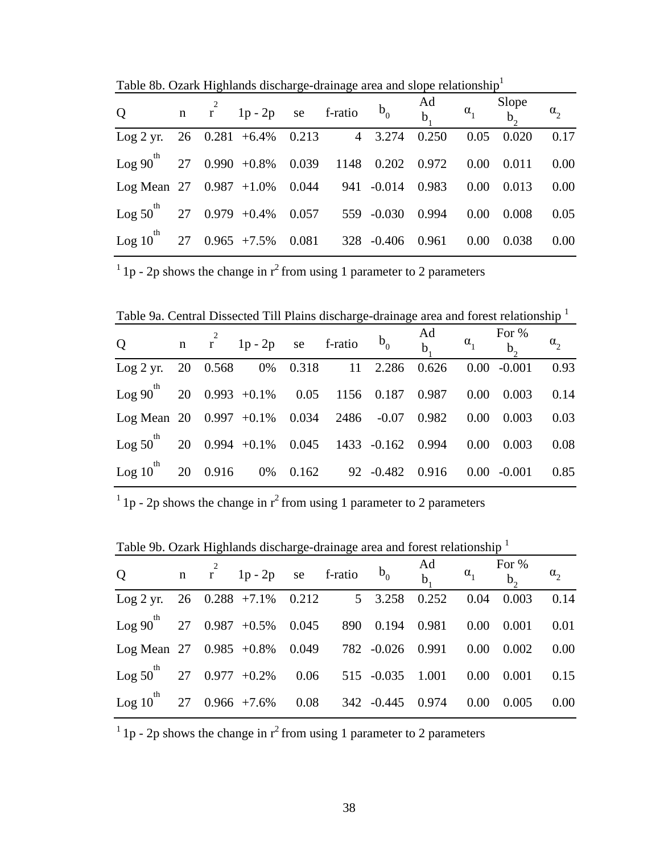Table 8b. Ozark Highlands discharge-drainage area and slope relationship<sup>1</sup>

| Q n $r^2$ 1p-2p se f-ratio $b_0$ $\begin{matrix} \n\text{Ad} \\ \n\text{B} \n\end{matrix}$ $\begin{matrix} a_1 \\ \n\text{B} \n\end{matrix}$ $\begin{matrix} \n\text{Slope} \\ \n\text{C}_2 \n\end{matrix}$ |  |  |  |  |       |      |
|-------------------------------------------------------------------------------------------------------------------------------------------------------------------------------------------------------------|--|--|--|--|-------|------|
| Log 2 yr. 26 0.281 +6.4% 0.213 4 3.274 0.250 0.05 0.020 0.17                                                                                                                                                |  |  |  |  |       |      |
| Log $90^{th}$ 27 0.990 +0.8% 0.039 1148 0.202 0.972 0.00 0.011 0.00                                                                                                                                         |  |  |  |  |       |      |
| Log Mean $27$ $0.987$ $+1.0\%$ $0.044$ $941$ $-0.014$ $0.983$ $0.00$ $0.013$ $0.00$                                                                                                                         |  |  |  |  |       |      |
| $\text{Log } 50^{\text{th}}$ 27 0.979 +0.4% 0.057 559 -0.030 0.994 0.00 0.008 0.05                                                                                                                          |  |  |  |  |       |      |
| Log 10 <sup>th</sup> 27 0.965 +7.5% 0.081 328 -0.406 0.961 0.00                                                                                                                                             |  |  |  |  | 0.038 | 0.00 |

 $1$  1p - 2p shows the change in  $r^2$  from using 1 parameter to 2 parameters

Table 9a. Central Dissected Till Plains discharge-drainage area and forest relationship <sup>1</sup>

| Q n $r^2$ 1p-2p se f-ratio $b_0$ $\begin{matrix} \n\text{Ad} \\ \n\text{B} \n\end{matrix}$ $\begin{matrix} \n\text{C} \\ \n\text{D} \n\end{matrix}$ $\begin{matrix} \n\text{C} \\ \n\text{D} \n\end{matrix}$ $\begin{matrix} \n\text{C} \\ \n\text{D} \n\end{matrix}$ $\begin{matrix} \n\text{C} \\ \n\text{D} \n\end{matrix}$ $\begin{matrix} \n\text{C} \\ \n\text{D} \n\end{matrix}$ $\begin{matrix} \n$ |  |  |  |  |  |
|-------------------------------------------------------------------------------------------------------------------------------------------------------------------------------------------------------------------------------------------------------------------------------------------------------------------------------------------------------------------------------------------------------------|--|--|--|--|--|
| Log 2 yr. 20 0.568 0% 0.318 11 2.286 0.626 0.00 -0.001 0.93                                                                                                                                                                                                                                                                                                                                                 |  |  |  |  |  |
| Log $90^{th}$ 20 0.993 +0.1% 0.05 1156 0.187 0.987 0.00 0.003 0.14                                                                                                                                                                                                                                                                                                                                          |  |  |  |  |  |
| Log Mean 20 0.997 +0.1% 0.034 2486 -0.07 0.982 0.00 0.003 0.03                                                                                                                                                                                                                                                                                                                                              |  |  |  |  |  |
| Log $50^{th}$ 20 0.994 +0.1% 0.045 1433 -0.162 0.994 0.00 0.003 0.08                                                                                                                                                                                                                                                                                                                                        |  |  |  |  |  |
| Log 10 <sup>th</sup> 20 0.916 0% 0.162 92 -0.482 0.916 0.00 -0.001 0.85                                                                                                                                                                                                                                                                                                                                     |  |  |  |  |  |

 $1$  1p - 2p shows the change in  $r^2$  from using 1 parameter to 2 parameters

Table 9b. Ozark Highlands discharge-drainage area and forest relationship <sup>1</sup>

| Q n $r^2$ 1p-2p se f-ratio $b_0$ $\begin{matrix} \n\text{Ad} \\ \n\text{B} \n\end{matrix}$ $\begin{matrix} \n\text{For } \% \\ \n\text{B} \n\end{matrix}$ $\begin{matrix} \n\text{For } \% \\ \n\text{B} \n\end{matrix}$ $\begin{matrix} \n\text{For } \% \\ \n\text{C} \n\end{matrix}$ |  |  |  |  |          |
|-----------------------------------------------------------------------------------------------------------------------------------------------------------------------------------------------------------------------------------------------------------------------------------------|--|--|--|--|----------|
| Log 2 yr. 26 0.288 +7.1% 0.212 5 3.258 0.252 0.04 0.003 0.14                                                                                                                                                                                                                            |  |  |  |  |          |
| Log 90 <sup>th</sup> 27 0.987 +0.5% 0.045 890 0.194 0.981 0.00 0.001                                                                                                                                                                                                                    |  |  |  |  | 0.01     |
| Log Mean 27 $0.985 +0.8\%$ 0.049 782 -0.026 0.991 0.00 0.002 0.00                                                                                                                                                                                                                       |  |  |  |  |          |
| Log $50^{th}$ 27 0.977 +0.2% 0.06 515 -0.035 1.001 0.00 0.001                                                                                                                                                                                                                           |  |  |  |  | 0.15     |
| Log 10 <sup>th</sup> 27 0.966 +7.6% 0.08 342 -0.445 0.974 0.00 0.005                                                                                                                                                                                                                    |  |  |  |  | $0.00\,$ |

<sup>1</sup> 1p - 2p shows the change in  $r^2$  from using 1 parameter to 2 parameters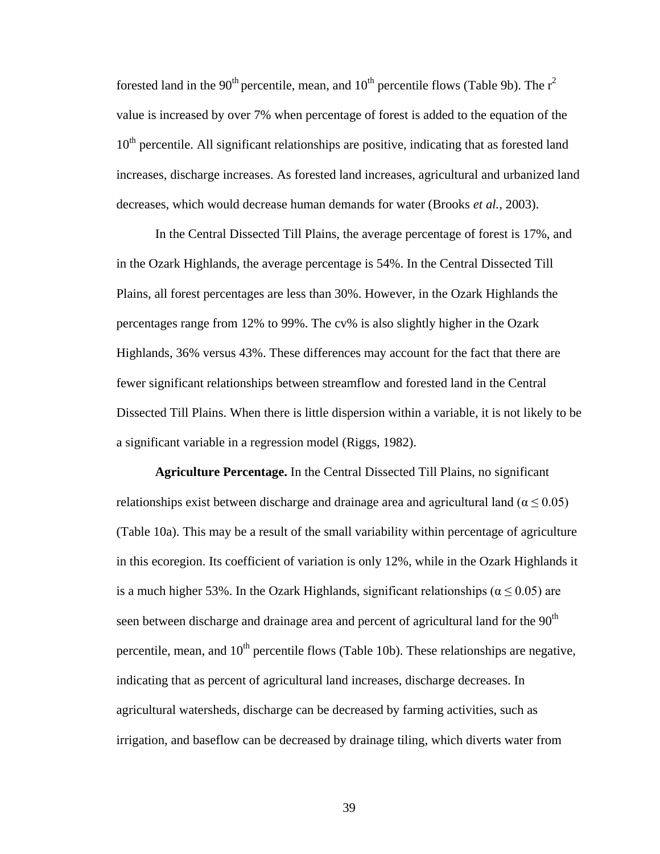forested land in the 90<sup>th</sup> percentile, mean, and  $10<sup>th</sup>$  percentile flows (Table 9b). The  $r<sup>2</sup>$ value is increased by over 7% when percentage of forest is added to the equation of the  $10<sup>th</sup>$  percentile. All significant relationships are positive, indicating that as forested land increases, discharge increases. As forested land increases, agricultural and urbanized land decreases, which would decrease human demands for water (Brooks *et al.*, 2003).

In the Central Dissected Till Plains, the average percentage of forest is 17%, and in the Ozark Highlands, the average percentage is 54%. In the Central Dissected Till Plains, all forest percentages are less than 30%. However, in the Ozark Highlands the percentages range from 12% to 99%. The cv% is also slightly higher in the Ozark Highlands, 36% versus 43%. These differences may account for the fact that there are fewer significant relationships between streamflow and forested land in the Central Dissected Till Plains. When there is little dispersion within a variable, it is not likely to be a significant variable in a regression model (Riggs, 1982).

**Agriculture Percentage.** In the Central Dissected Till Plains, no significant relationships exist between discharge and drainage area and agricultural land ( $\alpha \le 0.05$ ) (Table 10a). This may be a result of the small variability within percentage of agriculture in this ecoregion. Its coefficient of variation is only 12%, while in the Ozark Highlands it is a much higher 53%. In the Ozark Highlands, significant relationships ( $\alpha \le 0.05$ ) are seen between discharge and drainage area and percent of agricultural land for the  $90<sup>th</sup>$ percentile, mean, and  $10^{th}$  percentile flows (Table 10b). These relationships are negative, indicating that as percent of agricultural land increases, discharge decreases. In agricultural watersheds, discharge can be decreased by farming activities, such as irrigation, and baseflow can be decreased by drainage tiling, which diverts water from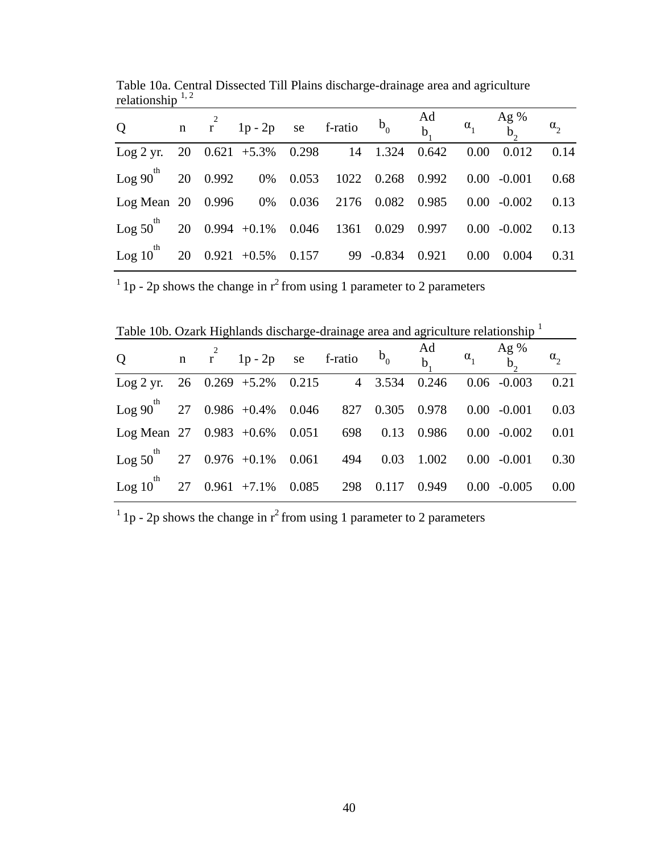| Q n $r^2$ 1p-2p se f-ratio $b_0$ $\begin{matrix} \n\text{Ad} \\ \n\text{B} \\ \n\text{B} \n\end{matrix}$ $\begin{matrix} \n\text{A}g & \alpha_1 \\ \n\text{B} \\ \n\text{C} \n\end{matrix}$ $\begin{matrix} \n\text{A}g & \alpha_2 \\ \n\text{B} \\ \n\text{C} \n\end{matrix}$ |  |  |  |          |              |      |
|--------------------------------------------------------------------------------------------------------------------------------------------------------------------------------------------------------------------------------------------------------------------------------|--|--|--|----------|--------------|------|
| Log 2 yr. 20 $0.621 + 5.3\%$ 0.298 14 1.324 0.642                                                                                                                                                                                                                              |  |  |  | $0.00\,$ | 0.012        | 0.14 |
| $\log 90^{th}$ 20 0.992 0% 0.053 1022 0.268 0.992 0.00 -0.001 0.68                                                                                                                                                                                                             |  |  |  |          |              |      |
| Log Mean 20 0.996 0% 0.036 2176 0.082 0.985 0.00 -0.002 0.13                                                                                                                                                                                                                   |  |  |  |          |              |      |
| $\log 50^{th}$ 20 0.994 +0.1% 0.046 1361 0.029 0.997 0.00 -0.002 0.13                                                                                                                                                                                                          |  |  |  |          |              |      |
| Log 10 <sup>th</sup> 20 0.921 +0.5% 0.157 99 -0.834 0.921 0.00                                                                                                                                                                                                                 |  |  |  |          | $0.004$ 0.31 |      |

Table 10a. Central Dissected Till Plains discharge-drainage area and agriculture relationship  $1, 2$ 

 $1<sup>1</sup>$  1p - 2p shows the change in  $r<sup>2</sup>$  from using 1 parameter to 2 parameters

Table 10b. Ozark Highlands discharge-drainage area and agriculture relationship <sup>1</sup>

| Q n $r^2$ 1p-2p se f-ratio $b_0$ $\begin{matrix} \n\text{Ad} \\ \n\text{B} \n\end{matrix}$ $\begin{matrix} \n\text{Ad} \\ \n\text{C} \n\end{matrix}$ $\begin{matrix} \n\text{A}g & \alpha_1 \\ \n\text{B} & \alpha_2 \n\end{matrix}$ |  |  |  |  |                         |          |
|--------------------------------------------------------------------------------------------------------------------------------------------------------------------------------------------------------------------------------------|--|--|--|--|-------------------------|----------|
| Log 2 yr. 26 $0.269 + 5.2\%$ 0.215 4 3.534 0.246 0.06 -0.003                                                                                                                                                                         |  |  |  |  |                         | 0.21     |
| $\log 90^{th}$ 27 0.986 +0.4% 0.046 827 0.305 0.978 0.00 -0.001                                                                                                                                                                      |  |  |  |  |                         | 0.03     |
| Log Mean 27 0.983 +0.6% 0.051 698 0.13 0.986 0.00 -0.002                                                                                                                                                                             |  |  |  |  |                         | 0.01     |
| $\log 50^{th}$ 27 0.976 +0.1% 0.061 494 0.03 1.002 0.00 -0.001                                                                                                                                                                       |  |  |  |  |                         | 0.30     |
| Log 10 <sup>th</sup> 27 0.961 +7.1% 0.085 298 0.117                                                                                                                                                                                  |  |  |  |  | $0.949$ $0.00$ $-0.005$ | $0.00\,$ |

 $1$  1p - 2p shows the change in  $r^2$  from using 1 parameter to 2 parameters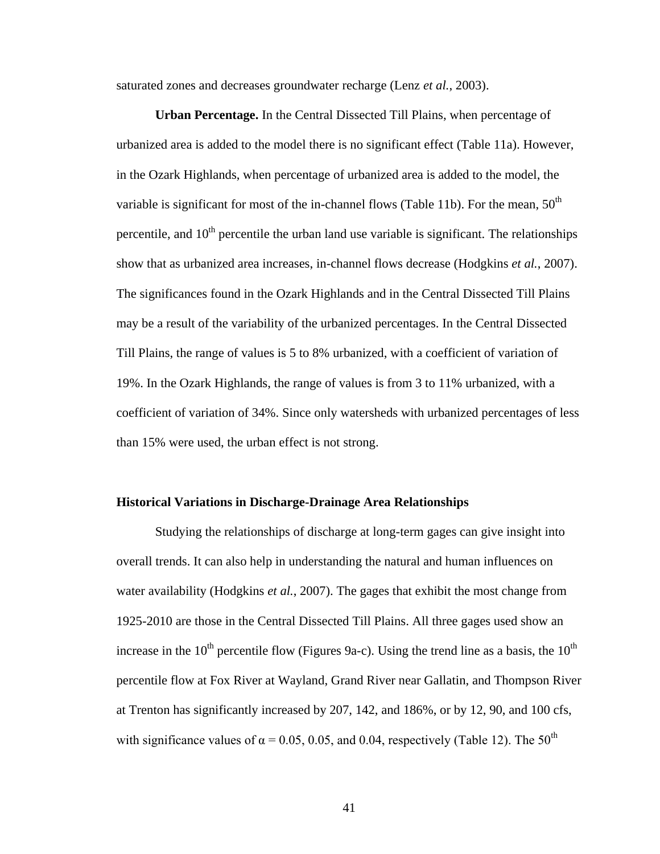saturated zones and decreases groundwater recharge (Lenz *et al.*, 2003).

**Urban Percentage.** In the Central Dissected Till Plains, when percentage of urbanized area is added to the model there is no significant effect (Table 11a). However, in the Ozark Highlands, when percentage of urbanized area is added to the model, the variable is significant for most of the in-channel flows (Table 11b). For the mean,  $50<sup>th</sup>$ percentile, and  $10<sup>th</sup>$  percentile the urban land use variable is significant. The relationships show that as urbanized area increases, in-channel flows decrease (Hodgkins *et al.*, 2007). The significances found in the Ozark Highlands and in the Central Dissected Till Plains may be a result of the variability of the urbanized percentages. In the Central Dissected Till Plains, the range of values is 5 to 8% urbanized, with a coefficient of variation of 19%. In the Ozark Highlands, the range of values is from 3 to 11% urbanized, with a coefficient of variation of 34%. Since only watersheds with urbanized percentages of less than 15% were used, the urban effect is not strong.

# **Historical Variations in Discharge-Drainage Area Relationships**

Studying the relationships of discharge at long-term gages can give insight into overall trends. It can also help in understanding the natural and human influences on water availability (Hodgkins *et al.*, 2007). The gages that exhibit the most change from 1925-2010 are those in the Central Dissected Till Plains. All three gages used show an increase in the 10<sup>th</sup> percentile flow (Figures 9a-c). Using the trend line as a basis, the 10<sup>th</sup> percentile flow at Fox River at Wayland, Grand River near Gallatin, and Thompson River at Trenton has significantly increased by 207, 142, and 186%, or by 12, 90, and 100 cfs, with significance values of  $\alpha$  = 0.05, 0.05, and 0.04, respectively (Table 12). The 50<sup>th</sup>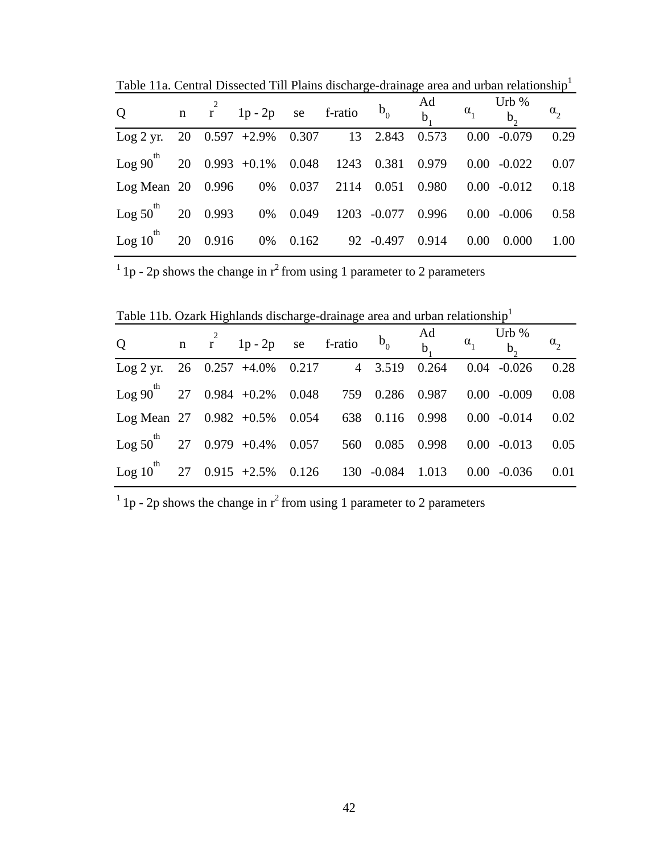| Q n $r^2$ 1p-2p se f-ratio $b_0$ $\begin{matrix} \n\text{Ad} \\ \n\text{B} \\ \n\text{B} \n\end{matrix}$ $\begin{matrix} \n\text{Orb } 96 \\ \n\text{C} \\ \n\text{D}_1 \n\end{matrix}$ $\begin{matrix} \n\text{Orb } 96 \\ \n\text{C} \\ \n\text{D}_2 \n\end{matrix}$ |  |  |  |          |       |      |
|------------------------------------------------------------------------------------------------------------------------------------------------------------------------------------------------------------------------------------------------------------------------|--|--|--|----------|-------|------|
| Log 2 yr. 20 0.597 +2.9% 0.307 13 2.843 0.573 0.00 -0.079 0.29                                                                                                                                                                                                         |  |  |  |          |       |      |
| Log 90 <sup>th</sup> 20 0.993 +0.1% 0.048 1243 0.381 0.979 0.00 -0.022 0.07                                                                                                                                                                                            |  |  |  |          |       |      |
| Log Mean 20 0.996 0% 0.037 2114 0.051 0.980 0.00 -0.012 0.18                                                                                                                                                                                                           |  |  |  |          |       |      |
| $\log 50^{th}$ 20 0.993 0% 0.049 1203 -0.077 0.996 0.00 -0.006 0.58                                                                                                                                                                                                    |  |  |  |          |       |      |
| $\log 10^{th}$ 20 0.916 0% 0.162 92 -0.497 0.914                                                                                                                                                                                                                       |  |  |  | $0.00\,$ | 0.000 | 1.00 |

Table 11a. Central Dissected Till Plains discharge-drainage area and urban relationship<sup>1</sup>

 $\frac{1}{1}$  1p - 2p shows the change in  $r^2$  from using 1 parameter to 2 parameters

Table 11b. Ozark Highlands discharge-drainage area and urban relationship<sup>1</sup>

| Q n $r^2$ 1p-2p se f-ratio $b_0$ $\begin{matrix} \n\text{Ad} \\ \n\text{B} \n\end{matrix}$ $\begin{matrix} \n\text{Orb } 96 \\ \n\text{C} \n\end{matrix}$ $\begin{matrix} \n\text{Orb } 96 \\ \n\text{C} \n\end{matrix}$ $\begin{matrix} \n\alpha_1 & \n\text{Orb } 96 \\ \n\alpha_2 & \n\end{matrix}$ |  |  |  |  |  |
|--------------------------------------------------------------------------------------------------------------------------------------------------------------------------------------------------------------------------------------------------------------------------------------------------------|--|--|--|--|--|
| Log 2 yr. 26 0.257 +4.0% 0.217 4 3.519 0.264 0.04 -0.026 0.28                                                                                                                                                                                                                                          |  |  |  |  |  |
| Log 90 <sup>th</sup> 27 0.984 +0.2% 0.048 759 0.286 0.987 0.00 -0.009 0.08                                                                                                                                                                                                                             |  |  |  |  |  |
| Log Mean 27 0.982 +0.5% 0.054 638 0.116 0.998 0.00 -0.014 0.02                                                                                                                                                                                                                                         |  |  |  |  |  |
| Log $50^{th}$ 27 0.979 +0.4% 0.057 560 0.085 0.998 0.00 -0.013 0.05                                                                                                                                                                                                                                    |  |  |  |  |  |
| Log 10 <sup>th</sup> 27 0.915 +2.5% 0.126 130 -0.084 1.013 0.00 -0.036 0.01                                                                                                                                                                                                                            |  |  |  |  |  |

 $1$ <sub>1</sub> p - 2p shows the change in  $r^2$  from using 1 parameter to 2 parameters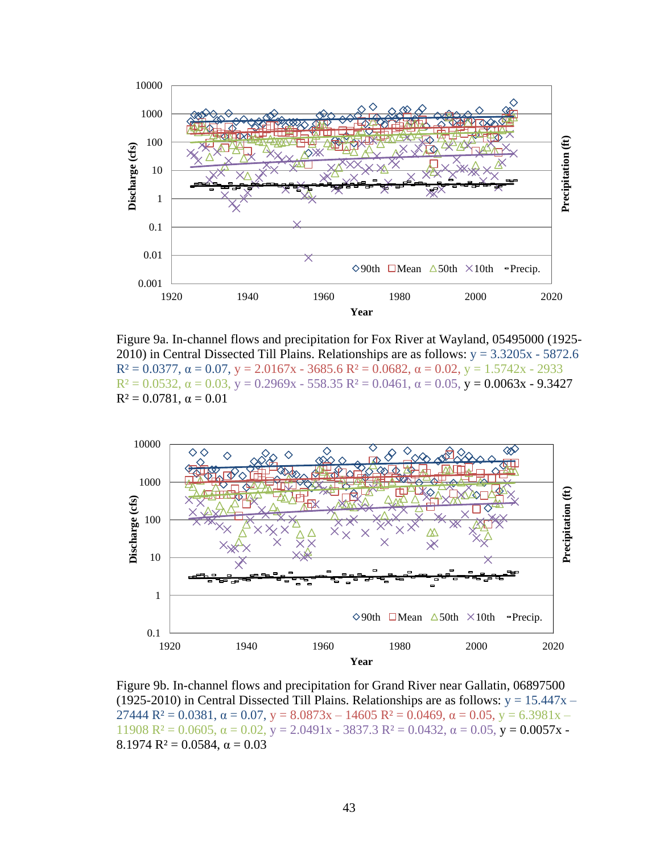

Figure 9a. In-channel flows and precipitation for Fox River at Wayland, 05495000 (1925- 2010) in Central Dissected Till Plains. Relationships are as follows:  $y = 3.3205x - 5872.6$  $R^2 = 0.0377$ ,  $\alpha = 0.07$ ,  $y = 2.0167x - 3685.6$   $R^2 = 0.0682$ ,  $\alpha = 0.02$ ,  $y = 1.5742x - 2933$  $R^2 = 0.0532$ ,  $\alpha = 0.03$ ,  $y = 0.2969x - 558.35$   $R^2 = 0.0461$ ,  $\alpha = 0.05$ ,  $y = 0.0063x - 9.3427$  $R^2 = 0.0781$ ,  $\alpha = 0.01$ 



Figure 9b. In-channel flows and precipitation for Grand River near Gallatin, 06897500 (1925-2010) in Central Dissected Till Plains. Relationships are as follows:  $y = 15.447x -$ 27444  $R^2 = 0.0381$ ,  $\alpha = 0.07$ ,  $y = 8.0873x - 14605$   $R^2 = 0.0469$ ,  $\alpha = 0.05$ ,  $y = 6.3981x -$ 11908  $R^2 = 0.0605$ ,  $\alpha = 0.02$ ,  $y = 2.0491x - 3837.3$   $R^2 = 0.0432$ ,  $\alpha = 0.05$ ,  $y = 0.0057x - 1.00957x$ 8.1974  $R^2 = 0.0584$ ,  $\alpha = 0.03$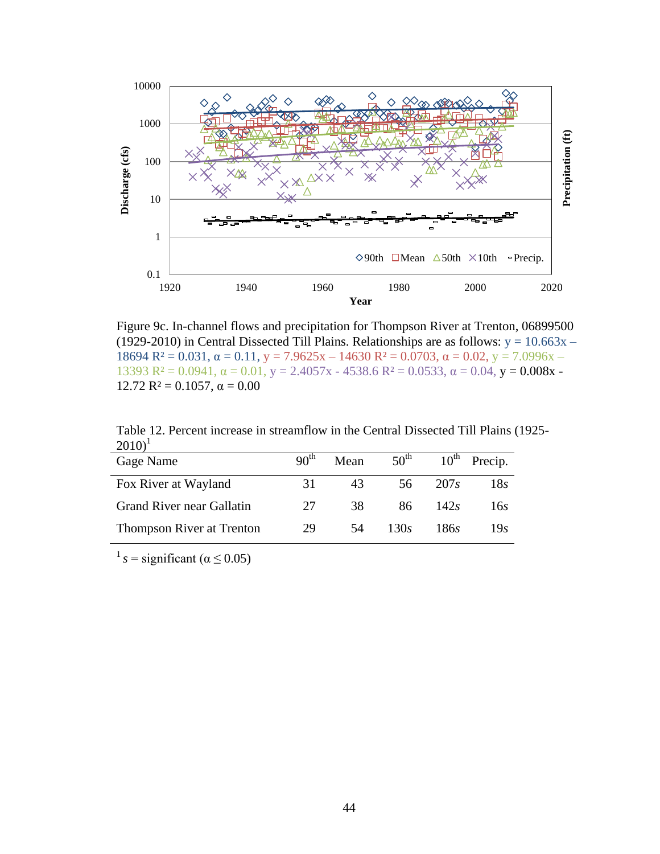

Figure 9c. In-channel flows and precipitation for Thompson River at Trenton, 06899500 (1929-2010) in Central Dissected Till Plains. Relationships are as follows:  $y = 10.663x -$ 18694  $R^2 = 0.031$ ,  $\alpha = 0.11$ ,  $y = 7.9625x - 14630 R^2 = 0.0703$ ,  $\alpha = 0.02$ ,  $y = 7.0996x -$ 13393  $R^2 = 0.0941$ ,  $\alpha = 0.01$ ,  $y = 2.4057x - 4538.6$   $R^2 = 0.0533$ ,  $\alpha = 0.04$ ,  $y = 0.008x - 1.00941$ 12.72  $R^2 = 0.1057$ ,  $\alpha = 0.00$ 

| $(2010)^1$                       |                  |      |                  |                  |         |
|----------------------------------|------------------|------|------------------|------------------|---------|
| Gage Name                        | 90 <sup>th</sup> | Mean | $50^{\text{th}}$ | $10^{\text{th}}$ | Precip. |
| Fox River at Wayland             | 31               | 43   | 56               | 207 <sub>s</sub> | 18s     |
| <b>Grand River near Gallatin</b> | 27               | 38   | 86               | 142s             | 16.5    |
| Thompson River at Trenton        | 29               | 54   | 130s             | 186s             | 19.s    |

Table 12. Percent increase in streamflow in the Central Dissected Till Plains (1925-  $2010)^1$ 

 $1 s =$  significant ( $\alpha \le 0.05$ )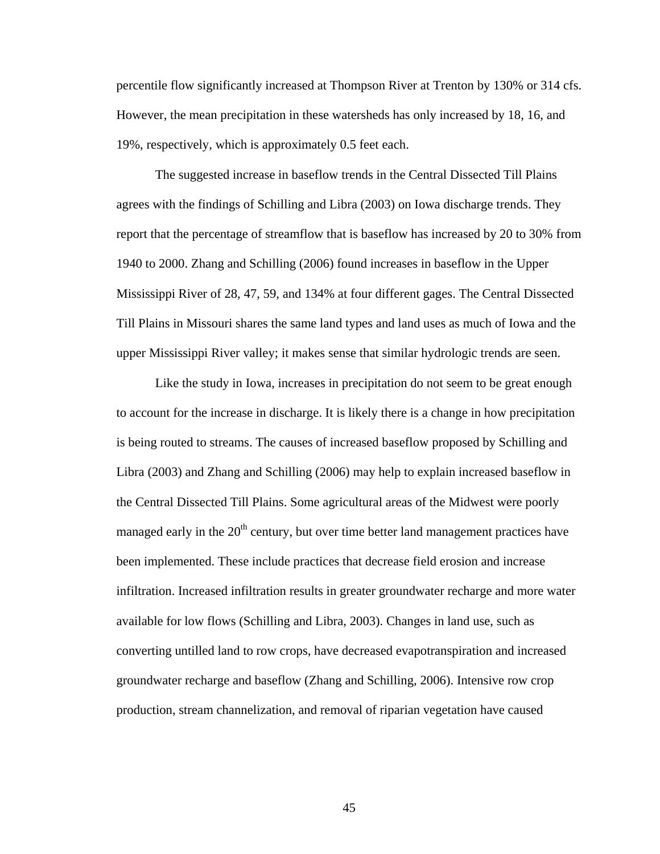percentile flow significantly increased at Thompson River at Trenton by 130% or 314 cfs. However, the mean precipitation in these watersheds has only increased by 18, 16, and 19%, respectively, which is approximately 0.5 feet each.

The suggested increase in baseflow trends in the Central Dissected Till Plains agrees with the findings of Schilling and Libra (2003) on Iowa discharge trends. They report that the percentage of streamflow that is baseflow has increased by 20 to 30% from 1940 to 2000. Zhang and Schilling (2006) found increases in baseflow in the Upper Mississippi River of 28, 47, 59, and 134% at four different gages. The Central Dissected Till Plains in Missouri shares the same land types and land uses as much of Iowa and the upper Mississippi River valley; it makes sense that similar hydrologic trends are seen.

Like the study in Iowa, increases in precipitation do not seem to be great enough to account for the increase in discharge. It is likely there is a change in how precipitation is being routed to streams. The causes of increased baseflow proposed by Schilling and Libra (2003) and Zhang and Schilling (2006) may help to explain increased baseflow in the Central Dissected Till Plains. Some agricultural areas of the Midwest were poorly managed early in the  $20<sup>th</sup>$  century, but over time better land management practices have been implemented. These include practices that decrease field erosion and increase infiltration. Increased infiltration results in greater groundwater recharge and more water available for low flows (Schilling and Libra, 2003). Changes in land use, such as converting untilled land to row crops, have decreased evapotranspiration and increased groundwater recharge and baseflow (Zhang and Schilling, 2006). Intensive row crop production, stream channelization, and removal of riparian vegetation have caused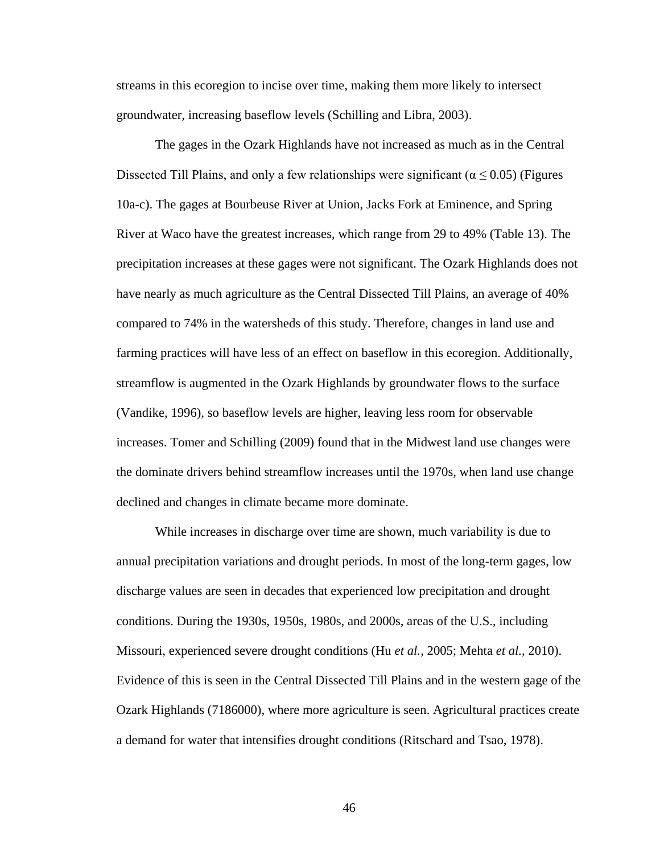streams in this ecoregion to incise over time, making them more likely to intersect groundwater, increasing baseflow levels (Schilling and Libra, 2003).

The gages in the Ozark Highlands have not increased as much as in the Central Dissected Till Plains, and only a few relationships were significant ( $\alpha \le 0.05$ ) (Figures 10a-c). The gages at Bourbeuse River at Union, Jacks Fork at Eminence, and Spring River at Waco have the greatest increases, which range from 29 to 49% (Table 13). The precipitation increases at these gages were not significant. The Ozark Highlands does not have nearly as much agriculture as the Central Dissected Till Plains, an average of 40% compared to 74% in the watersheds of this study. Therefore, changes in land use and farming practices will have less of an effect on baseflow in this ecoregion. Additionally, streamflow is augmented in the Ozark Highlands by groundwater flows to the surface (Vandike, 1996), so baseflow levels are higher, leaving less room for observable increases. Tomer and Schilling (2009) found that in the Midwest land use changes were the dominate drivers behind streamflow increases until the 1970s, when land use change declined and changes in climate became more dominate.

While increases in discharge over time are shown, much variability is due to annual precipitation variations and drought periods. In most of the long-term gages, low discharge values are seen in decades that experienced low precipitation and drought conditions. During the 1930s, 1950s, 1980s, and 2000s, areas of the U.S., including Missouri, experienced severe drought conditions (Hu *et al.*, 2005; Mehta *et al.*, 2010). Evidence of this is seen in the Central Dissected Till Plains and in the western gage of the Ozark Highlands (7186000), where more agriculture is seen. Agricultural practices create a demand for water that intensifies drought conditions (Ritschard and Tsao, 1978).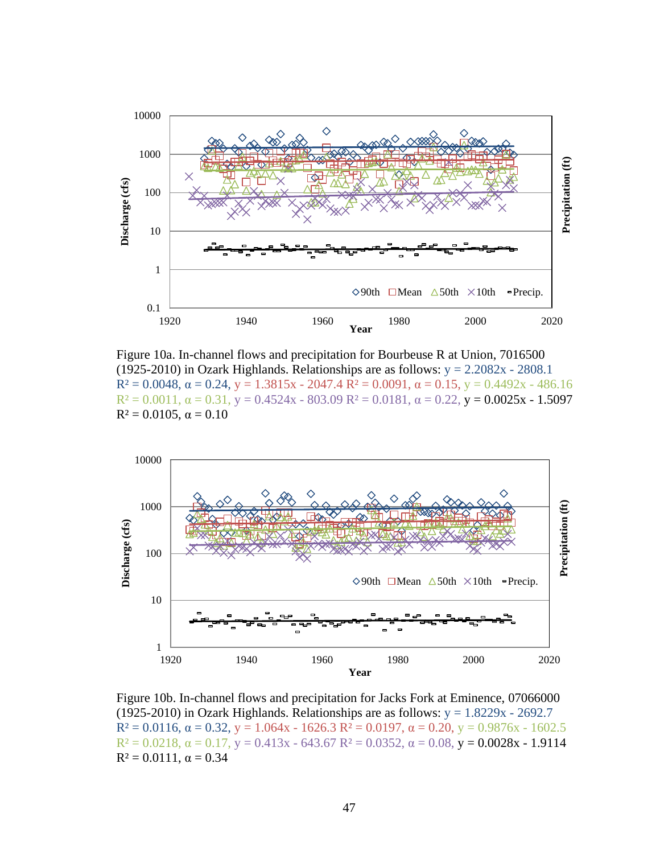

Figure 10a. In-channel flows and precipitation for Bourbeuse R at Union, 7016500 (1925-2010) in Ozark Highlands. Relationships are as follows:  $y = 2.2082x - 2808.1$  $R^2 = 0.0048$ ,  $\alpha = 0.24$ ,  $y = 1.3815x - 2047.4$   $R^2 = 0.0091$ ,  $\alpha = 0.15$ ,  $y = 0.4492x - 486.16$  $R^2 = 0.0011$ ,  $\alpha = 0.31$ ,  $y = 0.4524x - 803.09$   $R^2 = 0.0181$ ,  $\alpha = 0.22$ ,  $y = 0.0025x - 1.5097$  $R^2 = 0.0105$ ,  $\alpha = 0.10$ 



Figure 10b. In-channel flows and precipitation for Jacks Fork at Eminence, 07066000 (1925-2010) in Ozark Highlands. Relationships are as follows:  $y = 1.8229x - 2692.7$  $R^2 = 0.0116$ ,  $\alpha = 0.32$ ,  $y = 1.064x - 1626.3$   $R^2 = 0.0197$ ,  $\alpha = 0.20$ ,  $y = 0.9876x - 1602.5$  $R^2 = 0.0218$ ,  $\alpha = 0.17$ ,  $y = 0.413x - 643.67$   $R^2 = 0.0352$ ,  $\alpha = 0.08$ ,  $y = 0.0028x - 1.9114$  $R^2 = 0.0111$ ,  $\alpha = 0.34$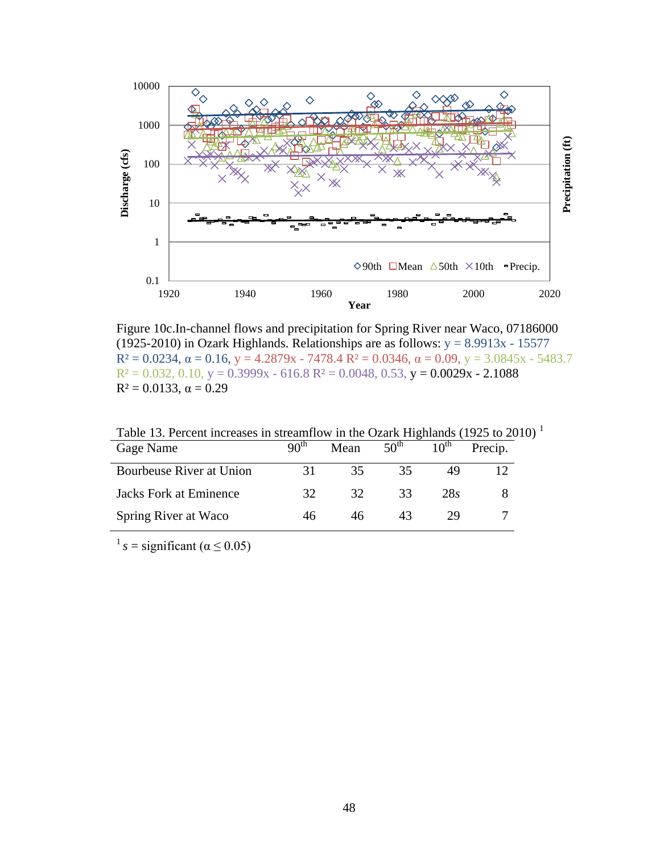

Figure 10c.In-channel flows and precipitation for Spring River near Waco, 07186000 (1925-2010) in Ozark Highlands. Relationships are as follows:  $y = 8.9913x - 15577$  $R^2 = 0.0234$ ,  $\alpha = 0.16$ ,  $y = 4.2879x - 7478.4$   $R^2 = 0.0346$ ,  $\alpha = 0.09$ ,  $y = 3.0845x - 5483.7$  $R<sup>2</sup> = 0.032, 0.10, y = 0.3999x - 616.8 R<sup>2</sup> = 0.0048, 0.53, y = 0.0029x - 2.1088$  $R^2 = 0.0133$ ,  $\alpha = 0.29$ 

| Gage Name                     | 90 <sup>th</sup> | Mean | $50^{\text{th}}$ | 10 <sup>th</sup> | Precip. |
|-------------------------------|------------------|------|------------------|------------------|---------|
| Bourbeuse River at Union      | 31               | 35   | 35               |                  |         |
| <b>Jacks Fork at Eminence</b> | 32               | 32   | 33               | 285              |         |
| Spring River at Waco          | 46               |      |                  | 29               |         |

Table 13. Percent increases in streamflow in the Ozark Highlands (1925 to 2010)<sup>1</sup>

 $1 s =$  significant ( $\alpha \le 0.05$ )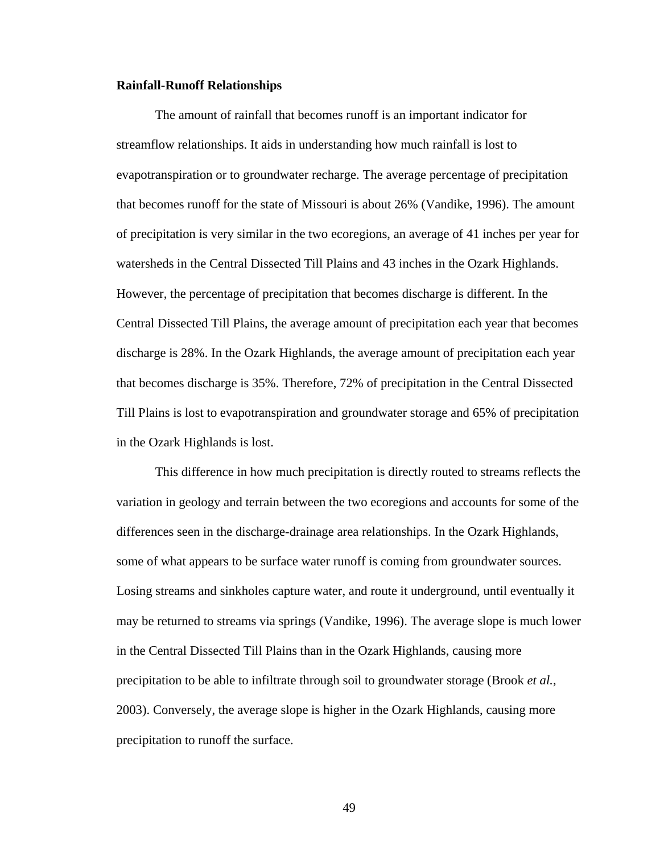#### **Rainfall-Runoff Relationships**

The amount of rainfall that becomes runoff is an important indicator for streamflow relationships. It aids in understanding how much rainfall is lost to evapotranspiration or to groundwater recharge. The average percentage of precipitation that becomes runoff for the state of Missouri is about 26% (Vandike, 1996). The amount of precipitation is very similar in the two ecoregions, an average of 41 inches per year for watersheds in the Central Dissected Till Plains and 43 inches in the Ozark Highlands. However, the percentage of precipitation that becomes discharge is different. In the Central Dissected Till Plains, the average amount of precipitation each year that becomes discharge is 28%. In the Ozark Highlands, the average amount of precipitation each year that becomes discharge is 35%. Therefore, 72% of precipitation in the Central Dissected Till Plains is lost to evapotranspiration and groundwater storage and 65% of precipitation in the Ozark Highlands is lost.

This difference in how much precipitation is directly routed to streams reflects the variation in geology and terrain between the two ecoregions and accounts for some of the differences seen in the discharge-drainage area relationships. In the Ozark Highlands, some of what appears to be surface water runoff is coming from groundwater sources. Losing streams and sinkholes capture water, and route it underground, until eventually it may be returned to streams via springs (Vandike, 1996). The average slope is much lower in the Central Dissected Till Plains than in the Ozark Highlands, causing more precipitation to be able to infiltrate through soil to groundwater storage (Brook *et al.*, 2003). Conversely, the average slope is higher in the Ozark Highlands, causing more precipitation to runoff the surface.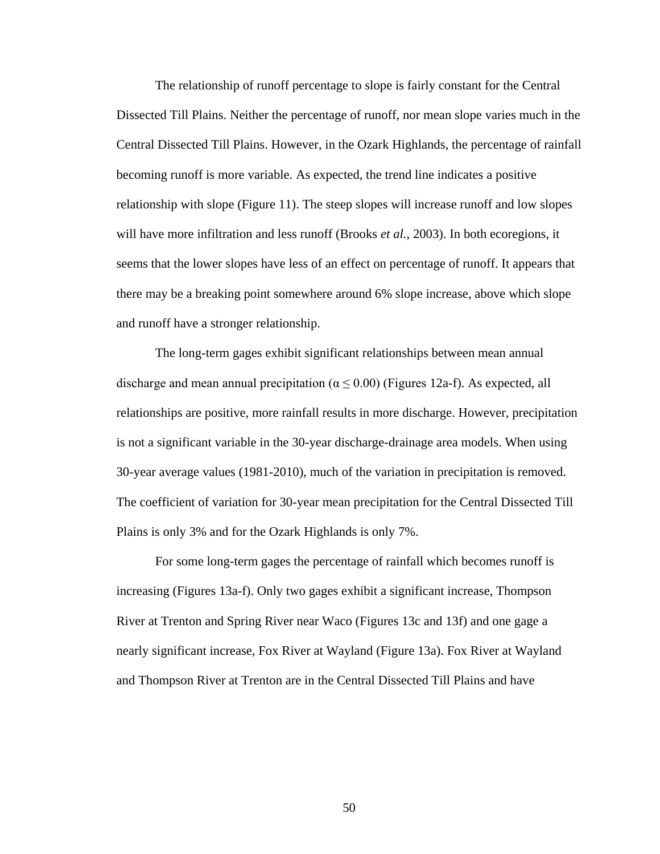The relationship of runoff percentage to slope is fairly constant for the Central Dissected Till Plains. Neither the percentage of runoff, nor mean slope varies much in the Central Dissected Till Plains. However, in the Ozark Highlands, the percentage of rainfall becoming runoff is more variable. As expected, the trend line indicates a positive relationship with slope (Figure 11). The steep slopes will increase runoff and low slopes will have more infiltration and less runoff (Brooks *et al.*, 2003). In both ecoregions, it seems that the lower slopes have less of an effect on percentage of runoff. It appears that there may be a breaking point somewhere around 6% slope increase, above which slope and runoff have a stronger relationship.

The long-term gages exhibit significant relationships between mean annual discharge and mean annual precipitation ( $\alpha \le 0.00$ ) (Figures 12a-f). As expected, all relationships are positive, more rainfall results in more discharge. However, precipitation is not a significant variable in the 30-year discharge-drainage area models. When using 30-year average values (1981-2010), much of the variation in precipitation is removed. The coefficient of variation for 30-year mean precipitation for the Central Dissected Till Plains is only 3% and for the Ozark Highlands is only 7%.

For some long-term gages the percentage of rainfall which becomes runoff is increasing (Figures 13a-f). Only two gages exhibit a significant increase, Thompson River at Trenton and Spring River near Waco (Figures 13c and 13f) and one gage a nearly significant increase, Fox River at Wayland (Figure 13a). Fox River at Wayland and Thompson River at Trenton are in the Central Dissected Till Plains and have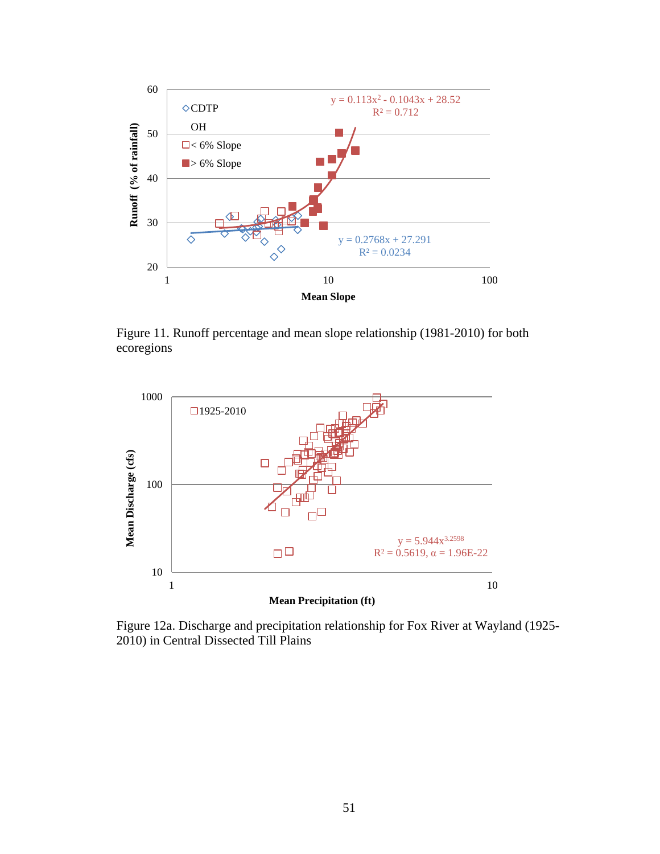

Figure 11. Runoff percentage and mean slope relationship (1981-2010) for both ecoregions



Figure 12a. Discharge and precipitation relationship for Fox River at Wayland (1925- 2010) in Central Dissected Till Plains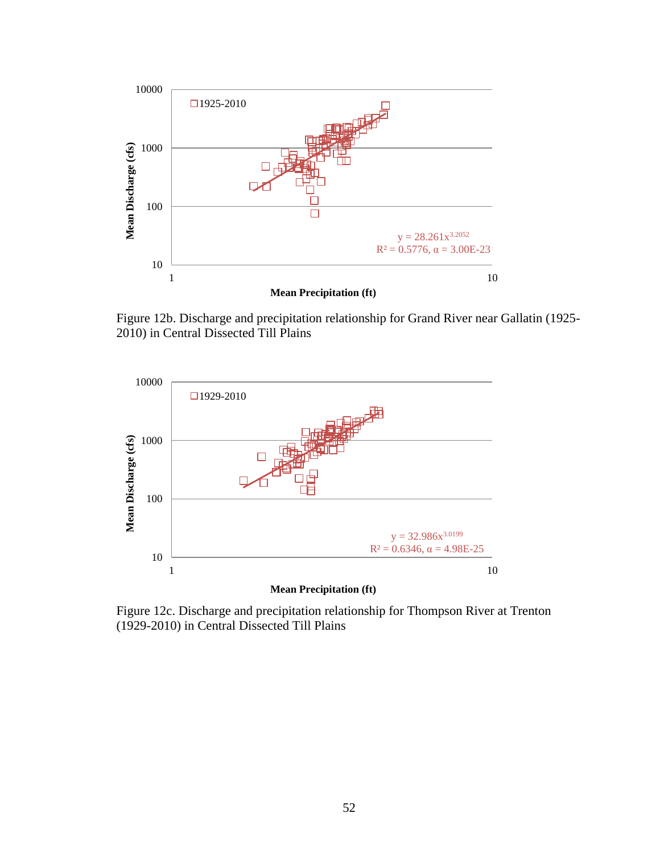

Figure 12b. Discharge and precipitation relationship for Grand River near Gallatin (1925- 2010) in Central Dissected Till Plains



Figure 12c. Discharge and precipitation relationship for Thompson River at Trenton (1929-2010) in Central Dissected Till Plains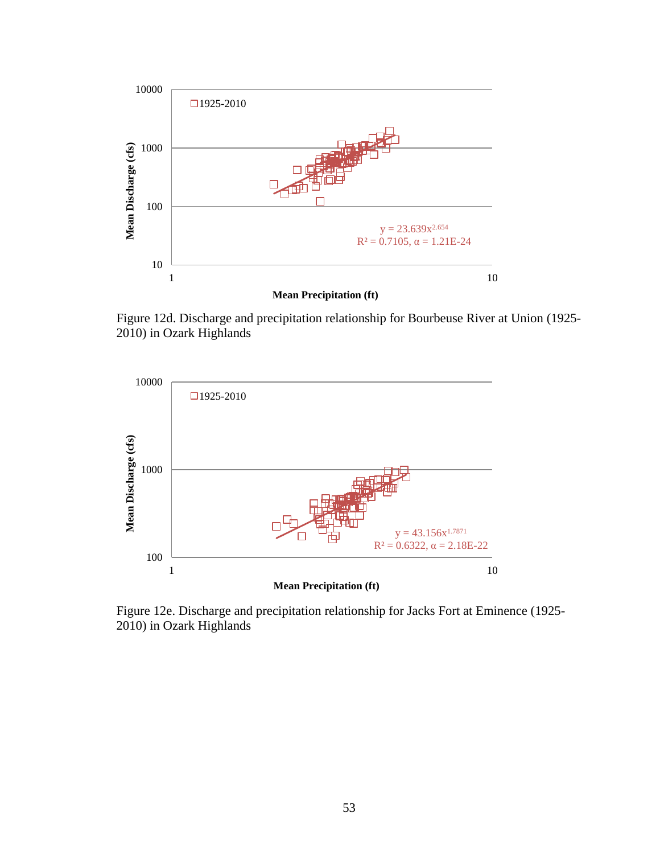

Figure 12d. Discharge and precipitation relationship for Bourbeuse River at Union (1925- 2010) in Ozark Highlands



Figure 12e. Discharge and precipitation relationship for Jacks Fort at Eminence (1925- 2010) in Ozark Highlands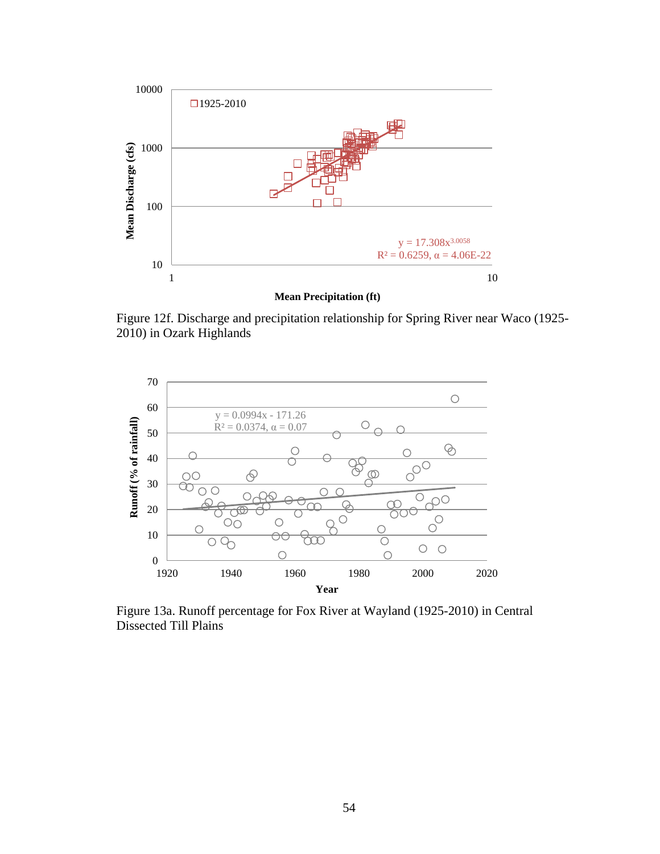

Figure 12f. Discharge and precipitation relationship for Spring River near Waco (1925- 2010) in Ozark Highlands



Figure 13a. Runoff percentage for Fox River at Wayland (1925-2010) in Central Dissected Till Plains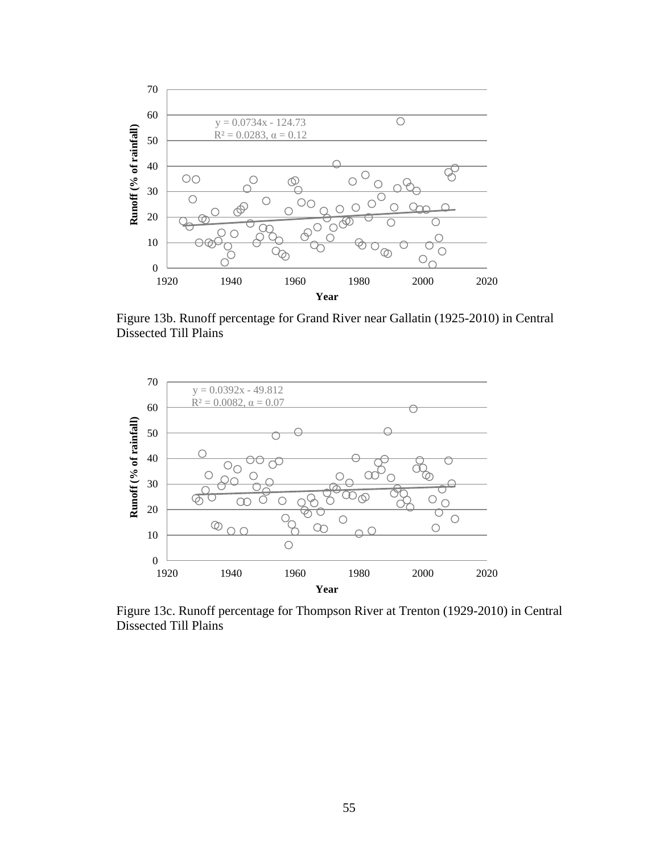

Figure 13b. Runoff percentage for Grand River near Gallatin (1925-2010) in Central Dissected Till Plains



Figure 13c. Runoff percentage for Thompson River at Trenton (1929-2010) in Central Dissected Till Plains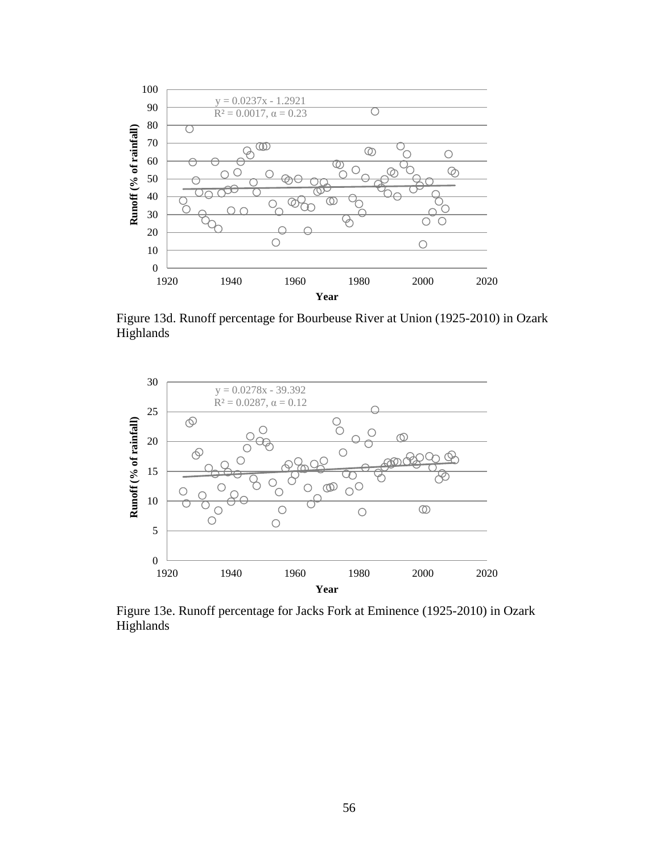

Figure 13d. Runoff percentage for Bourbeuse River at Union (1925-2010) in Ozark Highlands



Figure 13e. Runoff percentage for Jacks Fork at Eminence (1925-2010) in Ozark Highlands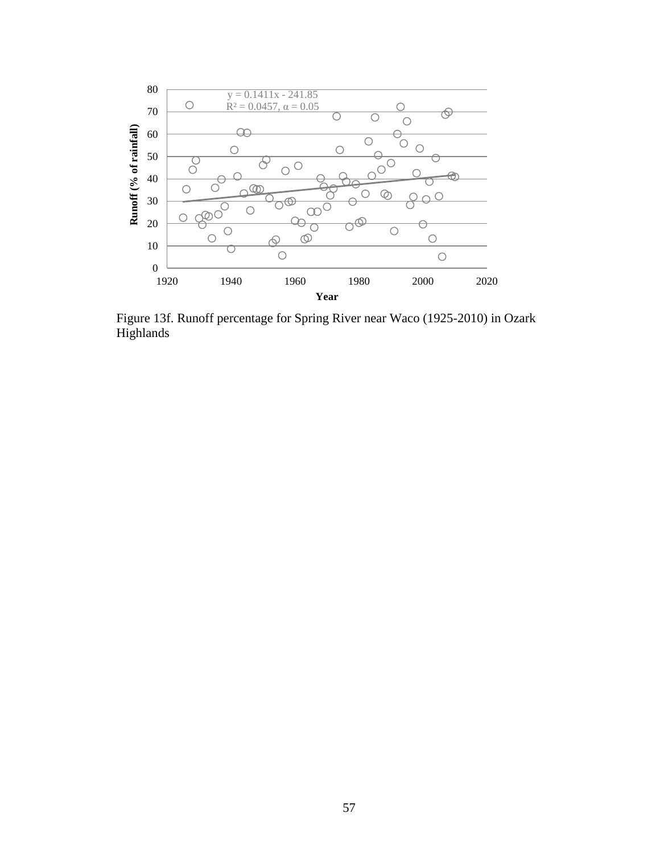

Figure 13f. Runoff percentage for Spring River near Waco (1925-2010) in Ozark Highlands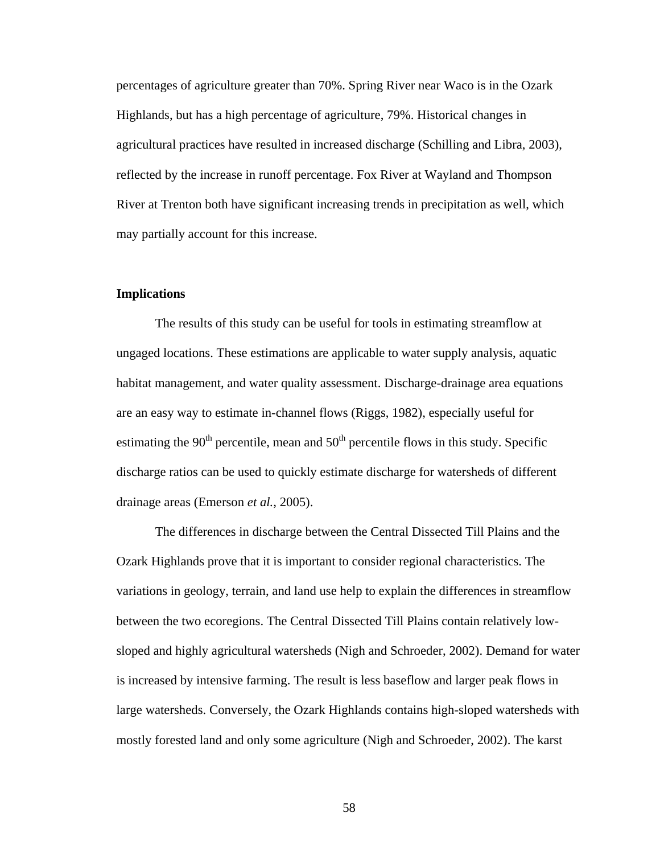percentages of agriculture greater than 70%. Spring River near Waco is in the Ozark Highlands, but has a high percentage of agriculture, 79%. Historical changes in agricultural practices have resulted in increased discharge (Schilling and Libra, 2003), reflected by the increase in runoff percentage. Fox River at Wayland and Thompson River at Trenton both have significant increasing trends in precipitation as well, which may partially account for this increase.

# **Implications**

The results of this study can be useful for tools in estimating streamflow at ungaged locations. These estimations are applicable to water supply analysis, aquatic habitat management, and water quality assessment. Discharge-drainage area equations are an easy way to estimate in-channel flows (Riggs, 1982), especially useful for estimating the  $90<sup>th</sup>$  percentile, mean and  $50<sup>th</sup>$  percentile flows in this study. Specific discharge ratios can be used to quickly estimate discharge for watersheds of different drainage areas (Emerson *et al.*, 2005).

The differences in discharge between the Central Dissected Till Plains and the Ozark Highlands prove that it is important to consider regional characteristics. The variations in geology, terrain, and land use help to explain the differences in streamflow between the two ecoregions. The Central Dissected Till Plains contain relatively lowsloped and highly agricultural watersheds (Nigh and Schroeder, 2002). Demand for water is increased by intensive farming. The result is less baseflow and larger peak flows in large watersheds. Conversely, the Ozark Highlands contains high-sloped watersheds with mostly forested land and only some agriculture (Nigh and Schroeder, 2002). The karst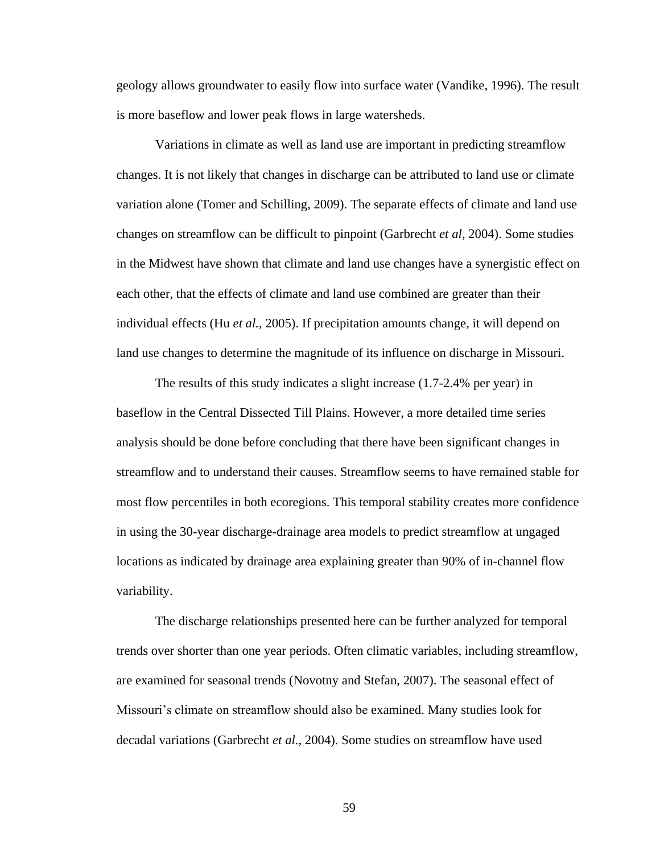geology allows groundwater to easily flow into surface water (Vandike, 1996). The result is more baseflow and lower peak flows in large watersheds.

Variations in climate as well as land use are important in predicting streamflow changes. It is not likely that changes in discharge can be attributed to land use or climate variation alone (Tomer and Schilling, 2009). The separate effects of climate and land use changes on streamflow can be difficult to pinpoint (Garbrecht *et al*, 2004). Some studies in the Midwest have shown that climate and land use changes have a synergistic effect on each other, that the effects of climate and land use combined are greater than their individual effects (Hu *et al.*, 2005). If precipitation amounts change, it will depend on land use changes to determine the magnitude of its influence on discharge in Missouri.

The results of this study indicates a slight increase (1.7-2.4% per year) in baseflow in the Central Dissected Till Plains. However, a more detailed time series analysis should be done before concluding that there have been significant changes in streamflow and to understand their causes. Streamflow seems to have remained stable for most flow percentiles in both ecoregions. This temporal stability creates more confidence in using the 30-year discharge-drainage area models to predict streamflow at ungaged locations as indicated by drainage area explaining greater than 90% of in-channel flow variability.

The discharge relationships presented here can be further analyzed for temporal trends over shorter than one year periods. Often climatic variables, including streamflow, are examined for seasonal trends (Novotny and Stefan, 2007). The seasonal effect of Missouri's climate on streamflow should also be examined. Many studies look for decadal variations (Garbrecht *et al.,* 2004). Some studies on streamflow have used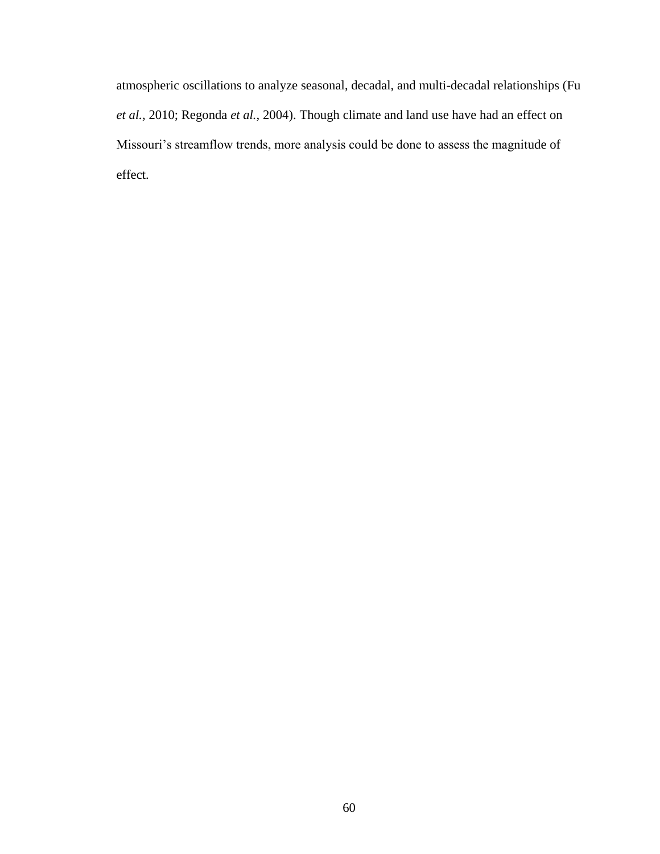atmospheric oscillations to analyze seasonal, decadal, and multi-decadal relationships (Fu *et al.,* 2010; Regonda *et al.,* 2004). Though climate and land use have had an effect on Missouri's streamflow trends, more analysis could be done to assess the magnitude of effect.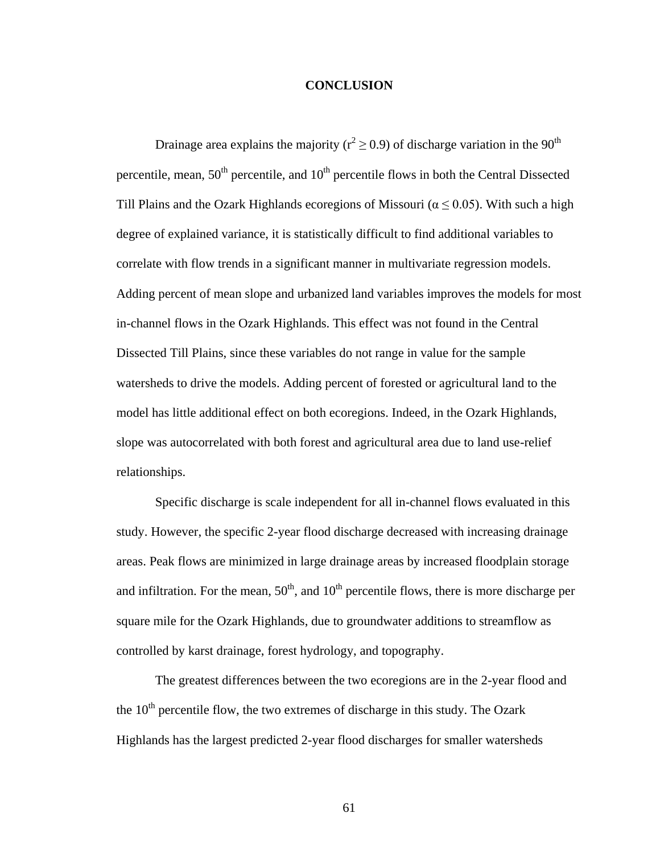# **CONCLUSION**

Drainage area explains the majority ( $r^2 \ge 0.9$ ) of discharge variation in the 90<sup>th</sup> percentile, mean,  $50<sup>th</sup>$  percentile, and  $10<sup>th</sup>$  percentile flows in both the Central Dissected Till Plains and the Ozark Highlands ecoregions of Missouri ( $\alpha \le 0.05$ ). With such a high degree of explained variance, it is statistically difficult to find additional variables to correlate with flow trends in a significant manner in multivariate regression models. Adding percent of mean slope and urbanized land variables improves the models for most in-channel flows in the Ozark Highlands. This effect was not found in the Central Dissected Till Plains, since these variables do not range in value for the sample watersheds to drive the models. Adding percent of forested or agricultural land to the model has little additional effect on both ecoregions. Indeed, in the Ozark Highlands, slope was autocorrelated with both forest and agricultural area due to land use-relief relationships.

Specific discharge is scale independent for all in-channel flows evaluated in this study. However, the specific 2-year flood discharge decreased with increasing drainage areas. Peak flows are minimized in large drainage areas by increased floodplain storage and infiltration. For the mean,  $50<sup>th</sup>$ , and  $10<sup>th</sup>$  percentile flows, there is more discharge per square mile for the Ozark Highlands, due to groundwater additions to streamflow as controlled by karst drainage, forest hydrology, and topography.

The greatest differences between the two ecoregions are in the 2-year flood and the  $10<sup>th</sup>$  percentile flow, the two extremes of discharge in this study. The Ozark Highlands has the largest predicted 2-year flood discharges for smaller watersheds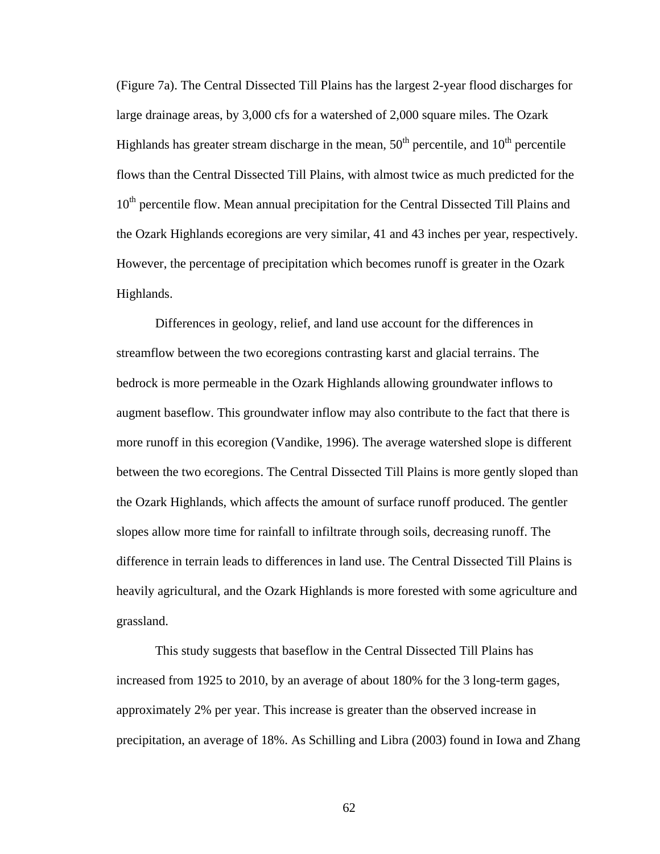(Figure 7a). The Central Dissected Till Plains has the largest 2-year flood discharges for large drainage areas, by 3,000 cfs for a watershed of 2,000 square miles. The Ozark Highlands has greater stream discharge in the mean,  $50<sup>th</sup>$  percentile, and  $10<sup>th</sup>$  percentile flows than the Central Dissected Till Plains, with almost twice as much predicted for the 10<sup>th</sup> percentile flow. Mean annual precipitation for the Central Dissected Till Plains and the Ozark Highlands ecoregions are very similar, 41 and 43 inches per year, respectively. However, the percentage of precipitation which becomes runoff is greater in the Ozark Highlands.

Differences in geology, relief, and land use account for the differences in streamflow between the two ecoregions contrasting karst and glacial terrains. The bedrock is more permeable in the Ozark Highlands allowing groundwater inflows to augment baseflow. This groundwater inflow may also contribute to the fact that there is more runoff in this ecoregion (Vandike, 1996). The average watershed slope is different between the two ecoregions. The Central Dissected Till Plains is more gently sloped than the Ozark Highlands, which affects the amount of surface runoff produced. The gentler slopes allow more time for rainfall to infiltrate through soils, decreasing runoff. The difference in terrain leads to differences in land use. The Central Dissected Till Plains is heavily agricultural, and the Ozark Highlands is more forested with some agriculture and grassland.

This study suggests that baseflow in the Central Dissected Till Plains has increased from 1925 to 2010, by an average of about 180% for the 3 long-term gages, approximately 2% per year. This increase is greater than the observed increase in precipitation, an average of 18%. As Schilling and Libra (2003) found in Iowa and Zhang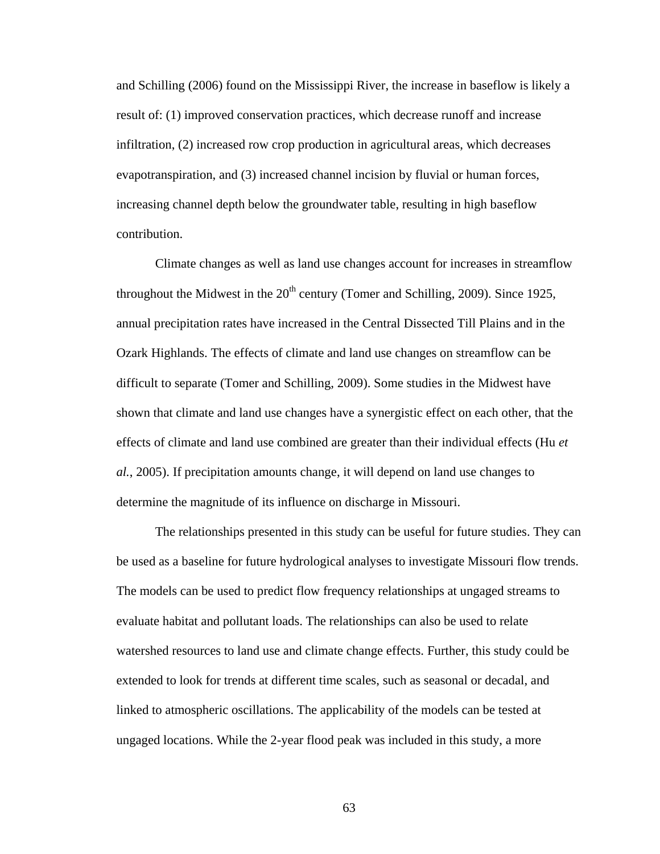and Schilling (2006) found on the Mississippi River, the increase in baseflow is likely a result of: (1) improved conservation practices, which decrease runoff and increase infiltration, (2) increased row crop production in agricultural areas, which decreases evapotranspiration, and (3) increased channel incision by fluvial or human forces, increasing channel depth below the groundwater table, resulting in high baseflow contribution.

Climate changes as well as land use changes account for increases in streamflow throughout the Midwest in the  $20<sup>th</sup>$  century (Tomer and Schilling, 2009). Since 1925, annual precipitation rates have increased in the Central Dissected Till Plains and in the Ozark Highlands. The effects of climate and land use changes on streamflow can be difficult to separate (Tomer and Schilling, 2009). Some studies in the Midwest have shown that climate and land use changes have a synergistic effect on each other, that the effects of climate and land use combined are greater than their individual effects (Hu *et al.*, 2005). If precipitation amounts change, it will depend on land use changes to determine the magnitude of its influence on discharge in Missouri.

The relationships presented in this study can be useful for future studies. They can be used as a baseline for future hydrological analyses to investigate Missouri flow trends. The models can be used to predict flow frequency relationships at ungaged streams to evaluate habitat and pollutant loads. The relationships can also be used to relate watershed resources to land use and climate change effects. Further, this study could be extended to look for trends at different time scales, such as seasonal or decadal, and linked to atmospheric oscillations. The applicability of the models can be tested at ungaged locations. While the 2-year flood peak was included in this study, a more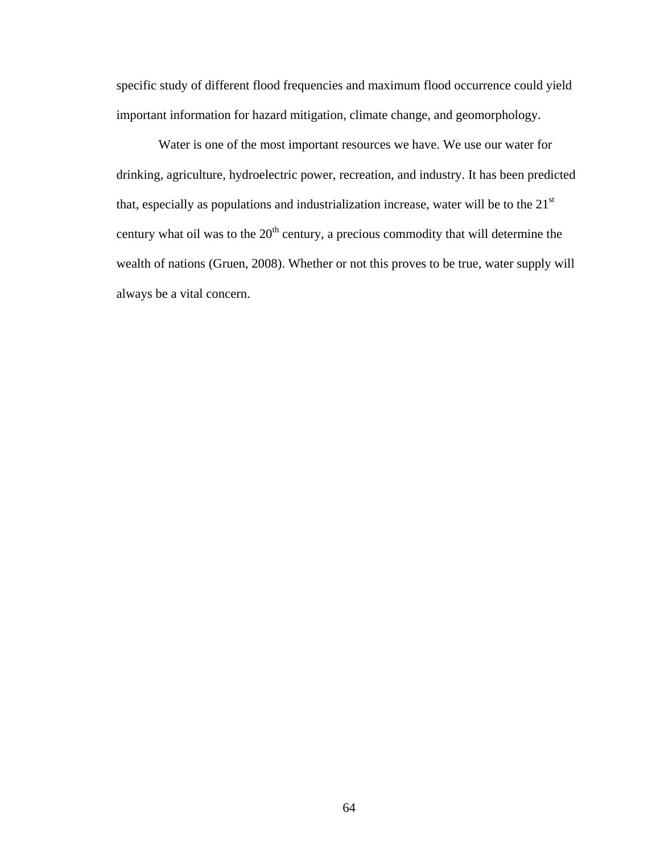specific study of different flood frequencies and maximum flood occurrence could yield important information for hazard mitigation, climate change, and geomorphology.

Water is one of the most important resources we have. We use our water for drinking, agriculture, hydroelectric power, recreation, and industry. It has been predicted that, especially as populations and industrialization increase, water will be to the  $21<sup>st</sup>$ century what oil was to the  $20<sup>th</sup>$  century, a precious commodity that will determine the wealth of nations (Gruen, 2008). Whether or not this proves to be true, water supply will always be a vital concern.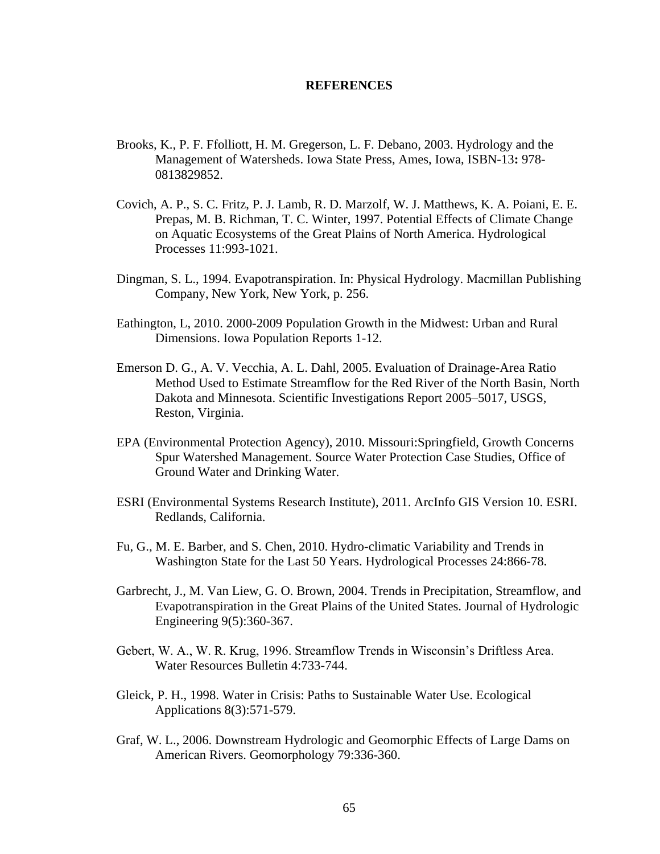### **REFERENCES**

- Brooks, K., P. F. Ffolliott, H. M. Gregerson, L. F. Debano, 2003. Hydrology and the Management of Watersheds. Iowa State Press, Ames, Iowa, ISBN-13**:** 978- 0813829852.
- Covich, A. P., S. C. Fritz, P. J. Lamb, R. D. Marzolf, W. J. Matthews, K. A. Poiani, E. E. Prepas, M. B. Richman, T. C. Winter, 1997. Potential Effects of Climate Change on Aquatic Ecosystems of the Great Plains of North America. Hydrological Processes 11:993-1021.
- Dingman, S. L., 1994. Evapotranspiration. In: Physical Hydrology. Macmillan Publishing Company, New York, New York, p. 256.
- Eathington, L, 2010. 2000-2009 Population Growth in the Midwest: Urban and Rural Dimensions. Iowa Population Reports 1-12.
- Emerson D. G., A. V. Vecchia, A. L. Dahl, 2005. Evaluation of Drainage-Area Ratio Method Used to Estimate Streamflow for the Red River of the North Basin, North Dakota and Minnesota. Scientific Investigations Report 2005–5017, USGS, Reston, Virginia.
- EPA (Environmental Protection Agency), 2010. Missouri:Springfield, Growth Concerns Spur Watershed Management. Source Water Protection Case Studies, Office of Ground Water and Drinking Water.
- ESRI (Environmental Systems Research Institute), 2011. ArcInfo GIS Version 10. ESRI. Redlands, California.
- Fu, G., M. E. Barber, and S. Chen, 2010. Hydro-climatic Variability and Trends in Washington State for the Last 50 Years. Hydrological Processes 24:866-78.
- Garbrecht, J., M. Van Liew, G. O. Brown, 2004. Trends in Precipitation, Streamflow, and Evapotranspiration in the Great Plains of the United States. Journal of Hydrologic Engineering 9(5):360-367.
- Gebert, W. A., W. R. Krug, 1996. Streamflow Trends in Wisconsin's Driftless Area. Water Resources Bulletin 4:733-744.
- Gleick, P. H., 1998. Water in Crisis: Paths to Sustainable Water Use. Ecological Applications 8(3):571-579.
- Graf, W. L., 2006. Downstream Hydrologic and Geomorphic Effects of Large Dams on American Rivers. Geomorphology 79:336-360.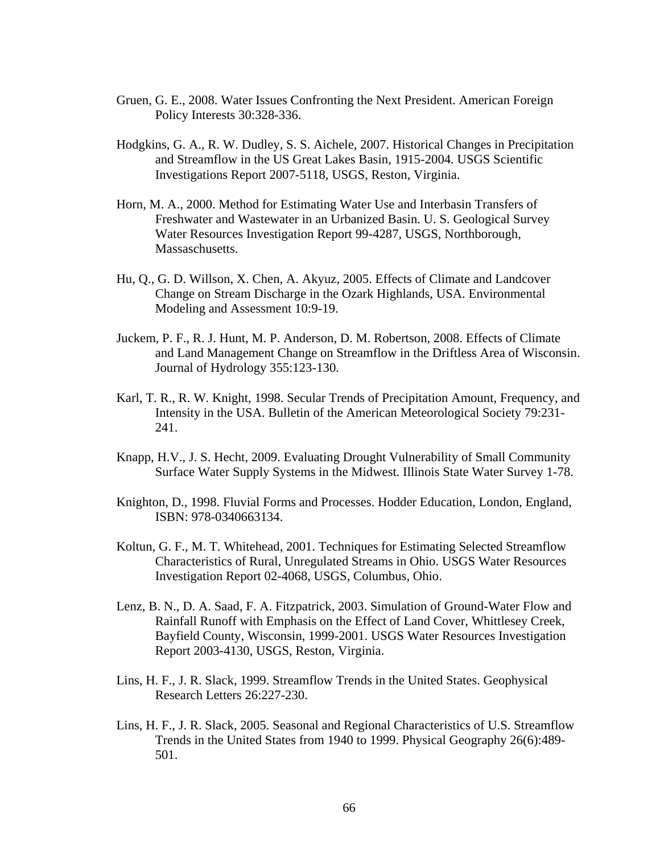- Gruen, G. E., 2008. Water Issues Confronting the Next President. American Foreign Policy Interests 30:328-336.
- Hodgkins, G. A., R. W. Dudley, S. S. Aichele, 2007. Historical Changes in Precipitation and Streamflow in the US Great Lakes Basin, 1915-2004. USGS Scientific Investigations Report 2007-5118, USGS, Reston, Virginia.
- Horn, M. A., 2000. Method for Estimating Water Use and Interbasin Transfers of Freshwater and Wastewater in an Urbanized Basin. U. S. Geological Survey Water Resources Investigation Report 99-4287, USGS, Northborough, Massaschusetts.
- Hu, Q., G. D. Willson, X. Chen, A. Akyuz, 2005. Effects of Climate and Landcover Change on Stream Discharge in the Ozark Highlands, USA. Environmental Modeling and Assessment 10:9-19.
- Juckem, P. F., R. J. Hunt, M. P. Anderson, D. M. Robertson, 2008. Effects of Climate and Land Management Change on Streamflow in the Driftless Area of Wisconsin. Journal of Hydrology 355:123-130.
- Karl, T. R., R. W. Knight, 1998. Secular Trends of Precipitation Amount, Frequency, and Intensity in the USA. Bulletin of the American Meteorological Society 79:231- 241.
- Knapp, H.V., J. S. Hecht, 2009. Evaluating Drought Vulnerability of Small Community Surface Water Supply Systems in the Midwest. Illinois State Water Survey 1-78.
- Knighton, D., 1998. Fluvial Forms and Processes. Hodder Education, London, England, ISBN: 978-0340663134.
- Koltun, G. F., M. T. Whitehead, 2001. Techniques for Estimating Selected Streamflow Characteristics of Rural, Unregulated Streams in Ohio. USGS Water Resources Investigation Report 02-4068, USGS, Columbus, Ohio.
- Lenz, B. N., D. A. Saad, F. A. Fitzpatrick, 2003. Simulation of Ground-Water Flow and Rainfall Runoff with Emphasis on the Effect of Land Cover, Whittlesey Creek, Bayfield County, Wisconsin, 1999-2001. USGS Water Resources Investigation Report 2003-4130, USGS, Reston, Virginia.
- Lins, H. F., J. R. Slack, 1999. Streamflow Trends in the United States. Geophysical Research Letters 26:227-230.
- Lins, H. F., J. R. Slack, 2005. Seasonal and Regional Characteristics of U.S. Streamflow Trends in the United States from 1940 to 1999. Physical Geography 26(6):489- 501.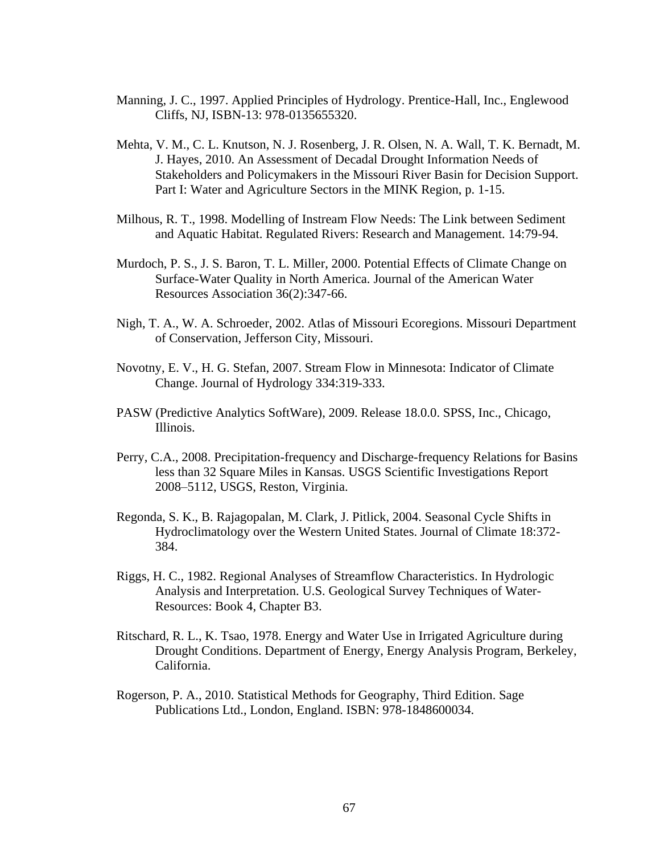- Manning, J. C., 1997. Applied Principles of Hydrology. Prentice-Hall, Inc., Englewood Cliffs, NJ, ISBN-13: 978-0135655320.
- Mehta, V. M., C. L. Knutson, N. J. Rosenberg, J. R. Olsen, N. A. Wall, T. K. Bernadt, M. J. Hayes, 2010. An Assessment of Decadal Drought Information Needs of Stakeholders and Policymakers in the Missouri River Basin for Decision Support. Part I: Water and Agriculture Sectors in the MINK Region, p. 1-15.
- Milhous, R. T., 1998. Modelling of Instream Flow Needs: The Link between Sediment and Aquatic Habitat. Regulated Rivers: Research and Management. 14:79-94.
- Murdoch, P. S., J. S. Baron, T. L. Miller, 2000. Potential Effects of Climate Change on Surface-Water Quality in North America. Journal of the American Water Resources Association 36(2):347-66.
- Nigh, T. A., W. A. Schroeder, 2002. Atlas of Missouri Ecoregions. Missouri Department of Conservation, Jefferson City, Missouri.
- Novotny, E. V., H. G. Stefan, 2007. Stream Flow in Minnesota: Indicator of Climate Change. Journal of Hydrology 334:319-333.
- PASW (Predictive Analytics SoftWare), 2009. Release 18.0.0. SPSS, Inc., Chicago, Illinois.
- Perry, C.A., 2008. Precipitation-frequency and Discharge-frequency Relations for Basins less than 32 Square Miles in Kansas. USGS Scientific Investigations Report 2008–5112, USGS, Reston, Virginia.
- Regonda, S. K., B. Rajagopalan, M. Clark, J. Pitlick, 2004. Seasonal Cycle Shifts in Hydroclimatology over the Western United States. Journal of Climate 18:372- 384.
- Riggs, H. C., 1982. Regional Analyses of Streamflow Characteristics. In Hydrologic Analysis and Interpretation. U.S. Geological Survey Techniques of Water-Resources: Book 4, Chapter B3.
- Ritschard, R. L., K. Tsao, 1978. Energy and Water Use in Irrigated Agriculture during Drought Conditions. Department of Energy, Energy Analysis Program, Berkeley, California.
- Rogerson, P. A., 2010. Statistical Methods for Geography, Third Edition. Sage Publications Ltd., London, England. ISBN: 978-1848600034.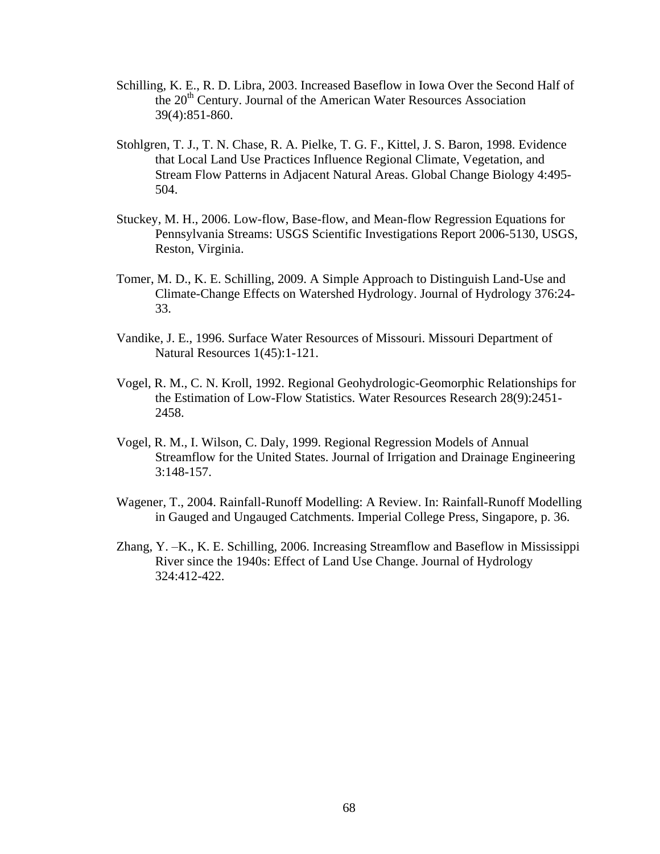- Schilling, K. E., R. D. Libra, 2003. Increased Baseflow in Iowa Over the Second Half of the 20<sup>th</sup> Century. Journal of the American Water Resources Association 39(4):851-860.
- Stohlgren, T. J., T. N. Chase, R. A. Pielke, T. G. F., Kittel, J. S. Baron, 1998. Evidence that Local Land Use Practices Influence Regional Climate, Vegetation, and Stream Flow Patterns in Adjacent Natural Areas. Global Change Biology 4:495- 504.
- Stuckey, M. H., 2006. Low-flow, Base-flow, and Mean-flow Regression Equations for Pennsylvania Streams: USGS Scientific Investigations Report 2006-5130, USGS, Reston, Virginia.
- Tomer, M. D., K. E. Schilling, 2009. A Simple Approach to Distinguish Land-Use and Climate-Change Effects on Watershed Hydrology. Journal of Hydrology 376:24- 33.
- Vandike, J. E., 1996. Surface Water Resources of Missouri. Missouri Department of Natural Resources 1(45):1-121.
- Vogel, R. M., C. N. Kroll, 1992. Regional Geohydrologic-Geomorphic Relationships for the Estimation of Low-Flow Statistics. Water Resources Research 28(9):2451- 2458.
- Vogel, R. M., I. Wilson, C. Daly, 1999. Regional Regression Models of Annual Streamflow for the United States. Journal of Irrigation and Drainage Engineering 3:148-157.
- Wagener, T., 2004. Rainfall-Runoff Modelling: A Review. In: Rainfall-Runoff Modelling in Gauged and Ungauged Catchments. Imperial College Press, Singapore, p. 36.
- Zhang, Y. –K., K. E. Schilling, 2006. Increasing Streamflow and Baseflow in Mississippi River since the 1940s: Effect of Land Use Change. Journal of Hydrology 324:412-422.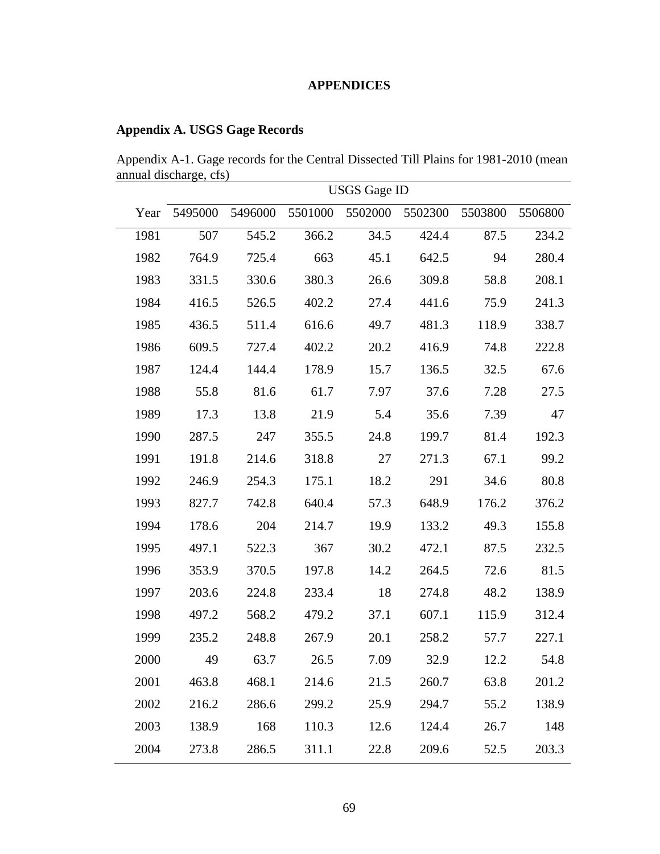## **APPENDICES**

## **Appendix A. USGS Gage Records**

Appendix A-1. Gage records for the Central Dissected Till Plains for 1981-2010 (mean annual discharge, cfs)  $\overline{\phantom{a}}$ 

|      | <b>USGS</b> Gage ID |         |         |         |         |         |         |  |  |  |
|------|---------------------|---------|---------|---------|---------|---------|---------|--|--|--|
| Year | 5495000             | 5496000 | 5501000 | 5502000 | 5502300 | 5503800 | 5506800 |  |  |  |
| 1981 | 507                 | 545.2   | 366.2   | 34.5    | 424.4   | 87.5    | 234.2   |  |  |  |
| 1982 | 764.9               | 725.4   | 663     | 45.1    | 642.5   | 94      | 280.4   |  |  |  |
| 1983 | 331.5               | 330.6   | 380.3   | 26.6    | 309.8   | 58.8    | 208.1   |  |  |  |
| 1984 | 416.5               | 526.5   | 402.2   | 27.4    | 441.6   | 75.9    | 241.3   |  |  |  |
| 1985 | 436.5               | 511.4   | 616.6   | 49.7    | 481.3   | 118.9   | 338.7   |  |  |  |
| 1986 | 609.5               | 727.4   | 402.2   | 20.2    | 416.9   | 74.8    | 222.8   |  |  |  |
| 1987 | 124.4               | 144.4   | 178.9   | 15.7    | 136.5   | 32.5    | 67.6    |  |  |  |
| 1988 | 55.8                | 81.6    | 61.7    | 7.97    | 37.6    | 7.28    | 27.5    |  |  |  |
| 1989 | 17.3                | 13.8    | 21.9    | 5.4     | 35.6    | 7.39    | 47      |  |  |  |
| 1990 | 287.5               | 247     | 355.5   | 24.8    | 199.7   | 81.4    | 192.3   |  |  |  |
| 1991 | 191.8               | 214.6   | 318.8   | 27      | 271.3   | 67.1    | 99.2    |  |  |  |
| 1992 | 246.9               | 254.3   | 175.1   | 18.2    | 291     | 34.6    | 80.8    |  |  |  |
| 1993 | 827.7               | 742.8   | 640.4   | 57.3    | 648.9   | 176.2   | 376.2   |  |  |  |
| 1994 | 178.6               | 204     | 214.7   | 19.9    | 133.2   | 49.3    | 155.8   |  |  |  |
| 1995 | 497.1               | 522.3   | 367     | 30.2    | 472.1   | 87.5    | 232.5   |  |  |  |
| 1996 | 353.9               | 370.5   | 197.8   | 14.2    | 264.5   | 72.6    | 81.5    |  |  |  |
| 1997 | 203.6               | 224.8   | 233.4   | 18      | 274.8   | 48.2    | 138.9   |  |  |  |
| 1998 | 497.2               | 568.2   | 479.2   | 37.1    | 607.1   | 115.9   | 312.4   |  |  |  |
| 1999 | 235.2               | 248.8   | 267.9   | 20.1    | 258.2   | 57.7    | 227.1   |  |  |  |
| 2000 | 49                  | 63.7    | 26.5    | 7.09    | 32.9    | 12.2    | 54.8    |  |  |  |
| 2001 | 463.8               | 468.1   | 214.6   | 21.5    | 260.7   | 63.8    | 201.2   |  |  |  |
| 2002 | 216.2               | 286.6   | 299.2   | 25.9    | 294.7   | 55.2    | 138.9   |  |  |  |
| 2003 | 138.9               | 168     | 110.3   | 12.6    | 124.4   | 26.7    | 148     |  |  |  |
| 2004 | 273.8               | 286.5   | 311.1   | 22.8    | 209.6   | 52.5    | 203.3   |  |  |  |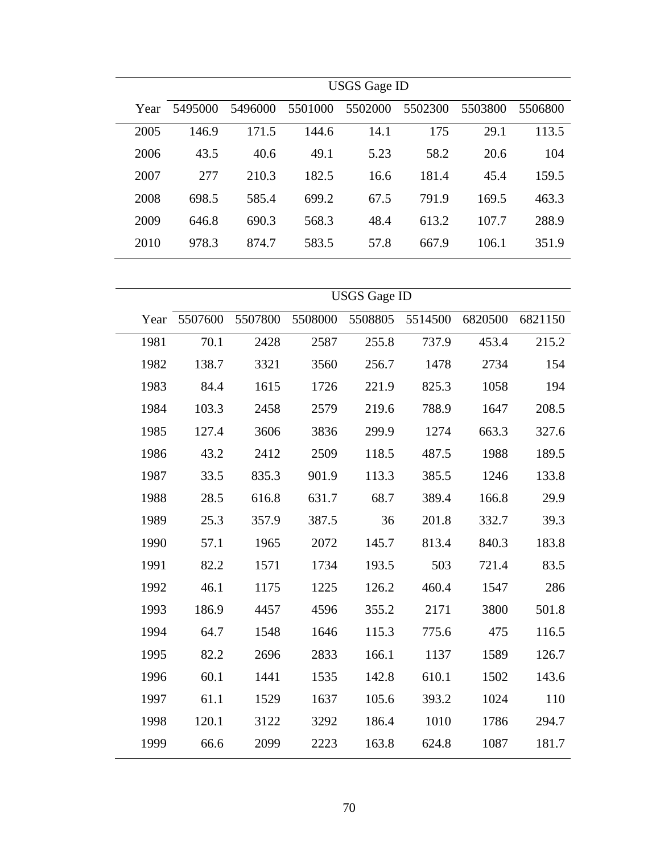|      | <b>USGS</b> Gage ID |         |         |         |         |         |         |  |  |  |  |
|------|---------------------|---------|---------|---------|---------|---------|---------|--|--|--|--|
| Year | 5495000             | 5496000 | 5501000 | 5502000 | 5502300 | 5503800 | 5506800 |  |  |  |  |
| 2005 | 146.9               | 171.5   | 144.6   | 14.1    | 175     | 29.1    | 113.5   |  |  |  |  |
| 2006 | 43.5                | 40.6    | 49.1    | 5.23    | 58.2    | 20.6    | 104     |  |  |  |  |
| 2007 | 277                 | 210.3   | 182.5   | 16.6    | 181.4   | 45.4    | 159.5   |  |  |  |  |
| 2008 | 698.5               | 585.4   | 699.2   | 67.5    | 791.9   | 169.5   | 463.3   |  |  |  |  |
| 2009 | 646.8               | 690.3   | 568.3   | 48.4    | 613.2   | 107.7   | 288.9   |  |  |  |  |
| 2010 | 978.3               | 874.7   | 583.5   | 57.8    | 667.9   | 106.1   | 351.9   |  |  |  |  |

|      |         |         |         | <b>USGS</b> Gage ID |         |         |         |
|------|---------|---------|---------|---------------------|---------|---------|---------|
| Year | 5507600 | 5507800 | 5508000 | 5508805             | 5514500 | 6820500 | 6821150 |
| 1981 | 70.1    | 2428    | 2587    | 255.8               | 737.9   | 453.4   | 215.2   |
| 1982 | 138.7   | 3321    | 3560    | 256.7               | 1478    | 2734    | 154     |
| 1983 | 84.4    | 1615    | 1726    | 221.9               | 825.3   | 1058    | 194     |
| 1984 | 103.3   | 2458    | 2579    | 219.6               | 788.9   | 1647    | 208.5   |
| 1985 | 127.4   | 3606    | 3836    | 299.9               | 1274    | 663.3   | 327.6   |
| 1986 | 43.2    | 2412    | 2509    | 118.5               | 487.5   | 1988    | 189.5   |
| 1987 | 33.5    | 835.3   | 901.9   | 113.3               | 385.5   | 1246    | 133.8   |
| 1988 | 28.5    | 616.8   | 631.7   | 68.7                | 389.4   | 166.8   | 29.9    |
| 1989 | 25.3    | 357.9   | 387.5   | 36                  | 201.8   | 332.7   | 39.3    |
| 1990 | 57.1    | 1965    | 2072    | 145.7               | 813.4   | 840.3   | 183.8   |
| 1991 | 82.2    | 1571    | 1734    | 193.5               | 503     | 721.4   | 83.5    |
| 1992 | 46.1    | 1175    | 1225    | 126.2               | 460.4   | 1547    | 286     |
| 1993 | 186.9   | 4457    | 4596    | 355.2               | 2171    | 3800    | 501.8   |
| 1994 | 64.7    | 1548    | 1646    | 115.3               | 775.6   | 475     | 116.5   |
| 1995 | 82.2    | 2696    | 2833    | 166.1               | 1137    | 1589    | 126.7   |
| 1996 | 60.1    | 1441    | 1535    | 142.8               | 610.1   | 1502    | 143.6   |
| 1997 | 61.1    | 1529    | 1637    | 105.6               | 393.2   | 1024    | 110     |
| 1998 | 120.1   | 3122    | 3292    | 186.4               | 1010    | 1786    | 294.7   |
| 1999 | 66.6    | 2099    | 2223    | 163.8               | 624.8   | 1087    | 181.7   |
|      |         |         |         |                     |         |         |         |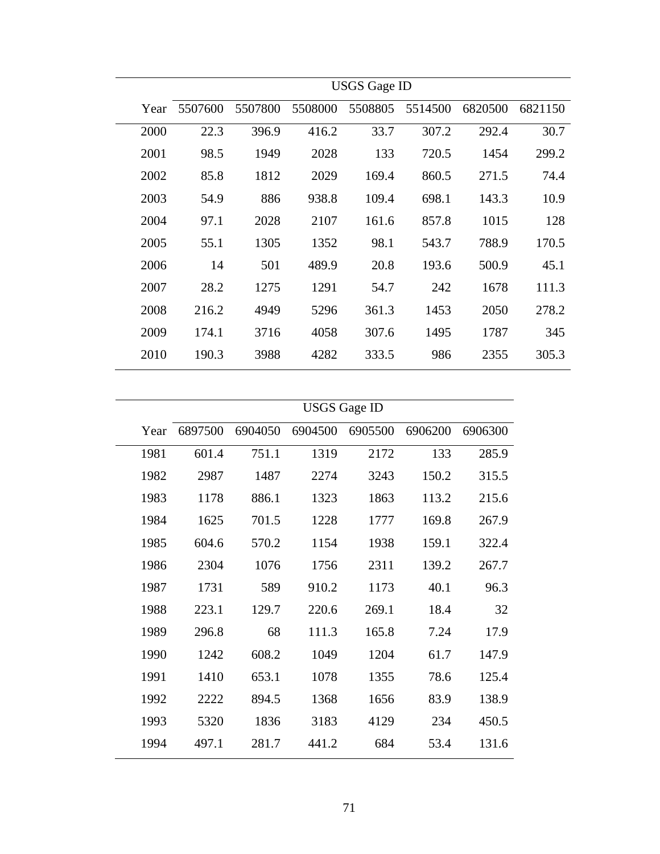| 5507600<br>Year<br>2000<br>22.3<br>2001<br>98.5<br>85.8<br>2002<br>2003<br>54.9<br>2004<br>97.1 | 5507800<br>5508000<br>396.9 | 5508805       | 5514500 | 6820500 |         |
|-------------------------------------------------------------------------------------------------|-----------------------------|---------------|---------|---------|---------|
|                                                                                                 |                             |               |         |         | 6821150 |
|                                                                                                 |                             | 33.7<br>416.2 | 307.2   | 292.4   | 30.7    |
|                                                                                                 | 1949                        | 2028<br>133   | 720.5   | 1454    | 299.2   |
|                                                                                                 | 1812                        | 2029<br>169.4 | 860.5   | 271.5   | 74.4    |
|                                                                                                 | 886<br>938.8                | 109.4         | 698.1   | 143.3   | 10.9    |
|                                                                                                 | 2028                        | 2107<br>161.6 | 857.8   | 1015    | 128     |
| 2005<br>55.1                                                                                    | 1305                        | 1352<br>98.1  | 543.7   | 788.9   | 170.5   |
| 2006<br>14                                                                                      | 489.9<br>501                | 20.8          | 193.6   | 500.9   | 45.1    |
| 28.2<br>2007                                                                                    | 1275                        | 1291<br>54.7  | 242     | 1678    | 111.3   |
| 2008<br>216.2                                                                                   | 4949                        | 361.3<br>5296 | 1453    | 2050    | 278.2   |
| 2009<br>174.1                                                                                   | 3716                        | 4058<br>307.6 | 1495    | 1787    | 345     |
| 2010<br>190.3                                                                                   |                             |               |         |         |         |

|      |         |         | <b>USGS</b> Gage ID |         |         |         |
|------|---------|---------|---------------------|---------|---------|---------|
| Year | 6897500 | 6904050 | 6904500             | 6905500 | 6906200 | 6906300 |
| 1981 | 601.4   | 751.1   | 1319                | 2172    | 133     | 285.9   |
| 1982 | 2987    | 1487    | 2274                | 3243    | 150.2   | 315.5   |
| 1983 | 1178    | 886.1   | 1323                | 1863    | 113.2   | 215.6   |
| 1984 | 1625    | 701.5   | 1228                | 1777    | 169.8   | 267.9   |
| 1985 | 604.6   | 570.2   | 1154                | 1938    | 159.1   | 322.4   |
| 1986 | 2304    | 1076    | 1756                | 2311    | 139.2   | 267.7   |
| 1987 | 1731    | 589     | 910.2               | 1173    | 40.1    | 96.3    |
| 1988 | 223.1   | 129.7   | 220.6               | 269.1   | 18.4    | 32      |
| 1989 | 296.8   | 68      | 111.3               | 165.8   | 7.24    | 17.9    |
| 1990 | 1242    | 608.2   | 1049                | 1204    | 61.7    | 147.9   |
| 1991 | 1410    | 653.1   | 1078                | 1355    | 78.6    | 125.4   |
| 1992 | 2222    | 894.5   | 1368                | 1656    | 83.9    | 138.9   |
| 1993 | 5320    | 1836    | 3183                | 4129    | 234     | 450.5   |
| 1994 | 497.1   | 281.7   | 441.2               | 684     | 53.4    | 131.6   |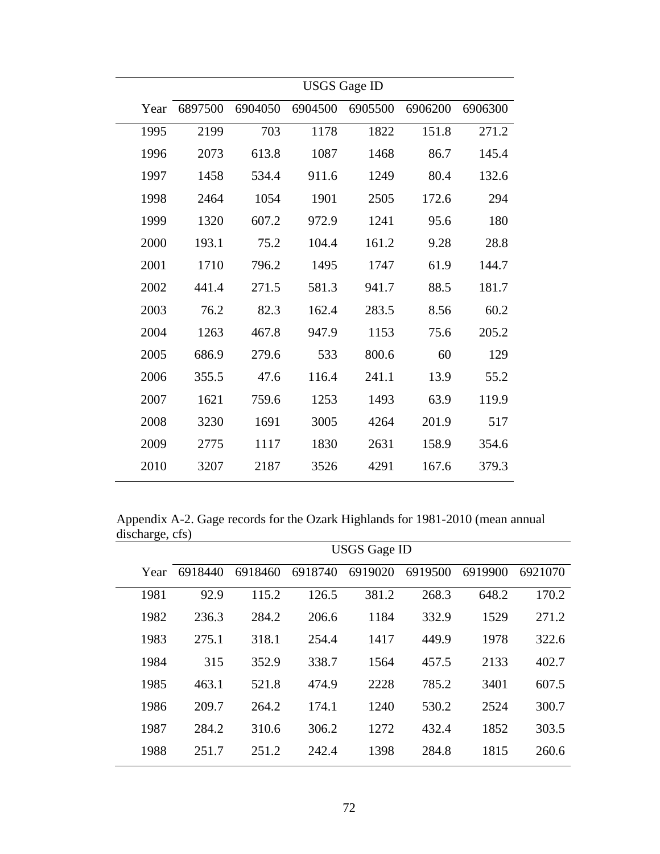|      |         |         | <b>USGS</b> Gage ID |         |         |         |  |  |
|------|---------|---------|---------------------|---------|---------|---------|--|--|
| Year | 6897500 | 6904050 | 6904500             | 6905500 | 6906200 | 6906300 |  |  |
| 1995 | 2199    | 703     | 1178                | 1822    | 151.8   | 271.2   |  |  |
| 1996 | 2073    | 613.8   | 1087                | 1468    | 86.7    | 145.4   |  |  |
| 1997 | 1458    | 534.4   | 911.6               | 1249    | 80.4    | 132.6   |  |  |
| 1998 | 2464    | 1054    | 1901                | 2505    | 172.6   | 294     |  |  |
| 1999 | 1320    | 607.2   | 972.9               | 1241    | 95.6    | 180     |  |  |
| 2000 | 193.1   | 75.2    | 104.4               | 161.2   | 9.28    | 28.8    |  |  |
| 2001 | 1710    | 796.2   | 1495                | 1747    | 61.9    | 144.7   |  |  |
| 2002 | 441.4   | 271.5   | 581.3               | 941.7   | 88.5    | 181.7   |  |  |
| 2003 | 76.2    | 82.3    | 162.4               | 283.5   | 8.56    | 60.2    |  |  |
| 2004 | 1263    | 467.8   | 947.9               | 1153    | 75.6    | 205.2   |  |  |
| 2005 | 686.9   | 279.6   | 533                 | 800.6   | 60      | 129     |  |  |
| 2006 | 355.5   | 47.6    | 116.4               | 241.1   | 13.9    | 55.2    |  |  |
| 2007 | 1621    | 759.6   | 1253                | 1493    | 63.9    | 119.9   |  |  |
| 2008 | 3230    | 1691    | 3005                | 4264    | 201.9   | 517     |  |  |
| 2009 | 2775    | 1117    | 1830                | 2631    | 158.9   | 354.6   |  |  |
| 2010 | 3207    | 2187    | 3526                | 4291    | 167.6   | 379.3   |  |  |

Appendix A-2. Gage records for the Ozark Highlands for 1981-2010 (mean annual discharge, cfs)

|      |         |         |         | <b>USGS Gage ID</b> |         |         |         |
|------|---------|---------|---------|---------------------|---------|---------|---------|
| Year | 6918440 | 6918460 | 6918740 | 6919020             | 6919500 | 6919900 | 6921070 |
| 1981 | 92.9    | 115.2   | 126.5   | 381.2               | 268.3   | 648.2   | 170.2   |
| 1982 | 236.3   | 284.2   | 206.6   | 1184                | 332.9   | 1529    | 271.2   |
| 1983 | 275.1   | 318.1   | 254.4   | 1417                | 449.9   | 1978    | 322.6   |
| 1984 | 315     | 352.9   | 338.7   | 1564                | 457.5   | 2133    | 402.7   |
| 1985 | 463.1   | 521.8   | 474.9   | 2228                | 785.2   | 3401    | 607.5   |
| 1986 | 209.7   | 264.2   | 174.1   | 1240                | 530.2   | 2524    | 300.7   |
| 1987 | 284.2   | 310.6   | 306.2   | 1272                | 432.4   | 1852    | 303.5   |
| 1988 | 251.7   | 251.2   | 242.4   | 1398                | 284.8   | 1815    | 260.6   |
|      |         |         |         |                     |         |         |         |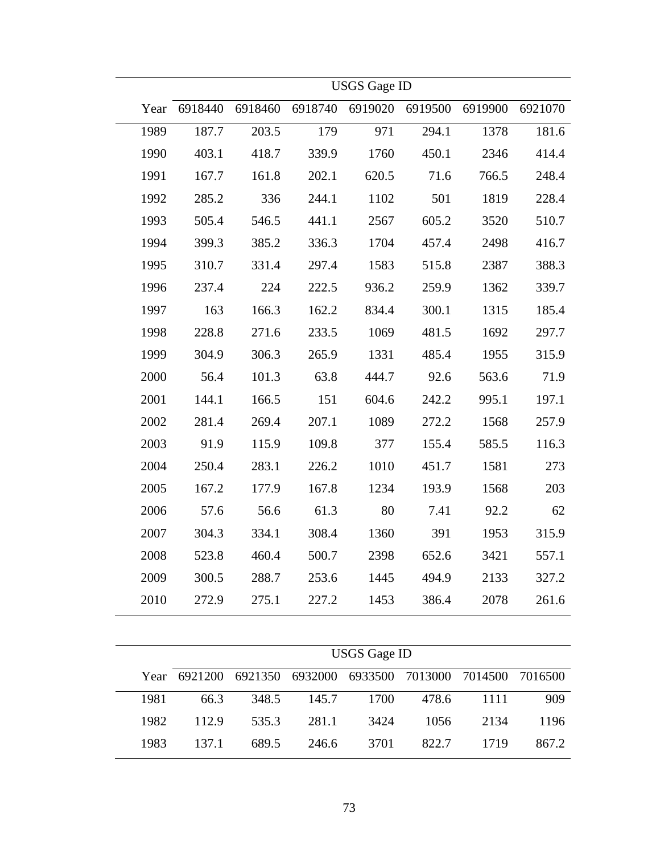|      |         |         |         | <b>USGS</b> Gage ID |         |         |         |
|------|---------|---------|---------|---------------------|---------|---------|---------|
| Year | 6918440 | 6918460 | 6918740 | 6919020             | 6919500 | 6919900 | 6921070 |
| 1989 | 187.7   | 203.5   | 179     | 971                 | 294.1   | 1378    | 181.6   |
| 1990 | 403.1   | 418.7   | 339.9   | 1760                | 450.1   | 2346    | 414.4   |
| 1991 | 167.7   | 161.8   | 202.1   | 620.5               | 71.6    | 766.5   | 248.4   |
| 1992 | 285.2   | 336     | 244.1   | 1102                | 501     | 1819    | 228.4   |
| 1993 | 505.4   | 546.5   | 441.1   | 2567                | 605.2   | 3520    | 510.7   |
| 1994 | 399.3   | 385.2   | 336.3   | 1704                | 457.4   | 2498    | 416.7   |
| 1995 | 310.7   | 331.4   | 297.4   | 1583                | 515.8   | 2387    | 388.3   |
| 1996 | 237.4   | 224     | 222.5   | 936.2               | 259.9   | 1362    | 339.7   |
| 1997 | 163     | 166.3   | 162.2   | 834.4               | 300.1   | 1315    | 185.4   |
| 1998 | 228.8   | 271.6   | 233.5   | 1069                | 481.5   | 1692    | 297.7   |
| 1999 | 304.9   | 306.3   | 265.9   | 1331                | 485.4   | 1955    | 315.9   |
| 2000 | 56.4    | 101.3   | 63.8    | 444.7               | 92.6    | 563.6   | 71.9    |
| 2001 | 144.1   | 166.5   | 151     | 604.6               | 242.2   | 995.1   | 197.1   |
| 2002 | 281.4   | 269.4   | 207.1   | 1089                | 272.2   | 1568    | 257.9   |
| 2003 | 91.9    | 115.9   | 109.8   | 377                 | 155.4   | 585.5   | 116.3   |
| 2004 | 250.4   | 283.1   | 226.2   | 1010                | 451.7   | 1581    | 273     |
| 2005 | 167.2   | 177.9   | 167.8   | 1234                | 193.9   | 1568    | 203     |
| 2006 | 57.6    | 56.6    | 61.3    | 80                  | 7.41    | 92.2    | 62      |
| 2007 | 304.3   | 334.1   | 308.4   | 1360                | 391     | 1953    | 315.9   |
| 2008 | 523.8   | 460.4   | 500.7   | 2398                | 652.6   | 3421    | 557.1   |
| 2009 | 300.5   | 288.7   | 253.6   | 1445                | 494.9   | 2133    | 327.2   |
| 2010 | 272.9   | 275.1   | 227.2   | 1453                | 386.4   | 2078    | 261.6   |

|      | <b>USGS</b> Gage ID |                                                 |       |      |       |      |       |  |  |
|------|---------------------|-------------------------------------------------|-------|------|-------|------|-------|--|--|
|      | Year 6921200        | 6921350 6932000 6933500 7013000 7014500 7016500 |       |      |       |      |       |  |  |
| 1981 | 66.3                | 348.5                                           | 145.7 | 1700 | 478.6 | 1111 | 909   |  |  |
| 1982 | 112.9               | 535.3                                           | 281.1 | 3424 | 1056  | 2134 | 1196  |  |  |
| 1983 | 137.1               | 689.5                                           | 246.6 | 3701 | 822.7 | 1719 | 867.2 |  |  |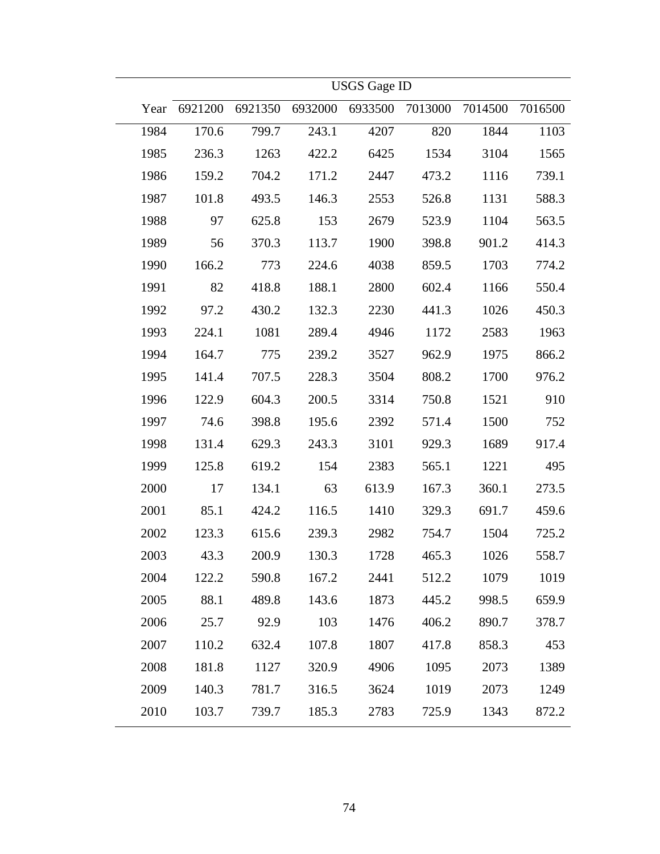|      |         |         |         | <b>USGS</b> Gage ID |         |         |         |
|------|---------|---------|---------|---------------------|---------|---------|---------|
| Year | 6921200 | 6921350 | 6932000 | 6933500             | 7013000 | 7014500 | 7016500 |
| 1984 | 170.6   | 799.7   | 243.1   | 4207                | 820     | 1844    | 1103    |
| 1985 | 236.3   | 1263    | 422.2   | 6425                | 1534    | 3104    | 1565    |
| 1986 | 159.2   | 704.2   | 171.2   | 2447                | 473.2   | 1116    | 739.1   |
| 1987 | 101.8   | 493.5   | 146.3   | 2553                | 526.8   | 1131    | 588.3   |
| 1988 | 97      | 625.8   | 153     | 2679                | 523.9   | 1104    | 563.5   |
| 1989 | 56      | 370.3   | 113.7   | 1900                | 398.8   | 901.2   | 414.3   |
| 1990 | 166.2   | 773     | 224.6   | 4038                | 859.5   | 1703    | 774.2   |
| 1991 | 82      | 418.8   | 188.1   | 2800                | 602.4   | 1166    | 550.4   |
| 1992 | 97.2    | 430.2   | 132.3   | 2230                | 441.3   | 1026    | 450.3   |
| 1993 | 224.1   | 1081    | 289.4   | 4946                | 1172    | 2583    | 1963    |
| 1994 | 164.7   | 775     | 239.2   | 3527                | 962.9   | 1975    | 866.2   |
| 1995 | 141.4   | 707.5   | 228.3   | 3504                | 808.2   | 1700    | 976.2   |
| 1996 | 122.9   | 604.3   | 200.5   | 3314                | 750.8   | 1521    | 910     |
| 1997 | 74.6    | 398.8   | 195.6   | 2392                | 571.4   | 1500    | 752     |
| 1998 | 131.4   | 629.3   | 243.3   | 3101                | 929.3   | 1689    | 917.4   |
| 1999 | 125.8   | 619.2   | 154     | 2383                | 565.1   | 1221    | 495     |
| 2000 | 17      | 134.1   | 63      | 613.9               | 167.3   | 360.1   | 273.5   |
| 2001 | 85.1    | 424.2   | 116.5   | 1410                | 329.3   | 691.7   | 459.6   |
| 2002 | 123.3   | 615.6   | 239.3   | 2982                | 754.7   | 1504    | 725.2   |
| 2003 | 43.3    | 200.9   | 130.3   | 1728                | 465.3   | 1026    | 558.7   |
| 2004 | 122.2   | 590.8   | 167.2   | 2441                | 512.2   | 1079    | 1019    |
| 2005 | 88.1    | 489.8   | 143.6   | 1873                | 445.2   | 998.5   | 659.9   |
| 2006 | 25.7    | 92.9    | 103     | 1476                | 406.2   | 890.7   | 378.7   |
| 2007 | 110.2   | 632.4   | 107.8   | 1807                | 417.8   | 858.3   | 453     |
| 2008 | 181.8   | 1127    | 320.9   | 4906                | 1095    | 2073    | 1389    |
| 2009 | 140.3   | 781.7   | 316.5   | 3624                | 1019    | 2073    | 1249    |
| 2010 | 103.7   | 739.7   | 185.3   | 2783                | 725.9   | 1343    | 872.2   |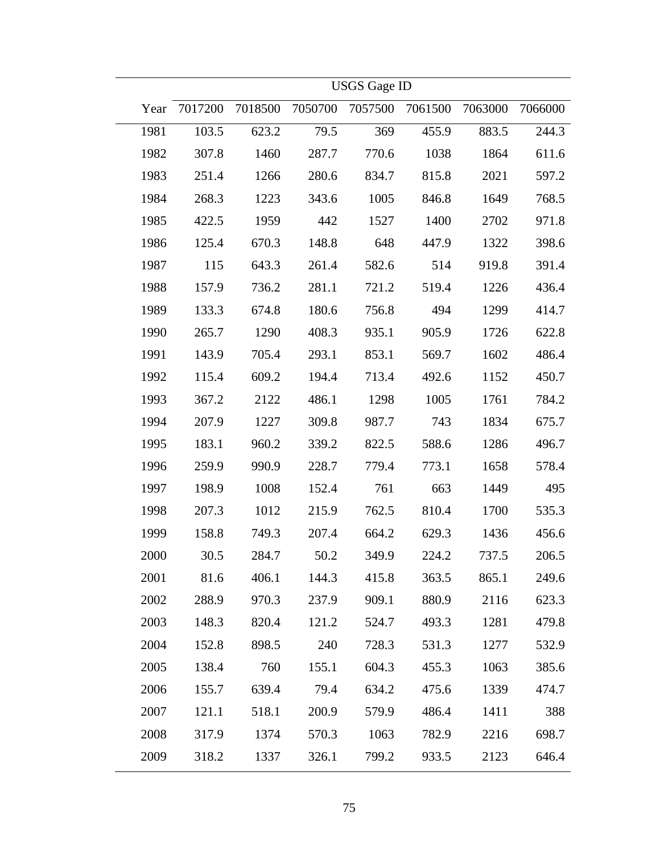|      | <b>USGS</b> Gage ID |         |         |         |         |         |         |  |
|------|---------------------|---------|---------|---------|---------|---------|---------|--|
| Year | 7017200             | 7018500 | 7050700 | 7057500 | 7061500 | 7063000 | 7066000 |  |
| 1981 | 103.5               | 623.2   | 79.5    | 369     | 455.9   | 883.5   | 244.3   |  |
| 1982 | 307.8               | 1460    | 287.7   | 770.6   | 1038    | 1864    | 611.6   |  |
| 1983 | 251.4               | 1266    | 280.6   | 834.7   | 815.8   | 2021    | 597.2   |  |
| 1984 | 268.3               | 1223    | 343.6   | 1005    | 846.8   | 1649    | 768.5   |  |
| 1985 | 422.5               | 1959    | 442     | 1527    | 1400    | 2702    | 971.8   |  |
| 1986 | 125.4               | 670.3   | 148.8   | 648     | 447.9   | 1322    | 398.6   |  |
| 1987 | 115                 | 643.3   | 261.4   | 582.6   | 514     | 919.8   | 391.4   |  |
| 1988 | 157.9               | 736.2   | 281.1   | 721.2   | 519.4   | 1226    | 436.4   |  |
| 1989 | 133.3               | 674.8   | 180.6   | 756.8   | 494     | 1299    | 414.7   |  |
| 1990 | 265.7               | 1290    | 408.3   | 935.1   | 905.9   | 1726    | 622.8   |  |
| 1991 | 143.9               | 705.4   | 293.1   | 853.1   | 569.7   | 1602    | 486.4   |  |
| 1992 | 115.4               | 609.2   | 194.4   | 713.4   | 492.6   | 1152    | 450.7   |  |
| 1993 | 367.2               | 2122    | 486.1   | 1298    | 1005    | 1761    | 784.2   |  |
| 1994 | 207.9               | 1227    | 309.8   | 987.7   | 743     | 1834    | 675.7   |  |
| 1995 | 183.1               | 960.2   | 339.2   | 822.5   | 588.6   | 1286    | 496.7   |  |
| 1996 | 259.9               | 990.9   | 228.7   | 779.4   | 773.1   | 1658    | 578.4   |  |
| 1997 | 198.9               | 1008    | 152.4   | 761     | 663     | 1449    | 495     |  |
| 1998 | 207.3               | 1012    | 215.9   | 762.5   | 810.4   | 1700    | 535.3   |  |
| 1999 | 158.8               | 749.3   | 207.4   | 664.2   | 629.3   | 1436    | 456.6   |  |
| 2000 | 30.5                | 284.7   | 50.2    | 349.9   | 224.2   | 737.5   | 206.5   |  |
| 2001 | 81.6                | 406.1   | 144.3   | 415.8   | 363.5   | 865.1   | 249.6   |  |
| 2002 | 288.9               | 970.3   | 237.9   | 909.1   | 880.9   | 2116    | 623.3   |  |
| 2003 | 148.3               | 820.4   | 121.2   | 524.7   | 493.3   | 1281    | 479.8   |  |
| 2004 | 152.8               | 898.5   | 240     | 728.3   | 531.3   | 1277    | 532.9   |  |
| 2005 | 138.4               | 760     | 155.1   | 604.3   | 455.3   | 1063    | 385.6   |  |
| 2006 | 155.7               | 639.4   | 79.4    | 634.2   | 475.6   | 1339    | 474.7   |  |
| 2007 | 121.1               | 518.1   | 200.9   | 579.9   | 486.4   | 1411    | 388     |  |
| 2008 | 317.9               | 1374    | 570.3   | 1063    | 782.9   | 2216    | 698.7   |  |
| 2009 | 318.2               | 1337    | 326.1   | 799.2   | 933.5   | 2123    | 646.4   |  |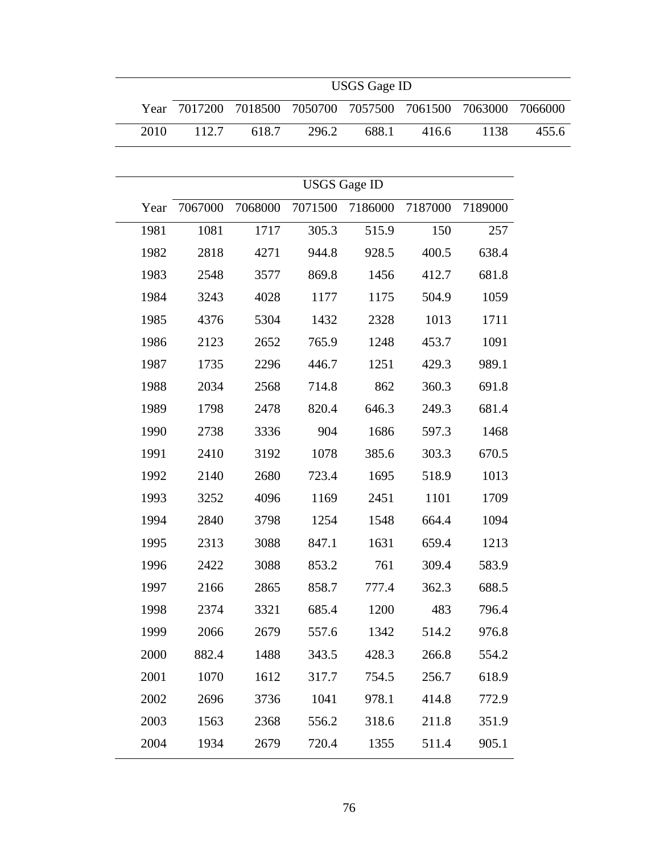|      |         |         |                     | <b>USGS</b> Gage ID |         |         |         |
|------|---------|---------|---------------------|---------------------|---------|---------|---------|
| Year | 7017200 | 7018500 | 7050700             | 7057500             | 7061500 | 7063000 | 7066000 |
| 2010 | 112.7   | 618.7   | 296.2               | 688.1               | 416.6   | 1138    | 455.6   |
|      |         |         |                     |                     |         |         |         |
|      |         |         | <b>USGS</b> Gage ID |                     |         |         |         |
| Year | 7067000 | 7068000 | 7071500             | 7186000             | 7187000 | 7189000 |         |
| 1981 | 1081    | 1717    | 305.3               | 515.9               | 150     | 257     |         |
| 1982 | 2818    | 4271    | 944.8               | 928.5               | 400.5   | 638.4   |         |
| 1983 | 2548    | 3577    | 869.8               | 1456                | 412.7   | 681.8   |         |
| 1984 | 3243    | 4028    | 1177                | 1175                | 504.9   | 1059    |         |
| 1985 | 4376    | 5304    | 1432                | 2328                | 1013    | 1711    |         |
| 1986 | 2123    | 2652    | 765.9               | 1248                | 453.7   | 1091    |         |
| 1987 | 1735    | 2296    | 446.7               | 1251                | 429.3   | 989.1   |         |
| 1988 | 2034    | 2568    | 714.8               | 862                 | 360.3   | 691.8   |         |
| 1989 | 1798    | 2478    | 820.4               | 646.3               | 249.3   | 681.4   |         |
| 1990 | 2738    | 3336    | 904                 | 1686                | 597.3   | 1468    |         |
| 1991 | 2410    | 3192    | 1078                | 385.6               | 303.3   | 670.5   |         |
| 1992 | 2140    | 2680    | 723.4               | 1695                | 518.9   | 1013    |         |
| 1993 | 3252    | 4096    | 1169                | 2451                | 1101    | 1709    |         |
| 1994 | 2840    | 3798    | 1254                | 1548                | 664.4   | 1094    |         |
| 1995 | 2313    | 3088    | 847.1               | 1631                | 659.4   | 1213    |         |
| 1996 | 2422    | 3088    | 853.2               | 761                 | 309.4   | 583.9   |         |
| 1997 | 2166    | 2865    | 858.7               | 777.4               | 362.3   | 688.5   |         |
| 1998 | 2374    | 3321    | 685.4               | 1200                | 483     | 796.4   |         |
| 1999 | 2066    | 2679    | 557.6               | 1342                | 514.2   | 976.8   |         |
| 2000 | 882.4   | 1488    | 343.5               | 428.3               | 266.8   | 554.2   |         |
| 2001 | 1070    | 1612    | 317.7               | 754.5               | 256.7   | 618.9   |         |
| 2002 | 2696    | 3736    | 1041                | 978.1               | 414.8   | 772.9   |         |
| 2003 | 1563    | 2368    | 556.2               | 318.6               | 211.8   | 351.9   |         |
| 2004 | 1934    | 2679    | 720.4               | 1355                | 511.4   | 905.1   |         |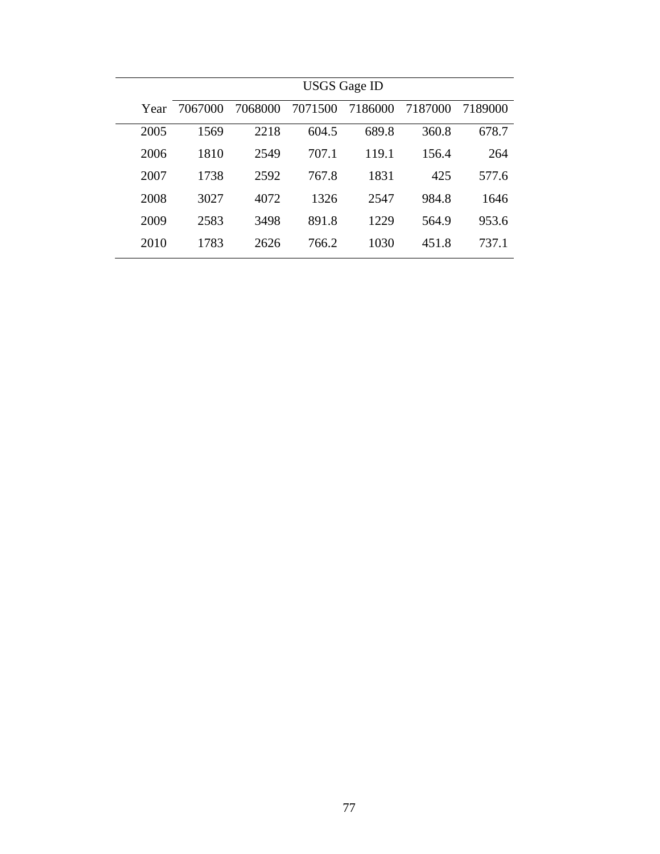|      | <b>USGS Gage ID</b> |         |         |         |         |         |  |  |  |  |  |  |  |  |
|------|---------------------|---------|---------|---------|---------|---------|--|--|--|--|--|--|--|--|
| Year | 7067000             | 7068000 | 7071500 | 7186000 | 7187000 | 7189000 |  |  |  |  |  |  |  |  |
| 2005 | 1569                | 2218    | 604.5   | 689.8   | 360.8   | 678.7   |  |  |  |  |  |  |  |  |
| 2006 | 1810                | 2549    | 707.1   | 119.1   | 156.4   | 264     |  |  |  |  |  |  |  |  |
| 2007 | 1738                | 2592    | 767.8   | 1831    | 425     | 577.6   |  |  |  |  |  |  |  |  |
| 2008 | 3027                | 4072    | 1326    | 2547    | 984.8   | 1646    |  |  |  |  |  |  |  |  |
| 2009 | 2583                | 3498    | 891.8   | 1229    | 564.9   | 953.6   |  |  |  |  |  |  |  |  |
| 2010 | 1783                | 2626    | 766.2   | 1030    | 451.8   | 737.1   |  |  |  |  |  |  |  |  |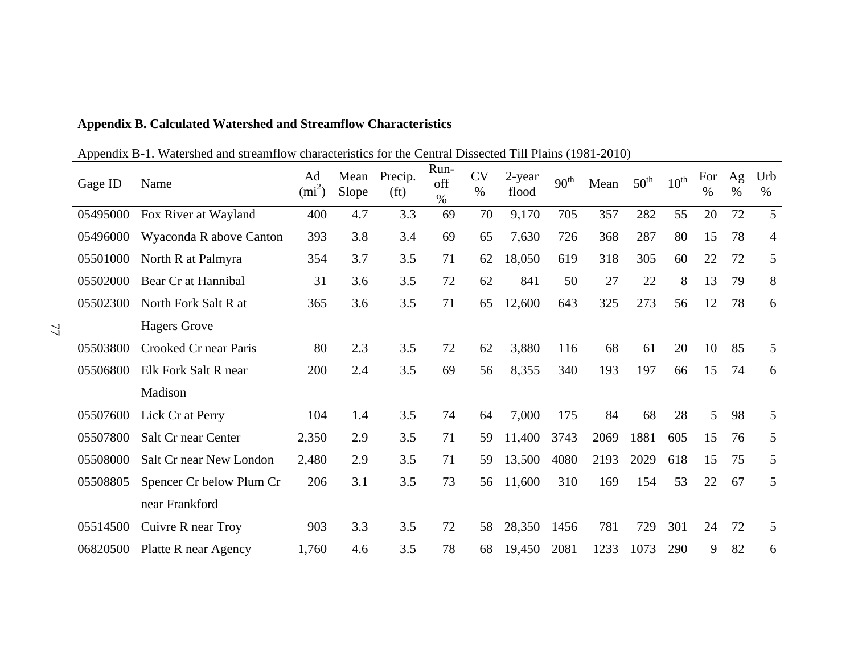| Gage ID  | Name                     | Ad<br>$(mi^2)$ | Mean<br>Slope | Precip.<br>(f <sub>t</sub> ) | Run-<br>off<br>$\%$ | <b>CV</b><br>$\%$ | 2-year<br>flood | $90^{\text{th}}$ | Mean | $50^{\text{th}}$ | $10^{\text{th}}$ | For<br>$\%$ | Ag<br>$\%$ | Urb<br>%       |
|----------|--------------------------|----------------|---------------|------------------------------|---------------------|-------------------|-----------------|------------------|------|------------------|------------------|-------------|------------|----------------|
| 05495000 | Fox River at Wayland     | 400            | 4.7           | 3.3                          | 69                  | 70                | 9,170           | 705              | 357  | 282              | 55               | 20          | 72         | 5              |
| 05496000 | Wyaconda R above Canton  | 393            | 3.8           | 3.4                          | 69                  | 65                | 7,630           | 726              | 368  | 287              | 80               | 15          | 78         | $\overline{4}$ |
| 05501000 | North R at Palmyra       | 354            | 3.7           | 3.5                          | 71                  | 62                | 18,050          | 619              | 318  | 305              | 60               | 22          | 72         | 5              |
| 05502000 | Bear Cr at Hannibal      | 31             | 3.6           | 3.5                          | 72                  | 62                | 841             | 50               | 27   | 22               | 8                | 13          | 79         | 8              |
| 05502300 | North Fork Salt R at     | 365            | 3.6           | 3.5                          | 71                  | 65                | 12,600          | 643              | 325  | 273              | 56               | 12          | 78         | 6              |
|          | <b>Hagers Grove</b>      |                |               |                              |                     |                   |                 |                  |      |                  |                  |             |            |                |
| 05503800 | Crooked Cr near Paris    | 80             | 2.3           | 3.5                          | 72                  | 62                | 3,880           | 116              | 68   | 61               | 20               | 10          | 85         | 5              |
| 05506800 | Elk Fork Salt R near     | 200            | 2.4           | 3.5                          | 69                  | 56                | 8,355           | 340              | 193  | 197              | 66               | 15          | 74         | 6              |
|          | Madison                  |                |               |                              |                     |                   |                 |                  |      |                  |                  |             |            |                |
| 05507600 | Lick Cr at Perry         | 104            | 1.4           | 3.5                          | 74                  | 64                | 7,000           | 175              | 84   | 68               | 28               | 5           | 98         | 5              |
| 05507800 | Salt Cr near Center      | 2,350          | 2.9           | 3.5                          | 71                  | 59                | 11,400          | 3743             | 2069 | 1881             | 605              | 15          | 76         | 5              |
| 05508000 | Salt Cr near New London  | 2,480          | 2.9           | 3.5                          | 71                  | 59                | 13,500          | 4080             | 2193 | 2029             | 618              | 15          | 75         | 5              |
| 05508805 | Spencer Cr below Plum Cr | 206            | 3.1           | 3.5                          | 73                  | 56                | 11,600          | 310              | 169  | 154              | 53               | 22          | 67         | 5              |
|          | near Frankford           |                |               |                              |                     |                   |                 |                  |      |                  |                  |             |            |                |
| 05514500 | Cuivre R near Troy       | 903            | 3.3           | 3.5                          | 72                  | 58                | 28,350          | 1456             | 781  | 729              | 301              | 24          | 72         | 5              |
| 06820500 | Platte R near Agency     | 1,760          | 4.6           | 3.5                          | 78                  | 68                | 19,450          | 2081             | 1233 | 1073             | 290              | 9           | 82         | 6              |

## **Appendix B. Calculated Watershed and Streamflow Characteristics**

Appendix B-1. Watershed and streamflow characteristics for the Central Dissected Till Plains (1981-2010)

77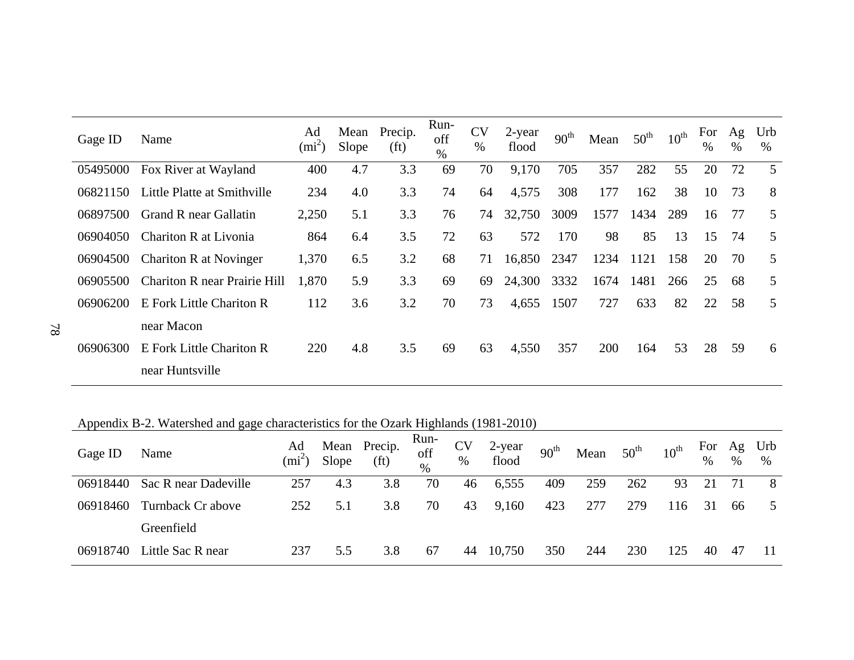| Gage ID  | Name                                | Ad<br>$(mi^2)$ | Mean<br>Slope | Precip.<br>(f <sub>t</sub> ) | Run-<br>off<br>$\%$ | <b>CV</b><br>% | 2-year<br>flood | 90 <sup>th</sup> | Mean | $50^{\text{th}}$ | $10^{\text{th}}$ | For<br>$\%$ | Ag<br>$\%$ | Urb<br>$\%$ |
|----------|-------------------------------------|----------------|---------------|------------------------------|---------------------|----------------|-----------------|------------------|------|------------------|------------------|-------------|------------|-------------|
| 05495000 | Fox River at Wayland                | 400            | 4.7           | 3.3                          | 69                  | 70             | 9,170           | 705              | 357  | 282              | 55               | 20          | 72         | 5           |
| 06821150 | Little Platte at Smithville         | 234            | 4.0           | 3.3                          | 74                  | 64             | 4,575           | 308              | 177  | 162              | 38               | 10          | 73         | 8           |
| 06897500 | Grand R near Gallatin               | 2,250          | 5.1           | 3.3                          | 76                  | 74             | 32,750          | 3009             | 1577 | 1434             | 289              | 16          | 77         | 5           |
| 06904050 | Chariton R at Livonia               | 864            | 6.4           | 3.5                          | 72                  | 63             | 572             | 170              | 98   | 85               | 13               | 15          | 74         | 5           |
| 06904500 | Chariton R at Novinger              | 1,370          | 6.5           | 3.2                          | 68                  | 71             | 16,850          | 2347             | 1234 | 1121             | 158              | 20          | 70         | 5           |
| 06905500 | <b>Chariton R near Prairie Hill</b> | 1,870          | 5.9           | 3.3                          | 69                  | 69             | 24,300          | 3332             | 1674 | 1481             | 266              | 25          | 68         | 5           |
| 06906200 | E Fork Little Chariton R            | 112            | 3.6           | 3.2                          | 70                  | 73             | 4,655           | 1507             | 727  | 633              | 82               | 22          | 58         | 5           |
|          | near Macon                          |                |               |                              |                     |                |                 |                  |      |                  |                  |             |            |             |
| 06906300 | E Fork Little Chariton R            | 220            | 4.8           | 3.5                          | 69                  | 63             | 4,550           | 357              | 200  | 164              | 53               | 28          | 59         | 6           |
|          | near Huntsville                     |                |               |                              |                     |                |                 |                  |      |                  |                  |             |            |             |

Appendix B-2. Watershed and gage characteristics for the Ozark Highlands (1981-2010)

| Gage ID  | Name                 | Ad<br>$(mi^2)$ | Slope | Mean Precip.<br>(f <sub>t</sub> ) | Run-<br>off<br>$\%$ | <b>CV</b><br>$\%$ | 2-year<br>flood | 90 <sup>th</sup> | Mean | $50^{\text{th}}$ | $10^{\text{th}}$ | For<br>$\%$ | Ag<br>$\%$ | Urb<br>% |
|----------|----------------------|----------------|-------|-----------------------------------|---------------------|-------------------|-----------------|------------------|------|------------------|------------------|-------------|------------|----------|
| 06918440 | Sac R near Dadeville | 257            | 4.3   | 3.8                               | 70                  | 46                | 6,555           | 409              | 259  | 262              | 93               | 21          | 71         | 8        |
| 06918460 | Turnback Cr above    | 252            | 5.1   | 3.8                               | 70                  | 43                | 9,160           | 423              | 277  | 279              | 116              | 31          | 66         | 5        |
|          | Greenfield           |                |       |                                   |                     |                   |                 |                  |      |                  |                  |             |            |          |
| 06918740 | Little Sac R near    | 237            | 5.5   | 3.8                               | 67                  | 44                | 10,750          | 350              | 244  | 230              | 125              | 40          | 47         |          |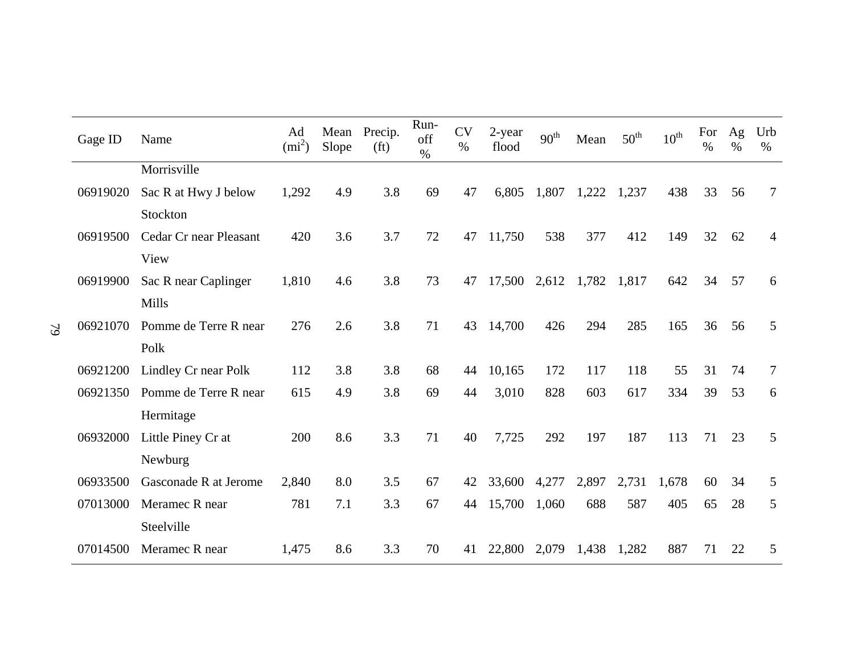| Gage ID  | Name                   | Ad<br>$(mi^2)$ | Mean<br>Slope | Precip.<br>(f <sub>t</sub> ) | Run-<br>off<br>$\%$ | <b>CV</b><br>$\%$ | 2-year<br>flood | 90 <sup>th</sup> | Mean  | $50^{\text{th}}$ | $10^{\text{th}}$ | For<br>$\%$ | Ag<br>$\%$ | Urb<br>$\%$    |
|----------|------------------------|----------------|---------------|------------------------------|---------------------|-------------------|-----------------|------------------|-------|------------------|------------------|-------------|------------|----------------|
|          | Morrisville            |                |               |                              |                     |                   |                 |                  |       |                  |                  |             |            |                |
| 06919020 | Sac R at Hwy J below   | 1,292          | 4.9           | 3.8                          | 69                  | 47                | 6,805           | 1,807            | 1,222 | 1,237            | 438              | 33          | 56         | $\tau$         |
|          | Stockton               |                |               |                              |                     |                   |                 |                  |       |                  |                  |             |            |                |
| 06919500 | Cedar Cr near Pleasant | 420            | 3.6           | 3.7                          | 72                  | 47                | 11,750          | 538              | 377   | 412              | 149              | 32          | 62         | $\overline{4}$ |
|          | View                   |                |               |                              |                     |                   |                 |                  |       |                  |                  |             |            |                |
| 06919900 | Sac R near Caplinger   | 1,810          | 4.6           | 3.8                          | 73                  | 47                | 17,500          | 2,612            | 1,782 | 1,817            | 642              | 34          | 57         | 6              |
|          | Mills                  |                |               |                              |                     |                   |                 |                  |       |                  |                  |             |            |                |
| 06921070 | Pomme de Terre R near  | 276            | 2.6           | 3.8                          | 71                  | 43                | 14,700          | 426              | 294   | 285              | 165              | 36          | 56         | 5              |
|          | Polk                   |                |               |                              |                     |                   |                 |                  |       |                  |                  |             |            |                |
| 06921200 | Lindley Cr near Polk   | 112            | 3.8           | 3.8                          | 68                  | 44                | 10,165          | 172              | 117   | 118              | 55               | 31          | 74         | $\tau$         |
| 06921350 | Pomme de Terre R near  | 615            | 4.9           | 3.8                          | 69                  | 44                | 3,010           | 828              | 603   | 617              | 334              | 39          | 53         | 6              |
|          | Hermitage              |                |               |                              |                     |                   |                 |                  |       |                  |                  |             |            |                |
| 06932000 | Little Piney Cr at     | 200            | 8.6           | 3.3                          | 71                  | 40                | 7,725           | 292              | 197   | 187              | 113              | 71          | 23         | 5              |
|          | Newburg                |                |               |                              |                     |                   |                 |                  |       |                  |                  |             |            |                |
| 06933500 | Gasconade R at Jerome  | 2,840          | 8.0           | 3.5                          | 67                  | 42                | 33,600          | 4,277            | 2,897 | 2,731            | 1,678            | 60          | 34         | 5              |
| 07013000 | Meramec R near         | 781            | 7.1           | 3.3                          | 67                  | 44                | 15,700          | 1,060            | 688   | 587              | 405              | 65          | 28         | 5              |
|          | Steelville             |                |               |                              |                     |                   |                 |                  |       |                  |                  |             |            |                |
| 07014500 | Meramec R near         | 1,475          | 8.6           | 3.3                          | 70                  | 41                | 22,800          | 2,079            | 1,438 | 1,282            | 887              | 71          | 22         | 5              |